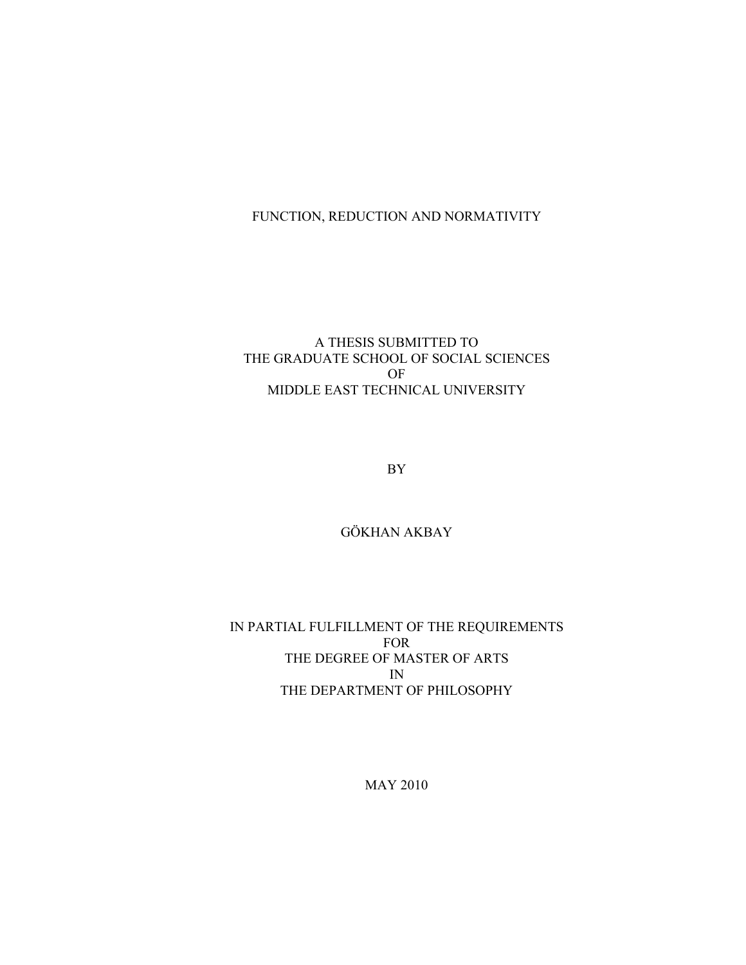# FUNCTION, REDUCTION AND NORMATIVITY

# A THESIS SUBMITTED TO THE GRADUATE SCHOOL OF SOCIAL SCIENCES OF MIDDLE EAST TECHNICAL UNIVERSITY

BY

GÖKHAN AKBAY

IN PARTIAL FULFILLMENT OF THE REQUIREMENTS FOR THE DEGREE OF MASTER OF ARTS IN THE DEPARTMENT OF PHILOSOPHY

MAY 2010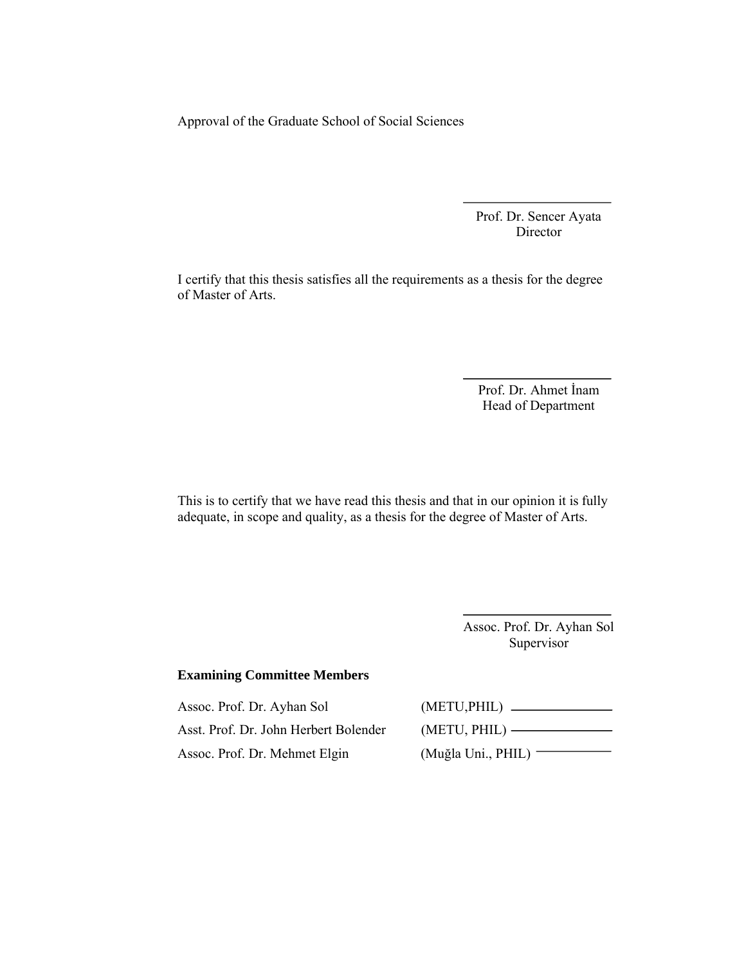Approval of the Graduate School of Social Sciences

Prof. Dr. Sencer Ayata Director

I certify that this thesis satisfies all the requirements as a thesis for the degree of Master of Arts.

> Prof. Dr. Ahmet İnam Head of Department

This is to certify that we have read this thesis and that in our opinion it is fully adequate, in scope and quality, as a thesis for the degree of Master of Arts.

> Assoc. Prof. Dr. Ayhan Sol Supervisor

## **Examining Committee Members**

Assoc. Prof. Dr. Ayhan Sol (METU,PHIL) Asst. Prof. Dr. John Herbert Bolender Assoc. Prof. Dr. Mehmet Elgin (Muğla Uni., PHIL)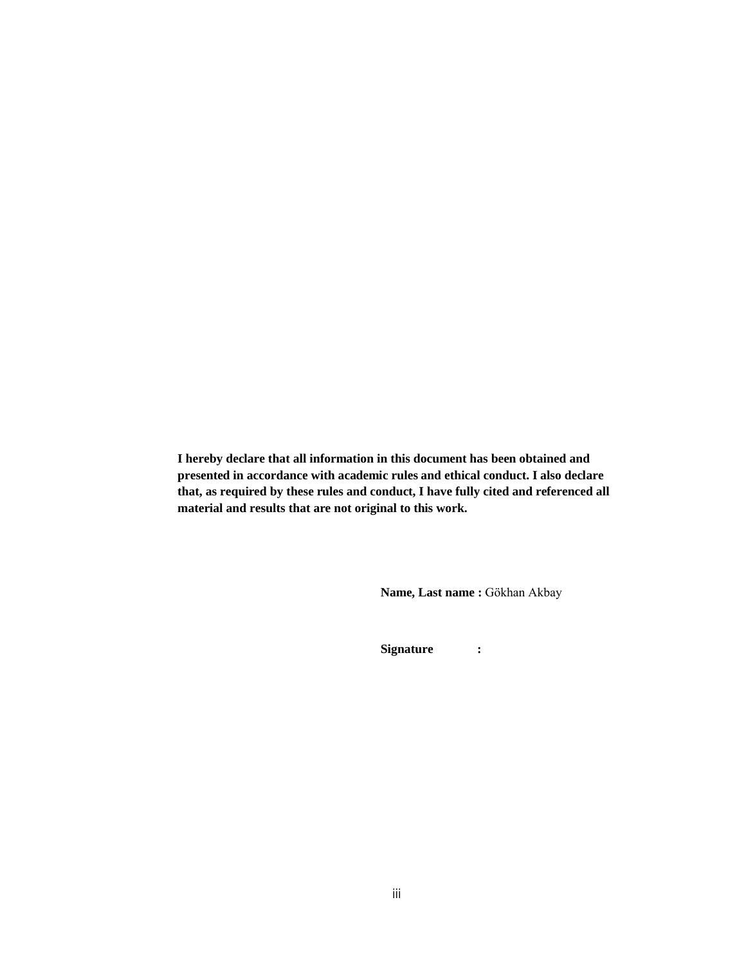**I hereby declare that all information in this document has been obtained and presented in accordance with academic rules and ethical conduct. I also declare that, as required by these rules and conduct, I have fully cited and referenced all material and results that are not original to this work.**

**Name, Last name :** Gökhan Akbay

**Signature :**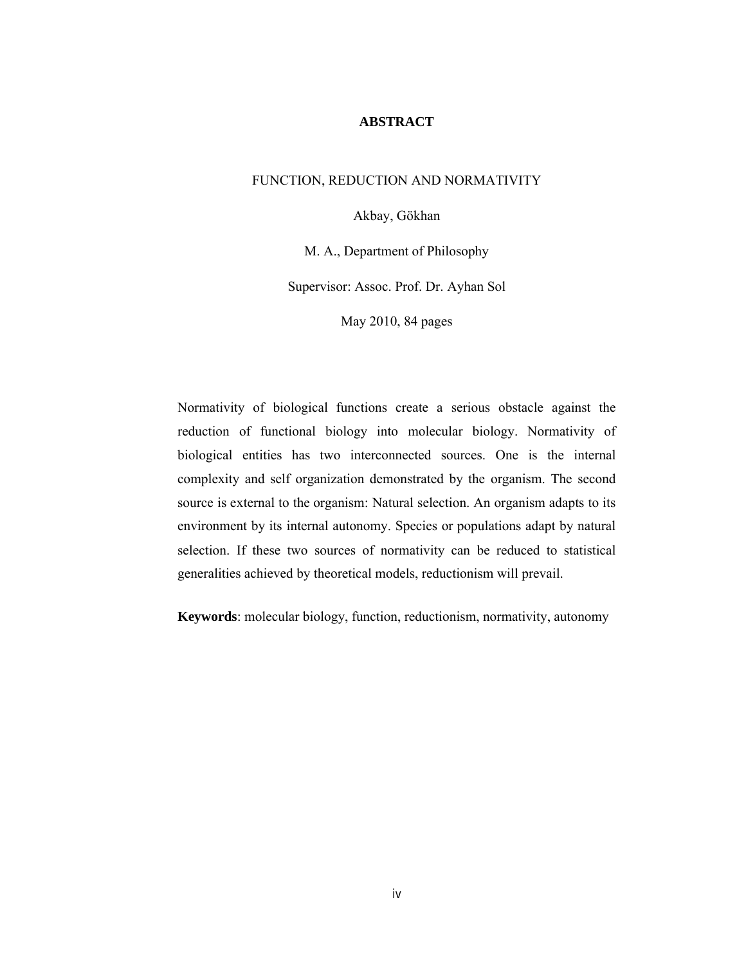## **ABSTRACT**

## FUNCTION, REDUCTION AND NORMATIVITY

Akbay, Gökhan

M. A., Department of Philosophy

Supervisor: Assoc. Prof. Dr. Ayhan Sol

May 2010, 84 pages

Normativity of biological functions create a serious obstacle against the reduction of functional biology into molecular biology. Normativity of biological entities has two interconnected sources. One is the internal complexity and self organization demonstrated by the organism. The second source is external to the organism: Natural selection. An organism adapts to its environment by its internal autonomy. Species or populations adapt by natural selection. If these two sources of normativity can be reduced to statistical generalities achieved by theoretical models, reductionism will prevail.

**Keywords**: molecular biology, function, reductionism, normativity, autonomy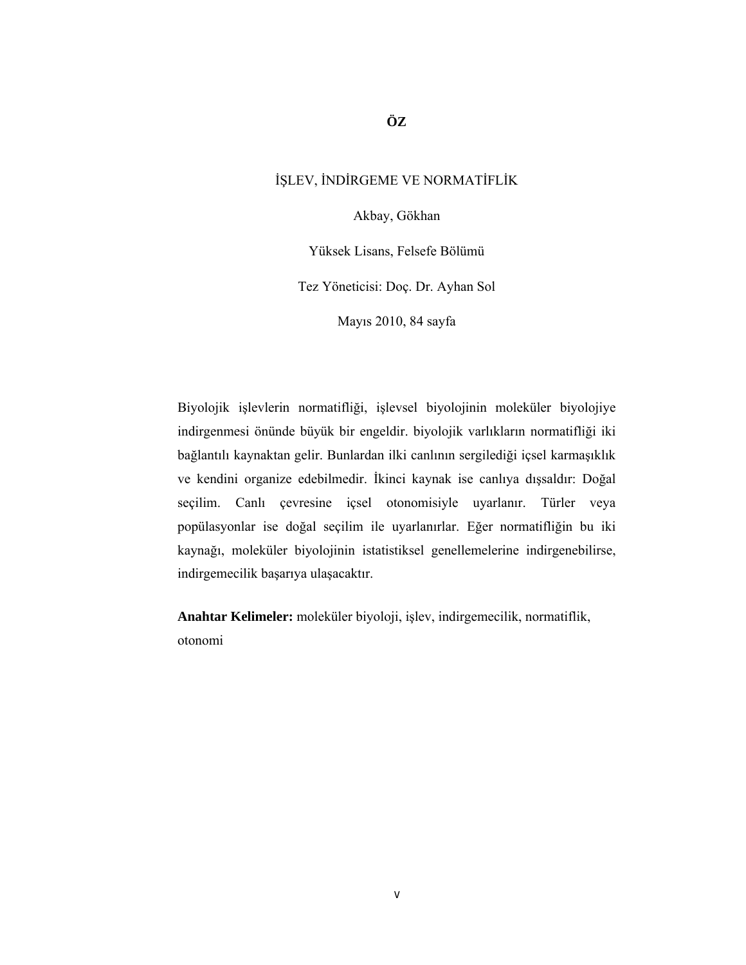# İŞLEV, İNDİRGEME VE NORMATİFLİK

Akbay, Gökhan

Yüksek Lisans, Felsefe Bölümü

Tez Yöneticisi: Doç. Dr. Ayhan Sol

Mayıs 2010, 84 sayfa

Biyolojik işlevlerin normatifliği, işlevsel biyolojinin moleküler biyolojiye indirgenmesi önünde büyük bir engeldir. biyolojik varlıkların normatifliği iki bağlantılı kaynaktan gelir. Bunlardan ilki canlının sergilediği içsel karmaşıklık ve kendini organize edebilmedir. İkinci kaynak ise canlıya dışsaldır: Doğal seçilim. Canlı çevresine içsel otonomisiyle uyarlanır. Türler veya popülasyonlar ise doğal seçilim ile uyarlanırlar. Eğer normatifliğin bu iki kaynağı, moleküler biyolojinin istatistiksel genellemelerine indirgenebilirse, indirgemecilik başarıya ulaşacaktır.

**Anahtar Kelimeler:** moleküler biyoloji, işlev, indirgemecilik, normatiflik, otonomi

**ÖZ**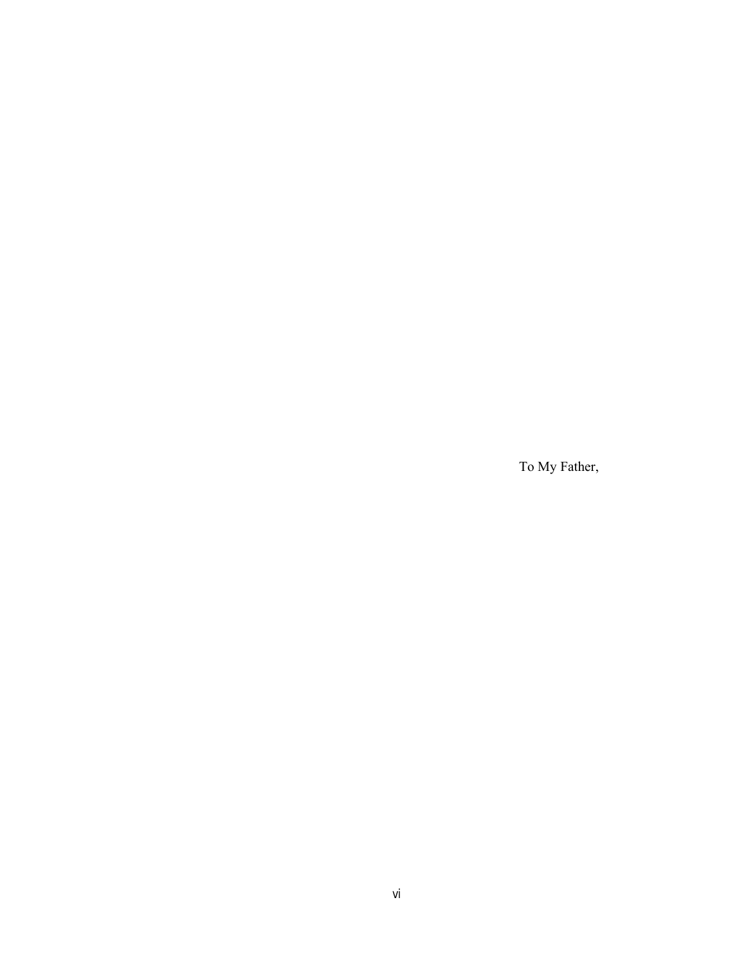To My Father,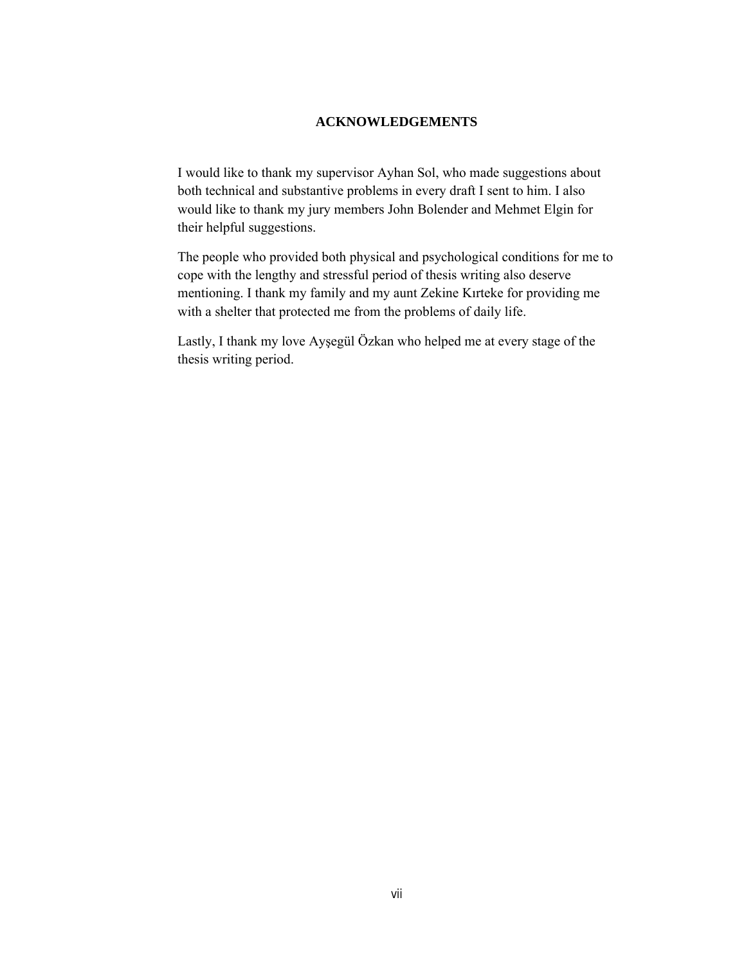# **ACKNOWLEDGEMENTS**

I would like to thank my supervisor Ayhan Sol, who made suggestions about both technical and substantive problems in every draft I sent to him. I also would like to thank my jury members John Bolender and Mehmet Elgin for their helpful suggestions.

The people who provided both physical and psychological conditions for me to cope with the lengthy and stressful period of thesis writing also deserve mentioning. I thank my family and my aunt Zekine Kırteke for providing me with a shelter that protected me from the problems of daily life.

Lastly, I thank my love Ayşegül Özkan who helped me at every stage of the thesis writing period.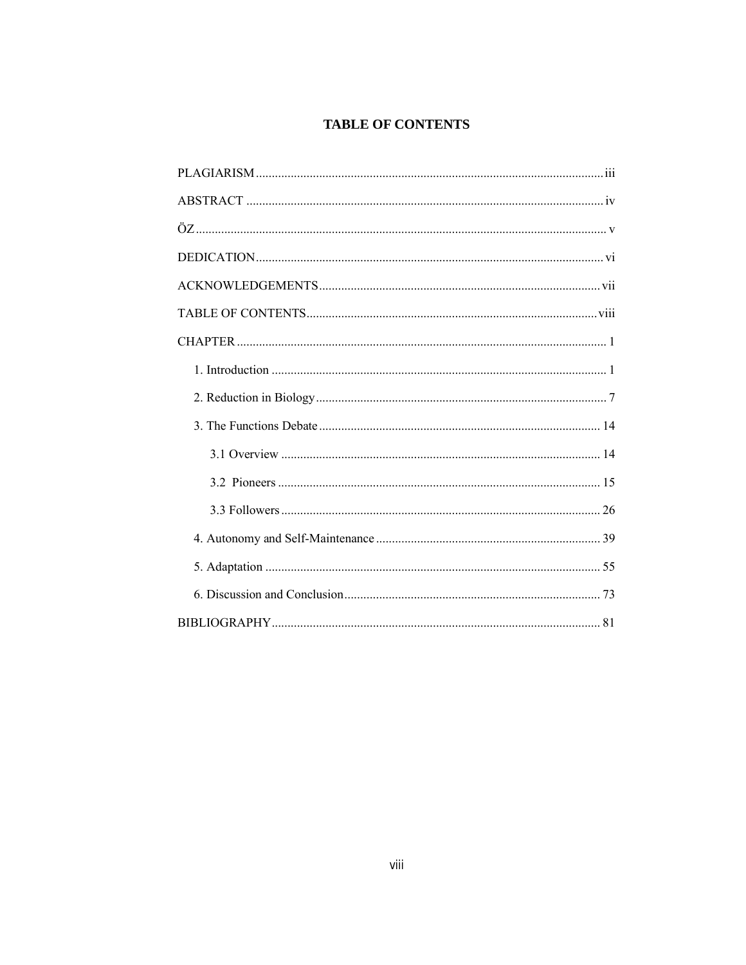# **TABLE OF CONTENTS**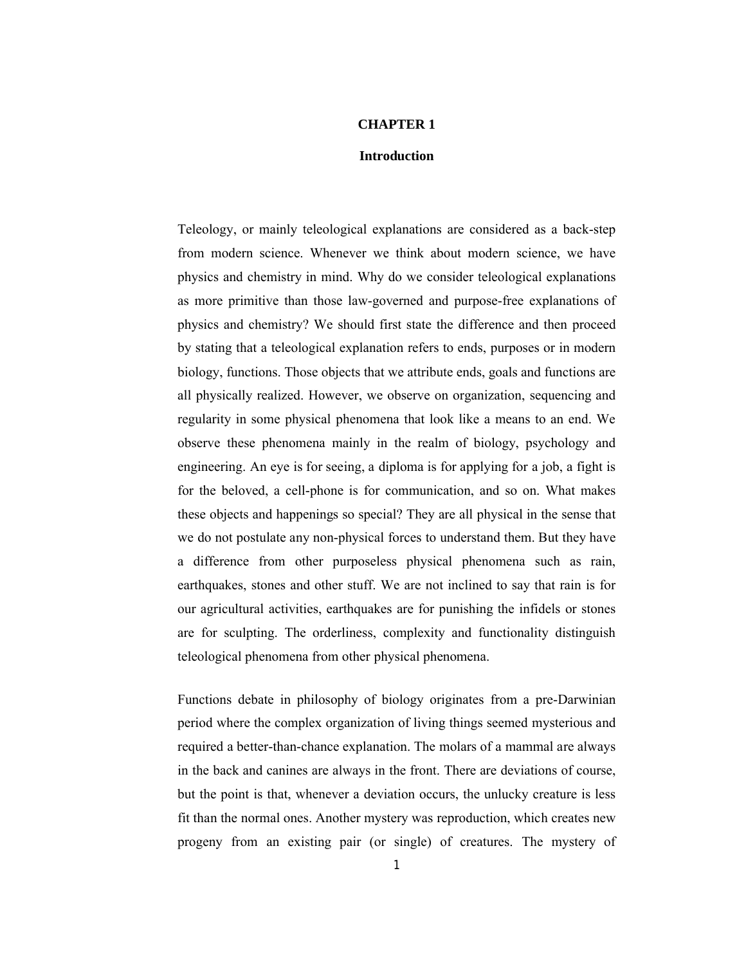#### **CHAPTER 1**

#### **Introduction**

Teleology, or mainly teleological explanations are considered as a back-step from modern science. Whenever we think about modern science, we have physics and chemistry in mind. Why do we consider teleological explanations as more primitive than those law-governed and purpose-free explanations of physics and chemistry? We should first state the difference and then proceed by stating that a teleological explanation refers to ends, purposes or in modern biology, functions. Those objects that we attribute ends, goals and functions are all physically realized. However, we observe on organization, sequencing and regularity in some physical phenomena that look like a means to an end. We observe these phenomena mainly in the realm of biology, psychology and engineering. An eye is for seeing, a diploma is for applying for a job, a fight is for the beloved, a cell-phone is for communication, and so on. What makes these objects and happenings so special? They are all physical in the sense that we do not postulate any non-physical forces to understand them. But they have a difference from other purposeless physical phenomena such as rain, earthquakes, stones and other stuff. We are not inclined to say that rain is for our agricultural activities, earthquakes are for punishing the infidels or stones are for sculpting. The orderliness, complexity and functionality distinguish teleological phenomena from other physical phenomena.

Functions debate in philosophy of biology originates from a pre-Darwinian period where the complex organization of living things seemed mysterious and required a better-than-chance explanation. The molars of a mammal are always in the back and canines are always in the front. There are deviations of course, but the point is that, whenever a deviation occurs, the unlucky creature is less fit than the normal ones. Another mystery was reproduction, which creates new progeny from an existing pair (or single) of creatures. The mystery of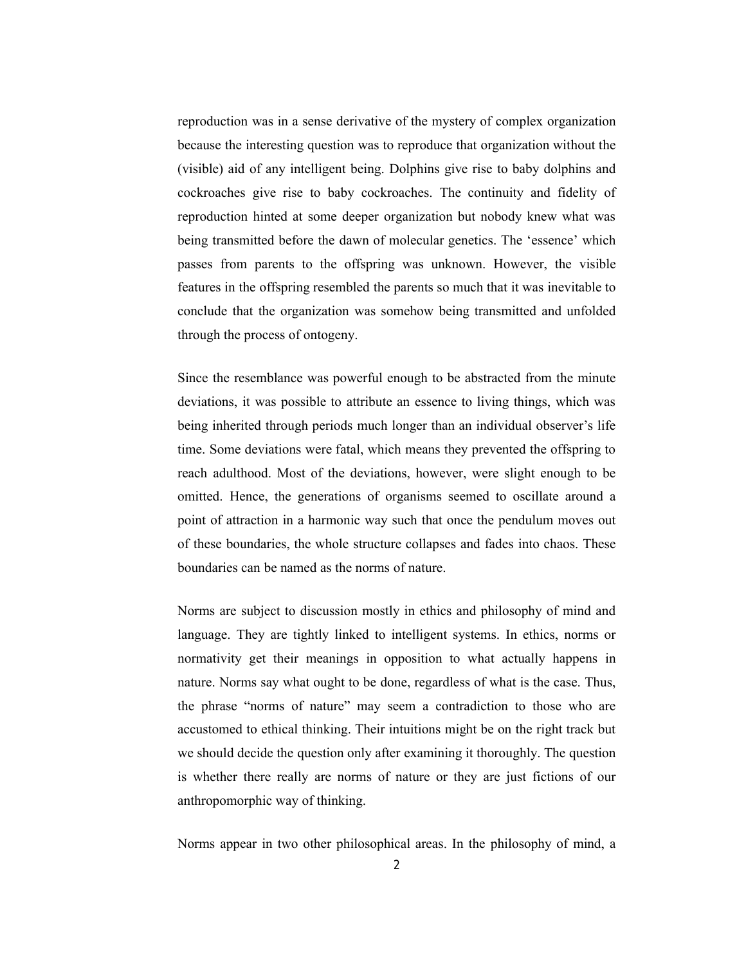reproduction was in a sense derivative of the mystery of complex organization because the interesting question was to reproduce that organization without the (visible) aid of any intelligent being. Dolphins give rise to baby dolphins and cockroaches give rise to baby cockroaches. The continuity and fidelity of reproduction hinted at some deeper organization but nobody knew what was being transmitted before the dawn of molecular genetics. The 'essence' which passes from parents to the offspring was unknown. However, the visible features in the offspring resembled the parents so much that it was inevitable to conclude that the organization was somehow being transmitted and unfolded through the process of ontogeny.

Since the resemblance was powerful enough to be abstracted from the minute deviations, it was possible to attribute an essence to living things, which was being inherited through periods much longer than an individual observer's life time. Some deviations were fatal, which means they prevented the offspring to reach adulthood. Most of the deviations, however, were slight enough to be omitted. Hence, the generations of organisms seemed to oscillate around a point of attraction in a harmonic way such that once the pendulum moves out of these boundaries, the whole structure collapses and fades into chaos. These boundaries can be named as the norms of nature.

Norms are subject to discussion mostly in ethics and philosophy of mind and language. They are tightly linked to intelligent systems. In ethics, norms or normativity get their meanings in opposition to what actually happens in nature. Norms say what ought to be done, regardless of what is the case. Thus, the phrase "norms of nature" may seem a contradiction to those who are accustomed to ethical thinking. Their intuitions might be on the right track but we should decide the question only after examining it thoroughly. The question is whether there really are norms of nature or they are just fictions of our anthropomorphic way of thinking.

Norms appear in two other philosophical areas. In the philosophy of mind, a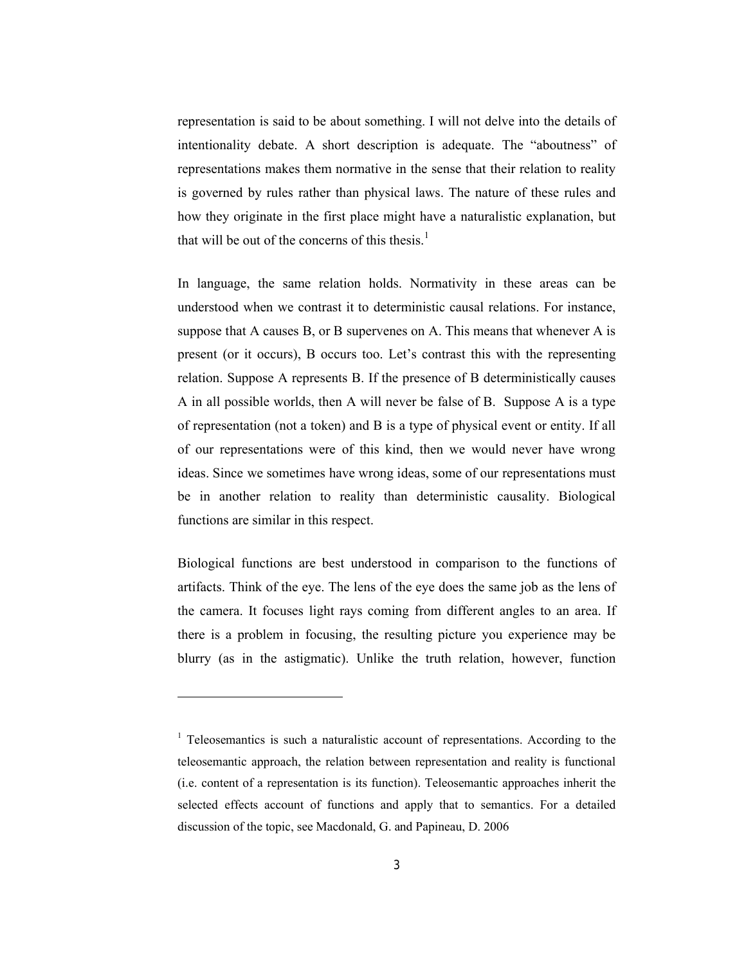representation is said to be about something. I will not delve into the details of intentionality debate. A short description is adequate. The "aboutness" of representations makes them normative in the sense that their relation to reality is governed by rules rather than physical laws. The nature of these rules and how they originate in the first place might have a naturalistic explanation, but that will be out of the concerns of this thesis. $<sup>1</sup>$ </sup>

In language, the same relation holds. Normativity in these areas can be understood when we contrast it to deterministic causal relations. For instance, suppose that A causes B, or B supervenes on A. This means that whenever A is present (or it occurs), B occurs too. Let's contrast this with the representing relation. Suppose A represents B. If the presence of B deterministically causes A in all possible worlds, then A will never be false of B. Suppose A is a type of representation (not a token) and B is a type of physical event or entity. If all of our representations were of this kind, then we would never have wrong ideas. Since we sometimes have wrong ideas, some of our representations must be in another relation to reality than deterministic causality. Biological functions are similar in this respect.

Biological functions are best understood in comparison to the functions of artifacts. Think of the eye. The lens of the eye does the same job as the lens of the camera. It focuses light rays coming from different angles to an area. If there is a problem in focusing, the resulting picture you experience may be blurry (as in the astigmatic). Unlike the truth relation, however, function

<sup>1</sup> Teleosemantics is such a naturalistic account of representations. According to the teleosemantic approach, the relation between representation and reality is functional (i.e. content of a representation is its function). Teleosemantic approaches inherit the selected effects account of functions and apply that to semantics. For a detailed discussion of the topic, see Macdonald, G. and Papineau, D. 2006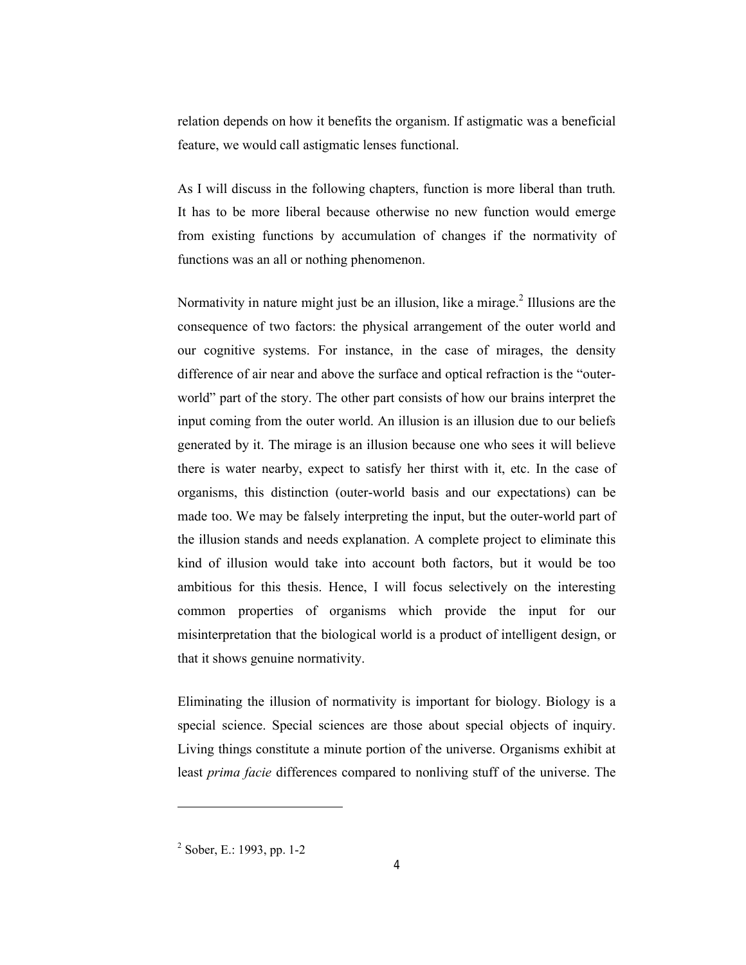relation depends on how it benefits the organism. If astigmatic was a beneficial feature, we would call astigmatic lenses functional.

As I will discuss in the following chapters, function is more liberal than truth. It has to be more liberal because otherwise no new function would emerge from existing functions by accumulation of changes if the normativity of functions was an all or nothing phenomenon.

Normativity in nature might just be an illusion, like a mirage.<sup>2</sup> Illusions are the consequence of two factors: the physical arrangement of the outer world and our cognitive systems. For instance, in the case of mirages, the density difference of air near and above the surface and optical refraction is the "outerworld" part of the story. The other part consists of how our brains interpret the input coming from the outer world. An illusion is an illusion due to our beliefs generated by it. The mirage is an illusion because one who sees it will believe there is water nearby, expect to satisfy her thirst with it, etc. In the case of organisms, this distinction (outer-world basis and our expectations) can be made too. We may be falsely interpreting the input, but the outer-world part of the illusion stands and needs explanation. A complete project to eliminate this kind of illusion would take into account both factors, but it would be too ambitious for this thesis. Hence, I will focus selectively on the interesting common properties of organisms which provide the input for our misinterpretation that the biological world is a product of intelligent design, or that it shows genuine normativity.

Eliminating the illusion of normativity is important for biology. Biology is a special science. Special sciences are those about special objects of inquiry. Living things constitute a minute portion of the universe. Organisms exhibit at least *prima facie* differences compared to nonliving stuff of the universe. The

<sup>2</sup> Sober, E.: 1993, pp. 1-2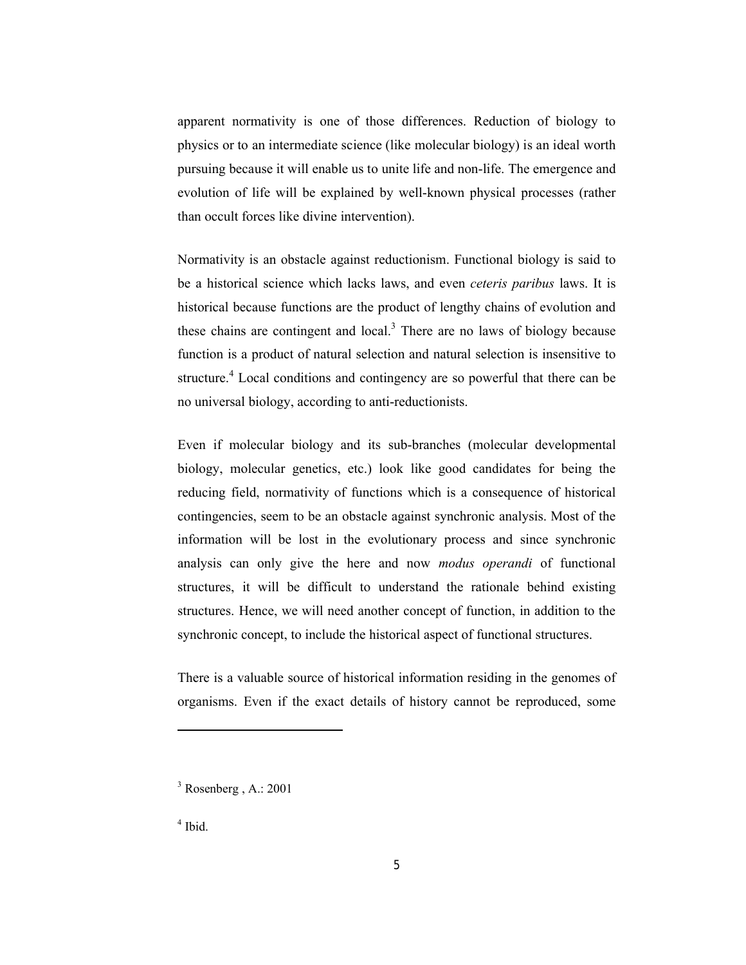apparent normativity is one of those differences. Reduction of biology to physics or to an intermediate science (like molecular biology) is an ideal worth pursuing because it will enable us to unite life and non-life. The emergence and evolution of life will be explained by well-known physical processes (rather than occult forces like divine intervention).

Normativity is an obstacle against reductionism. Functional biology is said to be a historical science which lacks laws, and even *ceteris paribus* laws. It is historical because functions are the product of lengthy chains of evolution and these chains are contingent and local.<sup>3</sup> There are no laws of biology because function is a product of natural selection and natural selection is insensitive to structure.<sup>4</sup> Local conditions and contingency are so powerful that there can be no universal biology, according to anti-reductionists.

Even if molecular biology and its sub-branches (molecular developmental biology, molecular genetics, etc.) look like good candidates for being the reducing field, normativity of functions which is a consequence of historical contingencies, seem to be an obstacle against synchronic analysis. Most of the information will be lost in the evolutionary process and since synchronic analysis can only give the here and now *modus operandi* of functional structures, it will be difficult to understand the rationale behind existing structures. Hence, we will need another concept of function, in addition to the synchronic concept, to include the historical aspect of functional structures.

There is a valuable source of historical information residing in the genomes of organisms. Even if the exact details of history cannot be reproduced, some

 $3$  Rosenberg, A.: 2001

 $<sup>4</sup>$  Ibid.</sup>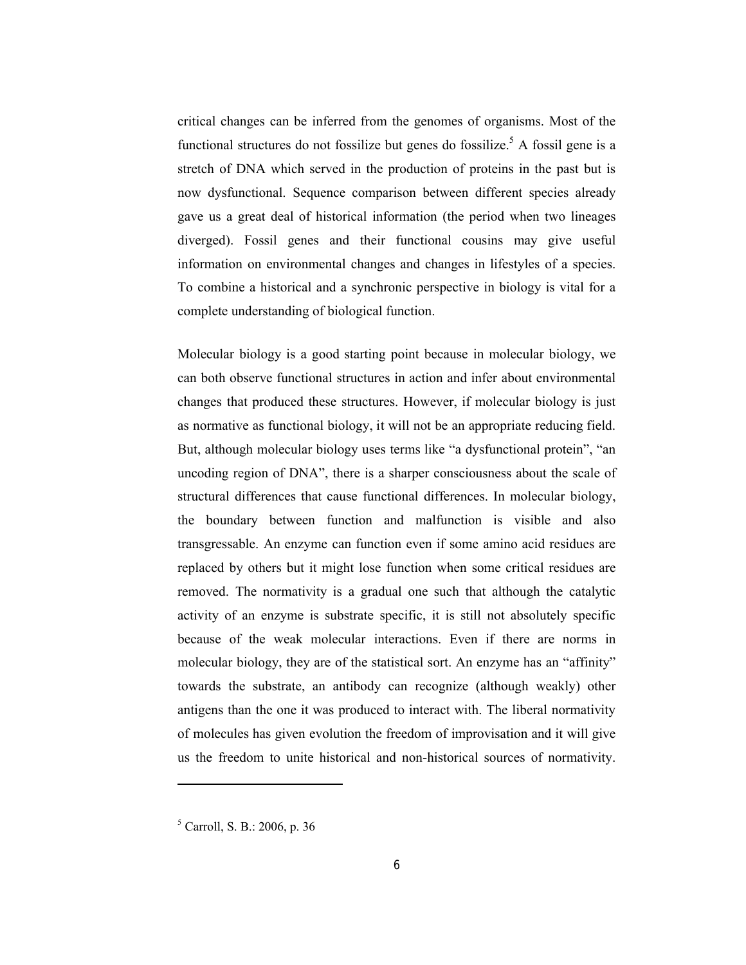critical changes can be inferred from the genomes of organisms. Most of the functional structures do not fossilize but genes do fossilize.<sup>5</sup> A fossil gene is a stretch of DNA which served in the production of proteins in the past but is now dysfunctional. Sequence comparison between different species already gave us a great deal of historical information (the period when two lineages diverged). Fossil genes and their functional cousins may give useful information on environmental changes and changes in lifestyles of a species. To combine a historical and a synchronic perspective in biology is vital for a complete understanding of biological function.

Molecular biology is a good starting point because in molecular biology, we can both observe functional structures in action and infer about environmental changes that produced these structures. However, if molecular biology is just as normative as functional biology, it will not be an appropriate reducing field. But, although molecular biology uses terms like "a dysfunctional protein", "an uncoding region of DNA", there is a sharper consciousness about the scale of structural differences that cause functional differences. In molecular biology, the boundary between function and malfunction is visible and also transgressable. An enzyme can function even if some amino acid residues are replaced by others but it might lose function when some critical residues are removed. The normativity is a gradual one such that although the catalytic activity of an enzyme is substrate specific, it is still not absolutely specific because of the weak molecular interactions. Even if there are norms in molecular biology, they are of the statistical sort. An enzyme has an "affinity" towards the substrate, an antibody can recognize (although weakly) other antigens than the one it was produced to interact with. The liberal normativity of molecules has given evolution the freedom of improvisation and it will give us the freedom to unite historical and non-historical sources of normativity.

 $<sup>5</sup>$  Carroll, S. B.: 2006, p. 36</sup>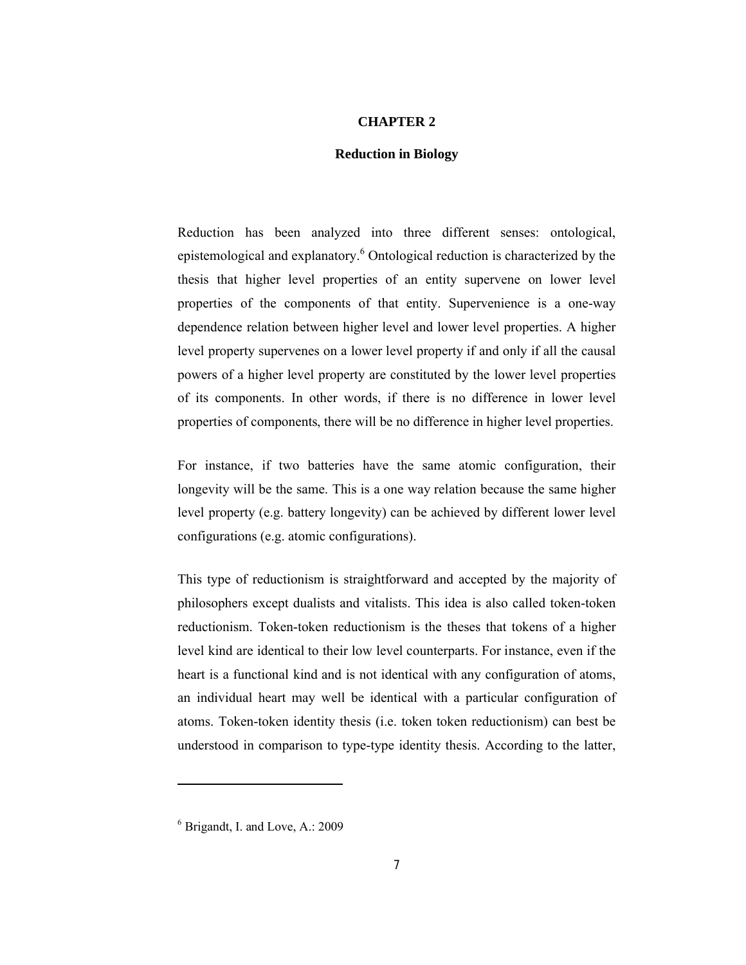## **CHAPTER 2**

## **Reduction in Biology**

Reduction has been analyzed into three different senses: ontological, epistemological and explanatory.<sup>6</sup> Ontological reduction is characterized by the thesis that higher level properties of an entity supervene on lower level properties of the components of that entity. Supervenience is a one-way dependence relation between higher level and lower level properties. A higher level property supervenes on a lower level property if and only if all the causal powers of a higher level property are constituted by the lower level properties of its components. In other words, if there is no difference in lower level properties of components, there will be no difference in higher level properties.

For instance, if two batteries have the same atomic configuration, their longevity will be the same. This is a one way relation because the same higher level property (e.g. battery longevity) can be achieved by different lower level configurations (e.g. atomic configurations).

This type of reductionism is straightforward and accepted by the majority of philosophers except dualists and vitalists. This idea is also called token-token reductionism. Token-token reductionism is the theses that tokens of a higher level kind are identical to their low level counterparts. For instance, even if the heart is a functional kind and is not identical with any configuration of atoms, an individual heart may well be identical with a particular configuration of atoms. Token-token identity thesis (i.e. token token reductionism) can best be understood in comparison to type-type identity thesis. According to the latter,

 $6$  Brigandt, I. and Love, A.: 2009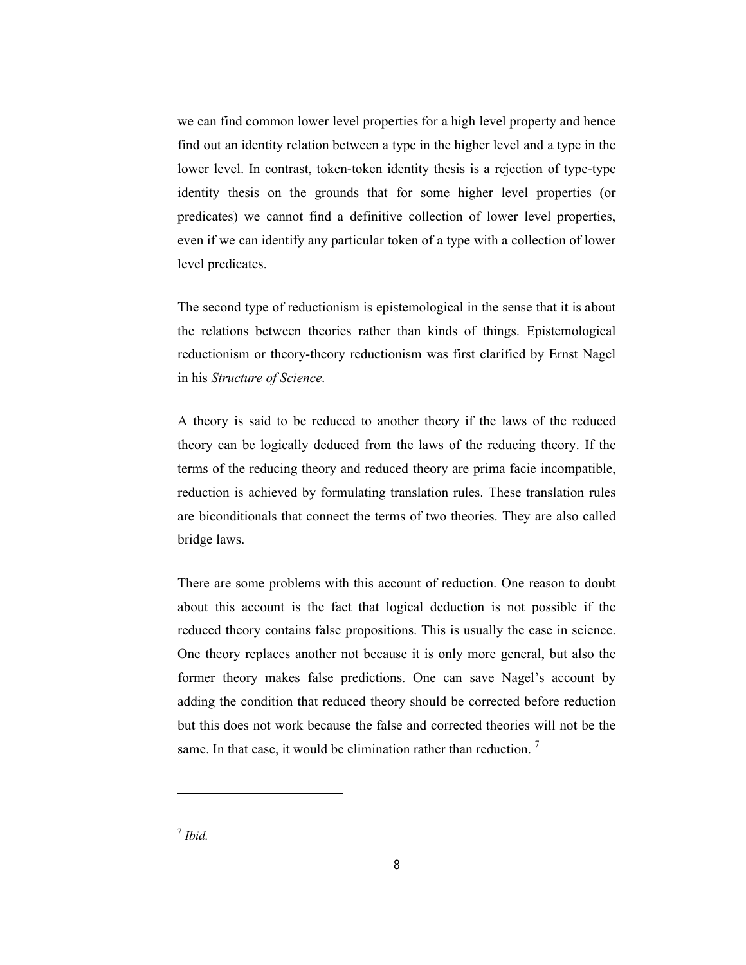we can find common lower level properties for a high level property and hence find out an identity relation between a type in the higher level and a type in the lower level. In contrast, token-token identity thesis is a rejection of type-type identity thesis on the grounds that for some higher level properties (or predicates) we cannot find a definitive collection of lower level properties, even if we can identify any particular token of a type with a collection of lower level predicates.

The second type of reductionism is epistemological in the sense that it is about the relations between theories rather than kinds of things. Epistemological reductionism or theory-theory reductionism was first clarified by Ernst Nagel in his *Structure of Science*.

A theory is said to be reduced to another theory if the laws of the reduced theory can be logically deduced from the laws of the reducing theory. If the terms of the reducing theory and reduced theory are prima facie incompatible, reduction is achieved by formulating translation rules. These translation rules are biconditionals that connect the terms of two theories. They are also called bridge laws.

There are some problems with this account of reduction. One reason to doubt about this account is the fact that logical deduction is not possible if the reduced theory contains false propositions. This is usually the case in science. One theory replaces another not because it is only more general, but also the former theory makes false predictions. One can save Nagel's account by adding the condition that reduced theory should be corrected before reduction but this does not work because the false and corrected theories will not be the same. In that case, it would be elimination rather than reduction.<sup>7</sup>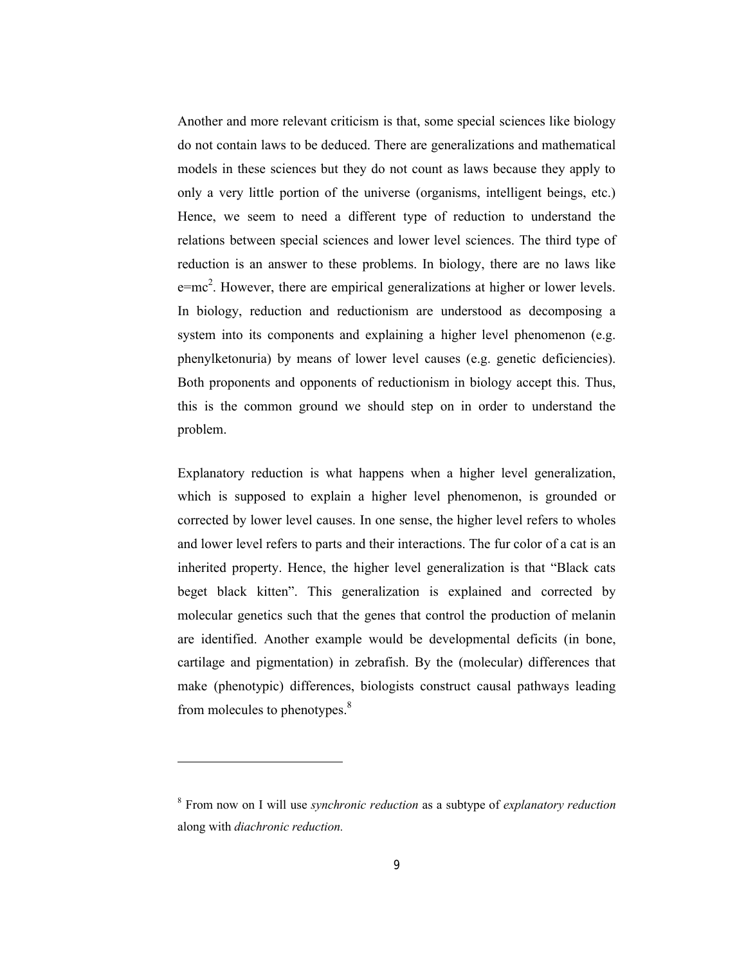Another and more relevant criticism is that, some special sciences like biology do not contain laws to be deduced. There are generalizations and mathematical models in these sciences but they do not count as laws because they apply to only a very little portion of the universe (organisms, intelligent beings, etc.) Hence, we seem to need a different type of reduction to understand the relations between special sciences and lower level sciences. The third type of reduction is an answer to these problems. In biology, there are no laws like  $e=mc<sup>2</sup>$ . However, there are empirical generalizations at higher or lower levels. In biology, reduction and reductionism are understood as decomposing a system into its components and explaining a higher level phenomenon (e.g. phenylketonuria) by means of lower level causes (e.g. genetic deficiencies). Both proponents and opponents of reductionism in biology accept this. Thus, this is the common ground we should step on in order to understand the problem.

Explanatory reduction is what happens when a higher level generalization, which is supposed to explain a higher level phenomenon, is grounded or corrected by lower level causes. In one sense, the higher level refers to wholes and lower level refers to parts and their interactions. The fur color of a cat is an inherited property. Hence, the higher level generalization is that "Black cats beget black kitten". This generalization is explained and corrected by molecular genetics such that the genes that control the production of melanin are identified. Another example would be developmental deficits (in bone, cartilage and pigmentation) in zebrafish. By the (molecular) differences that make (phenotypic) differences, biologists construct causal pathways leading from molecules to phenotypes.<sup>8</sup>

<sup>8</sup> From now on I will use *synchronic reduction* as a subtype of *explanatory reduction* along with *diachronic reduction.*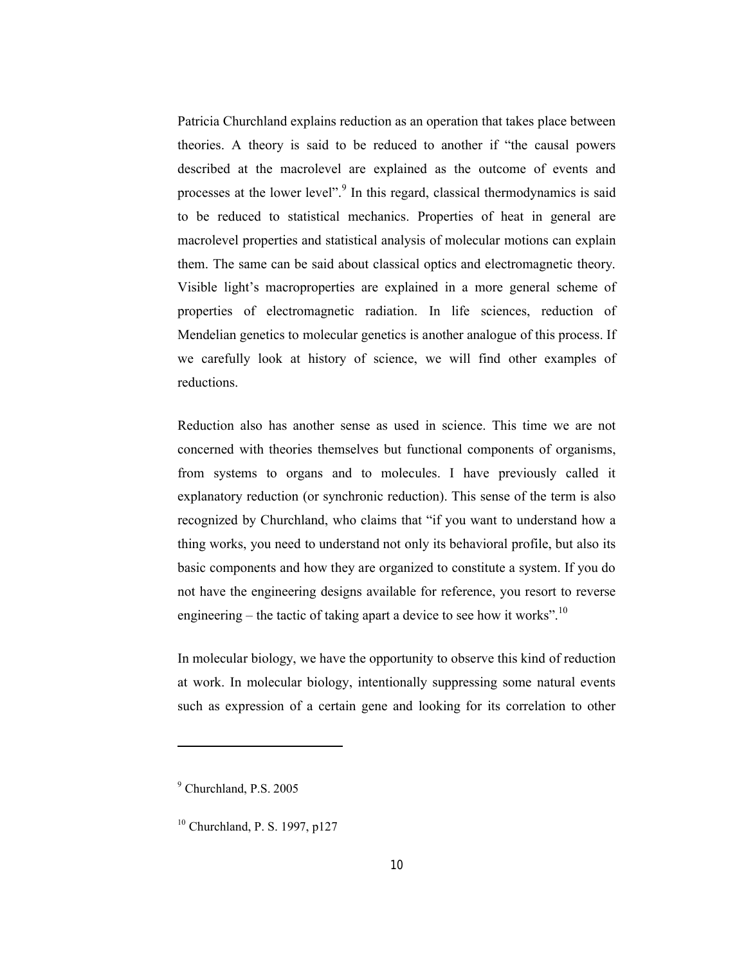Patricia Churchland explains reduction as an operation that takes place between theories. A theory is said to be reduced to another if "the causal powers described at the macrolevel are explained as the outcome of events and processes at the lower level".<sup>9</sup> In this regard, classical thermodynamics is said to be reduced to statistical mechanics. Properties of heat in general are macrolevel properties and statistical analysis of molecular motions can explain them. The same can be said about classical optics and electromagnetic theory. Visible light's macroproperties are explained in a more general scheme of properties of electromagnetic radiation. In life sciences, reduction of Mendelian genetics to molecular genetics is another analogue of this process. If we carefully look at history of science, we will find other examples of reductions.

Reduction also has another sense as used in science. This time we are not concerned with theories themselves but functional components of organisms, from systems to organs and to molecules. I have previously called it explanatory reduction (or synchronic reduction). This sense of the term is also recognized by Churchland, who claims that "if you want to understand how a thing works, you need to understand not only its behavioral profile, but also its basic components and how they are organized to constitute a system. If you do not have the engineering designs available for reference, you resort to reverse engineering – the tactic of taking apart a device to see how it works".<sup>10</sup>

In molecular biology, we have the opportunity to observe this kind of reduction at work. In molecular biology, intentionally suppressing some natural events such as expression of a certain gene and looking for its correlation to other

<sup>9</sup> Churchland, P.S. 2005

<sup>10</sup> Churchland, P. S. 1997, p127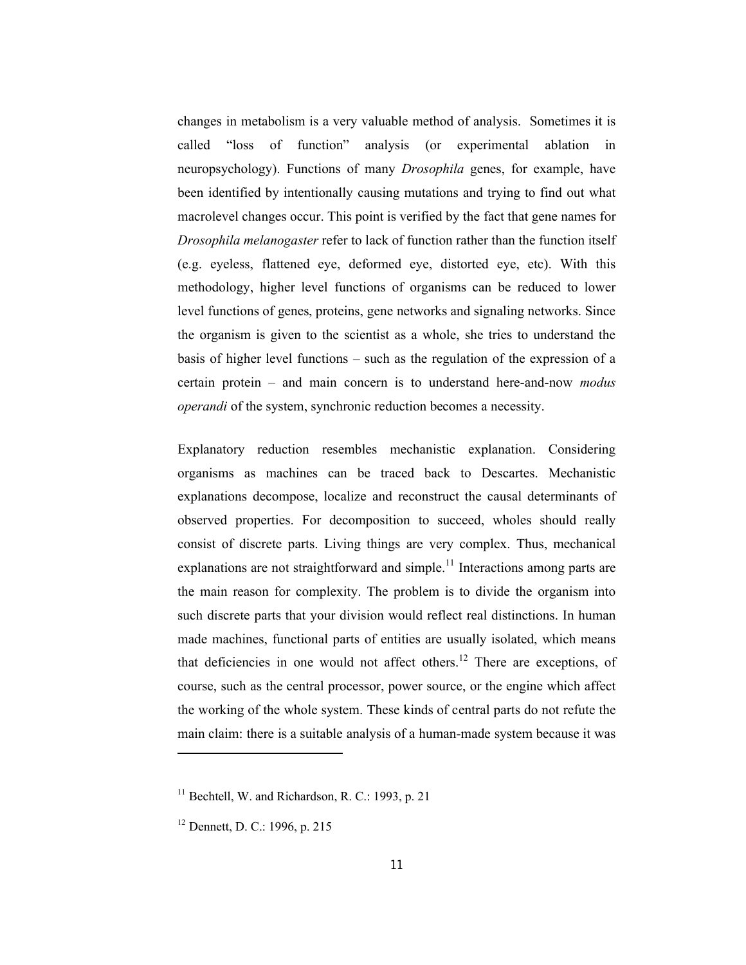changes in metabolism is a very valuable method of analysis. Sometimes it is called "loss of function" analysis (or experimental ablation in neuropsychology). Functions of many *Drosophila* genes, for example, have been identified by intentionally causing mutations and trying to find out what macrolevel changes occur. This point is verified by the fact that gene names for *Drosophila melanogaster* refer to lack of function rather than the function itself (e.g. eyeless, flattened eye, deformed eye, distorted eye, etc). With this methodology, higher level functions of organisms can be reduced to lower level functions of genes, proteins, gene networks and signaling networks. Since the organism is given to the scientist as a whole, she tries to understand the basis of higher level functions – such as the regulation of the expression of a certain protein – and main concern is to understand here-and-now *modus operandi* of the system, synchronic reduction becomes a necessity.

Explanatory reduction resembles mechanistic explanation. Considering organisms as machines can be traced back to Descartes. Mechanistic explanations decompose, localize and reconstruct the causal determinants of observed properties. For decomposition to succeed, wholes should really consist of discrete parts. Living things are very complex. Thus, mechanical explanations are not straightforward and simple.<sup>11</sup> Interactions among parts are the main reason for complexity. The problem is to divide the organism into such discrete parts that your division would reflect real distinctions. In human made machines, functional parts of entities are usually isolated, which means that deficiencies in one would not affect others.<sup>12</sup> There are exceptions, of course, such as the central processor, power source, or the engine which affect the working of the whole system. These kinds of central parts do not refute the main claim: there is a suitable analysis of a human-made system because it was

 $11$  Bechtell, W. and Richardson, R. C.: 1993, p. 21

<sup>12</sup> Dennett, D. C.: 1996, p. 215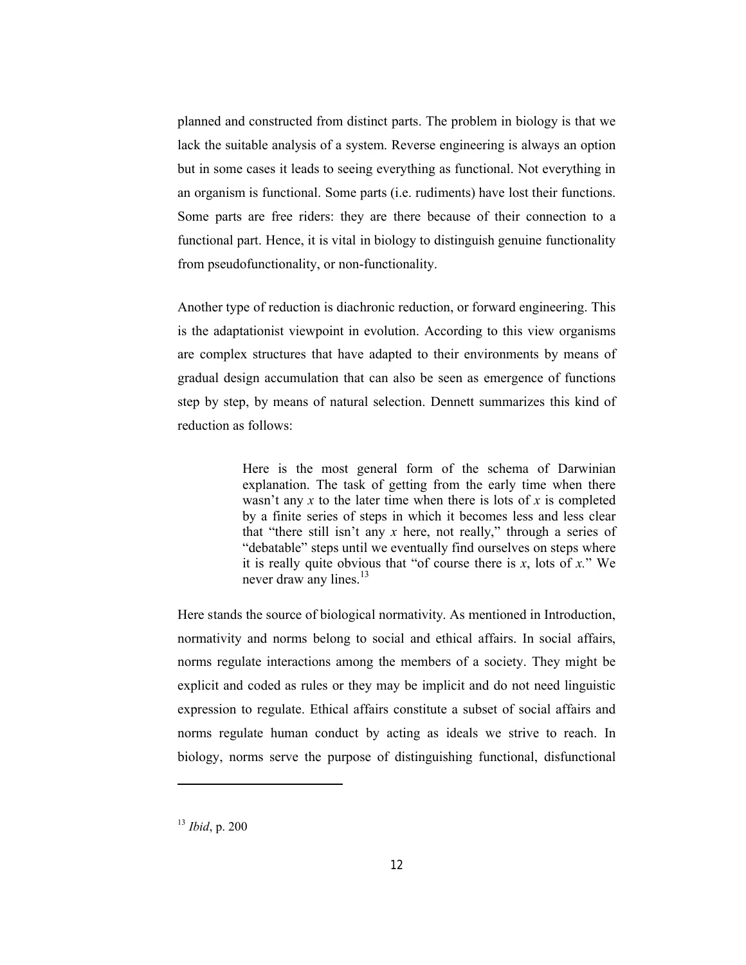planned and constructed from distinct parts. The problem in biology is that we lack the suitable analysis of a system. Reverse engineering is always an option but in some cases it leads to seeing everything as functional. Not everything in an organism is functional. Some parts (i.e. rudiments) have lost their functions. Some parts are free riders: they are there because of their connection to a functional part. Hence, it is vital in biology to distinguish genuine functionality from pseudofunctionality, or non-functionality.

Another type of reduction is diachronic reduction, or forward engineering. This is the adaptationist viewpoint in evolution. According to this view organisms are complex structures that have adapted to their environments by means of gradual design accumulation that can also be seen as emergence of functions step by step, by means of natural selection. Dennett summarizes this kind of reduction as follows:

> Here is the most general form of the schema of Darwinian explanation. The task of getting from the early time when there wasn't any *x* to the later time when there is lots of *x* is completed by a finite series of steps in which it becomes less and less clear that "there still isn't any *x* here, not really," through a series of "debatable" steps until we eventually find ourselves on steps where it is really quite obvious that "of course there is *x*, lots of *x.*" We never draw any lines.<sup>13</sup>

Here stands the source of biological normativity. As mentioned in Introduction, normativity and norms belong to social and ethical affairs. In social affairs, norms regulate interactions among the members of a society. They might be explicit and coded as rules or they may be implicit and do not need linguistic expression to regulate. Ethical affairs constitute a subset of social affairs and norms regulate human conduct by acting as ideals we strive to reach. In biology, norms serve the purpose of distinguishing functional, disfunctional

<sup>13</sup> *Ibid*, p. 200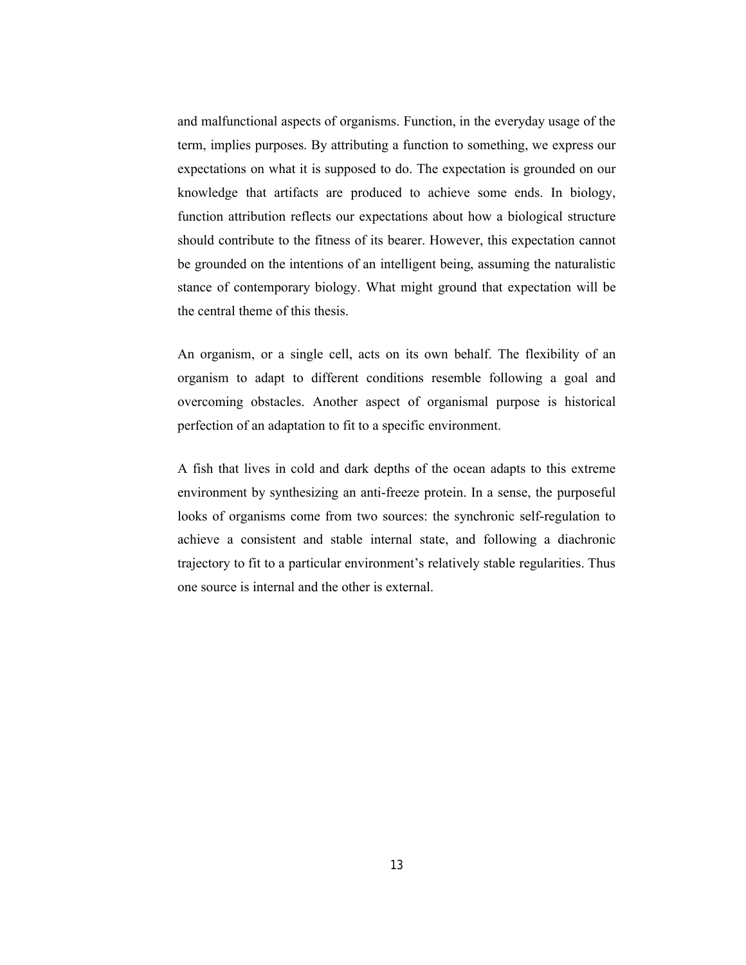and malfunctional aspects of organisms. Function, in the everyday usage of the term, implies purposes. By attributing a function to something, we express our expectations on what it is supposed to do. The expectation is grounded on our knowledge that artifacts are produced to achieve some ends. In biology, function attribution reflects our expectations about how a biological structure should contribute to the fitness of its bearer. However, this expectation cannot be grounded on the intentions of an intelligent being, assuming the naturalistic stance of contemporary biology. What might ground that expectation will be the central theme of this thesis.

An organism, or a single cell, acts on its own behalf. The flexibility of an organism to adapt to different conditions resemble following a goal and overcoming obstacles. Another aspect of organismal purpose is historical perfection of an adaptation to fit to a specific environment.

A fish that lives in cold and dark depths of the ocean adapts to this extreme environment by synthesizing an anti-freeze protein. In a sense, the purposeful looks of organisms come from two sources: the synchronic self-regulation to achieve a consistent and stable internal state, and following a diachronic trajectory to fit to a particular environment's relatively stable regularities. Thus one source is internal and the other is external.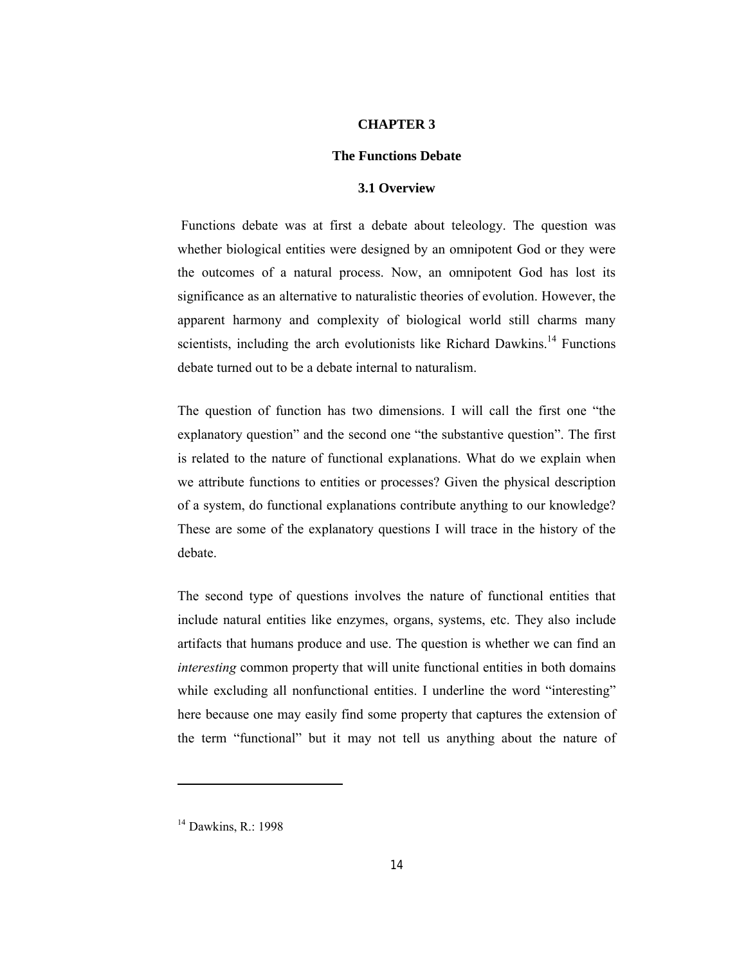#### **CHAPTER 3**

## **The Functions Debate**

## **3.1 Overview**

Functions debate was at first a debate about teleology. The question was whether biological entities were designed by an omnipotent God or they were the outcomes of a natural process. Now, an omnipotent God has lost its significance as an alternative to naturalistic theories of evolution. However, the apparent harmony and complexity of biological world still charms many scientists, including the arch evolutionists like Richard Dawkins.<sup>14</sup> Functions debate turned out to be a debate internal to naturalism.

The question of function has two dimensions. I will call the first one "the explanatory question" and the second one "the substantive question". The first is related to the nature of functional explanations. What do we explain when we attribute functions to entities or processes? Given the physical description of a system, do functional explanations contribute anything to our knowledge? These are some of the explanatory questions I will trace in the history of the debate.

The second type of questions involves the nature of functional entities that include natural entities like enzymes, organs, systems, etc. They also include artifacts that humans produce and use. The question is whether we can find an *interesting* common property that will unite functional entities in both domains while excluding all nonfunctional entities. I underline the word "interesting" here because one may easily find some property that captures the extension of the term "functional" but it may not tell us anything about the nature of

<sup>&</sup>lt;sup>14</sup> Dawkins, R.: 1998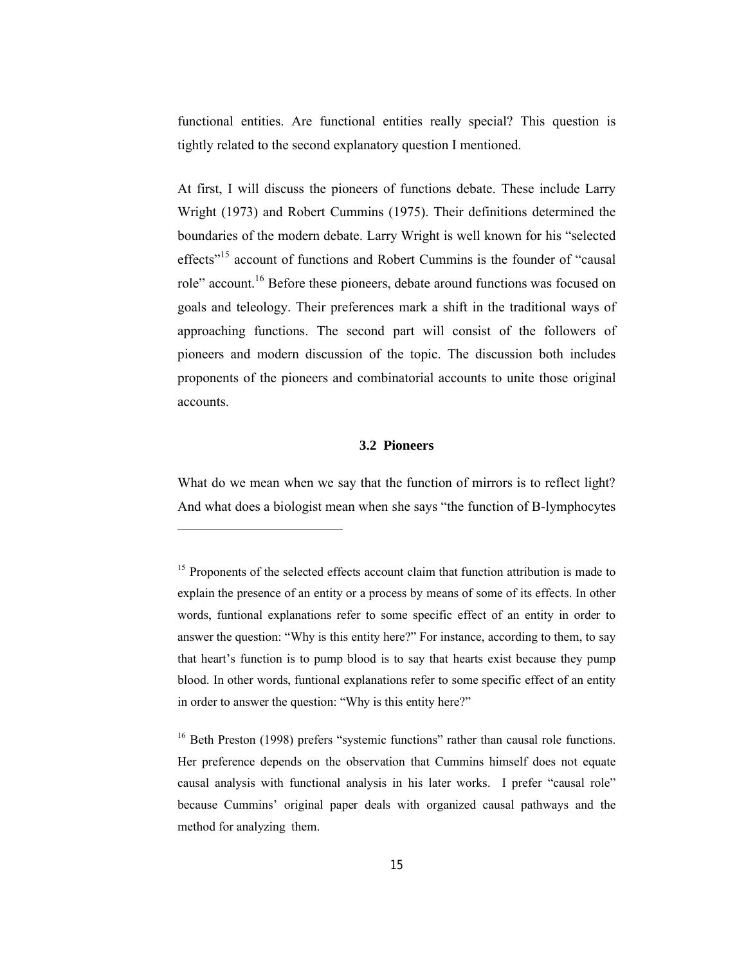functional entities. Are functional entities really special? This question is tightly related to the second explanatory question I mentioned.

At first, I will discuss the pioneers of functions debate. These include Larry Wright (1973) and Robert Cummins (1975). Their definitions determined the boundaries of the modern debate. Larry Wright is well known for his "selected effects<sup>"15</sup> account of functions and Robert Cummins is the founder of "causal" role" account.<sup>16</sup> Before these pioneers, debate around functions was focused on goals and teleology. Their preferences mark a shift in the traditional ways of approaching functions. The second part will consist of the followers of pioneers and modern discussion of the topic. The discussion both includes proponents of the pioneers and combinatorial accounts to unite those original accounts.

## **3.2 Pioneers**

What do we mean when we say that the function of mirrors is to reflect light? And what does a biologist mean when she says "the function of B-lymphocytes

<sup>&</sup>lt;sup>15</sup> Proponents of the selected effects account claim that function attribution is made to explain the presence of an entity or a process by means of some of its effects. In other words, funtional explanations refer to some specific effect of an entity in order to answer the question: "Why is this entity here?" For instance, according to them, to say that heart's function is to pump blood is to say that hearts exist because they pump blood. In other words, funtional explanations refer to some specific effect of an entity in order to answer the question: "Why is this entity here?"

<sup>&</sup>lt;sup>16</sup> Beth Preston (1998) prefers "systemic functions" rather than causal role functions. Her preference depends on the observation that Cummins himself does not equate causal analysis with functional analysis in his later works. I prefer "causal role" because Cummins' original paper deals with organized causal pathways and the method for analyzing them.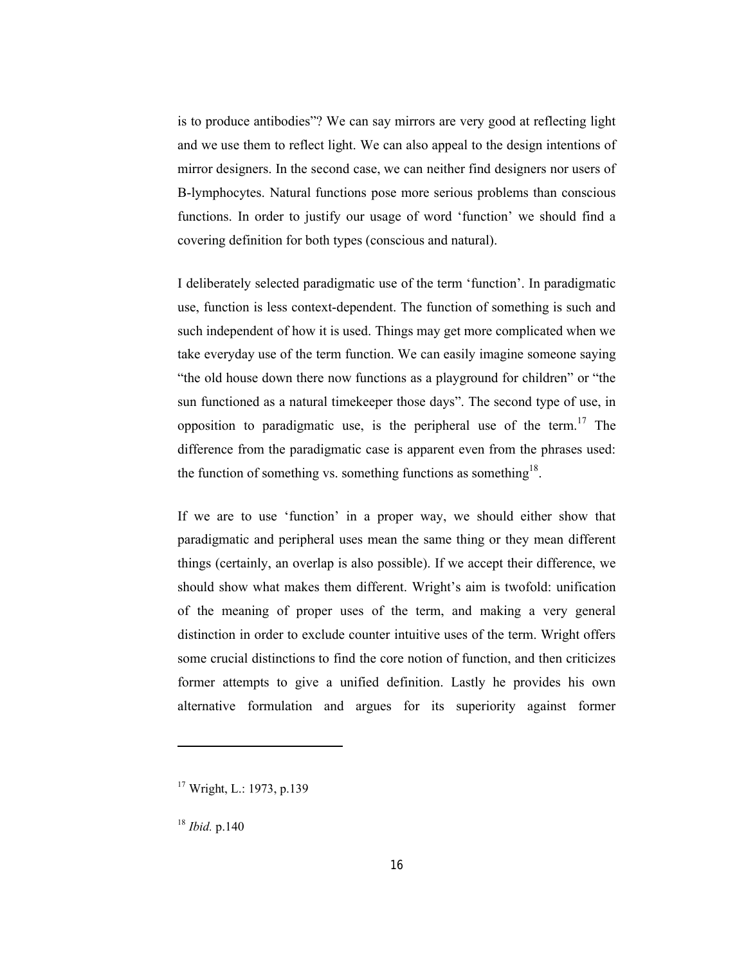is to produce antibodies"? We can say mirrors are very good at reflecting light and we use them to reflect light. We can also appeal to the design intentions of mirror designers. In the second case, we can neither find designers nor users of B-lymphocytes. Natural functions pose more serious problems than conscious functions. In order to justify our usage of word 'function' we should find a covering definition for both types (conscious and natural).

I deliberately selected paradigmatic use of the term 'function'. In paradigmatic use, function is less context-dependent. The function of something is such and such independent of how it is used. Things may get more complicated when we take everyday use of the term function. We can easily imagine someone saying "the old house down there now functions as a playground for children" or "the sun functioned as a natural timekeeper those days". The second type of use, in opposition to paradigmatic use, is the peripheral use of the term.<sup>17</sup> The difference from the paradigmatic case is apparent even from the phrases used: the function of something vs. something functions as something<sup>18</sup>.

If we are to use 'function' in a proper way, we should either show that paradigmatic and peripheral uses mean the same thing or they mean different things (certainly, an overlap is also possible). If we accept their difference, we should show what makes them different. Wright's aim is twofold: unification of the meaning of proper uses of the term, and making a very general distinction in order to exclude counter intuitive uses of the term. Wright offers some crucial distinctions to find the core notion of function, and then criticizes former attempts to give a unified definition. Lastly he provides his own alternative formulation and argues for its superiority against former

<sup>17</sup> Wright, L.: 1973, p.139

<sup>18</sup> *Ibid.* p.140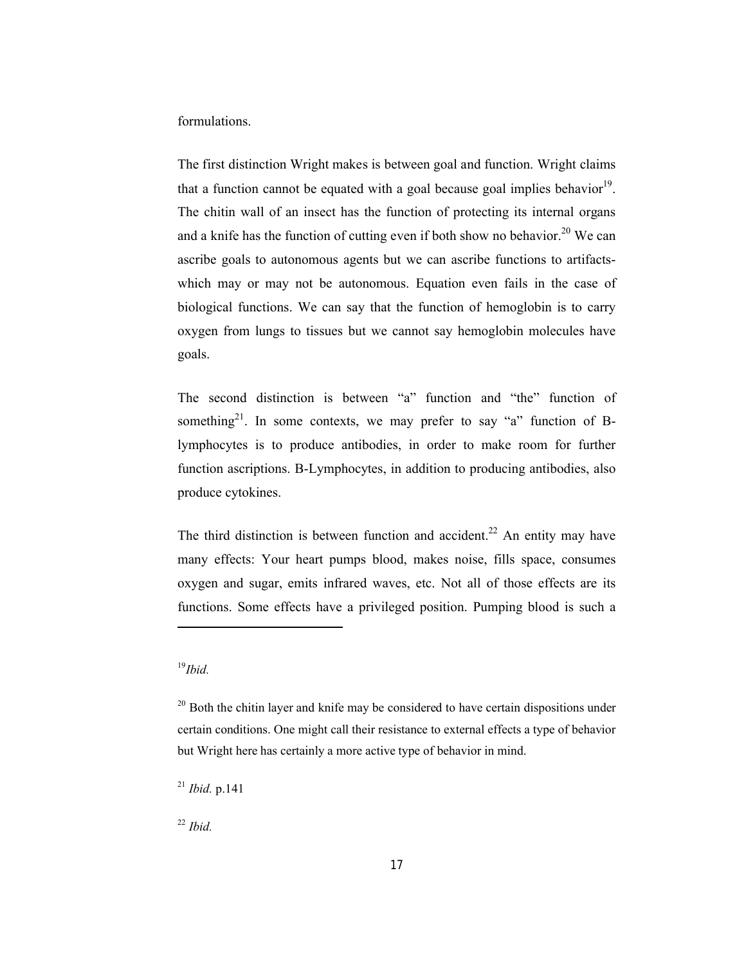formulations.

The first distinction Wright makes is between goal and function. Wright claims that a function cannot be equated with a goal because goal implies behavior<sup>19</sup>. The chitin wall of an insect has the function of protecting its internal organs and a knife has the function of cutting even if both show no behavior.<sup>20</sup> We can ascribe goals to autonomous agents but we can ascribe functions to artifactswhich may or may not be autonomous. Equation even fails in the case of biological functions. We can say that the function of hemoglobin is to carry oxygen from lungs to tissues but we cannot say hemoglobin molecules have goals.

The second distinction is between "a" function and "the" function of something<sup>21</sup>. In some contexts, we may prefer to say "a" function of Blymphocytes is to produce antibodies, in order to make room for further function ascriptions. B-Lymphocytes, in addition to producing antibodies, also produce cytokines.

The third distinction is between function and accident.<sup>22</sup> An entity may have many effects: Your heart pumps blood, makes noise, fills space, consumes oxygen and sugar, emits infrared waves, etc. Not all of those effects are its functions. Some effects have a privileged position. Pumping blood is such a

-

<sup>22</sup> *Ibid.* 

<sup>19</sup>*Ibid.*

 $20$  Both the chitin layer and knife may be considered to have certain dispositions under certain conditions. One might call their resistance to external effects a type of behavior but Wright here has certainly a more active type of behavior in mind.

<sup>21</sup> *Ibid.* p.141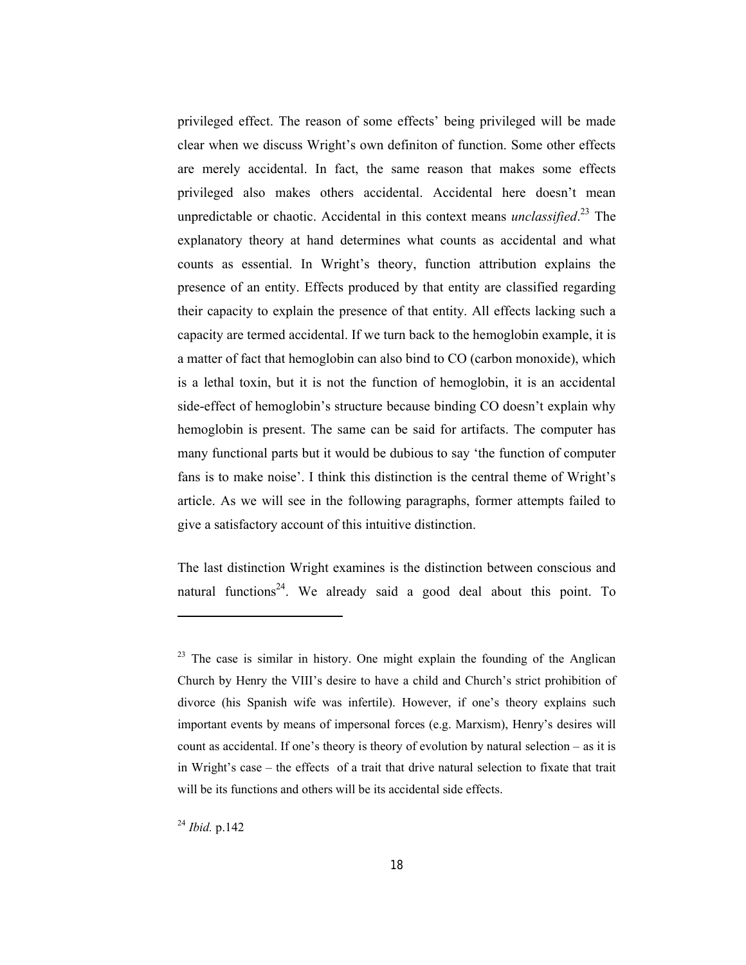privileged effect. The reason of some effects' being privileged will be made clear when we discuss Wright's own definiton of function. Some other effects are merely accidental. In fact, the same reason that makes some effects privileged also makes others accidental. Accidental here doesn't mean unpredictable or chaotic. Accidental in this context means *unclassified*. <sup>23</sup> The explanatory theory at hand determines what counts as accidental and what counts as essential. In Wright's theory, function attribution explains the presence of an entity. Effects produced by that entity are classified regarding their capacity to explain the presence of that entity. All effects lacking such a capacity are termed accidental. If we turn back to the hemoglobin example, it is a matter of fact that hemoglobin can also bind to CO (carbon monoxide), which is a lethal toxin, but it is not the function of hemoglobin, it is an accidental side-effect of hemoglobin's structure because binding CO doesn't explain why hemoglobin is present. The same can be said for artifacts. The computer has many functional parts but it would be dubious to say 'the function of computer fans is to make noise'. I think this distinction is the central theme of Wright's article. As we will see in the following paragraphs, former attempts failed to give a satisfactory account of this intuitive distinction.

The last distinction Wright examines is the distinction between conscious and natural functions<sup>24</sup>. We already said a good deal about this point. To

<sup>24</sup> *Ibid.* p.142

 $23$  The case is similar in history. One might explain the founding of the Anglican Church by Henry the VIII's desire to have a child and Church's strict prohibition of divorce (his Spanish wife was infertile). However, if one's theory explains such important events by means of impersonal forces (e.g. Marxism), Henry's desires will count as accidental. If one's theory is theory of evolution by natural selection – as it is in Wright's case – the effects of a trait that drive natural selection to fixate that trait will be its functions and others will be its accidental side effects.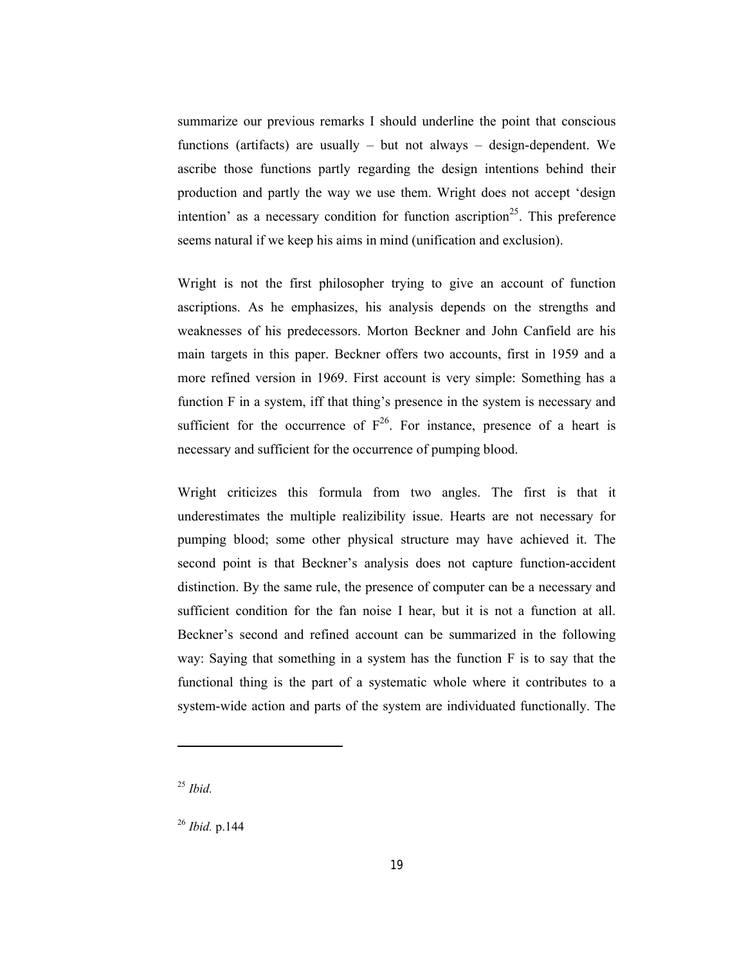summarize our previous remarks I should underline the point that conscious functions (artifacts) are usually – but not always – design-dependent. We ascribe those functions partly regarding the design intentions behind their production and partly the way we use them. Wright does not accept 'design intention' as a necessary condition for function ascription<sup>25</sup>. This preference seems natural if we keep his aims in mind (unification and exclusion).

Wright is not the first philosopher trying to give an account of function ascriptions. As he emphasizes, his analysis depends on the strengths and weaknesses of his predecessors. Morton Beckner and John Canfield are his main targets in this paper. Beckner offers two accounts, first in 1959 and a more refined version in 1969. First account is very simple: Something has a function F in a system, iff that thing's presence in the system is necessary and sufficient for the occurrence of  $F^{26}$ . For instance, presence of a heart is necessary and sufficient for the occurrence of pumping blood.

Wright criticizes this formula from two angles. The first is that it underestimates the multiple realizibility issue. Hearts are not necessary for pumping blood; some other physical structure may have achieved it. The second point is that Beckner's analysis does not capture function-accident distinction. By the same rule, the presence of computer can be a necessary and sufficient condition for the fan noise I hear, but it is not a function at all. Beckner's second and refined account can be summarized in the following way: Saying that something in a system has the function F is to say that the functional thing is the part of a systematic whole where it contributes to a system-wide action and parts of the system are individuated functionally. The

<sup>25</sup> *Ibid.* 

-

<sup>26</sup> *Ibid.* p.144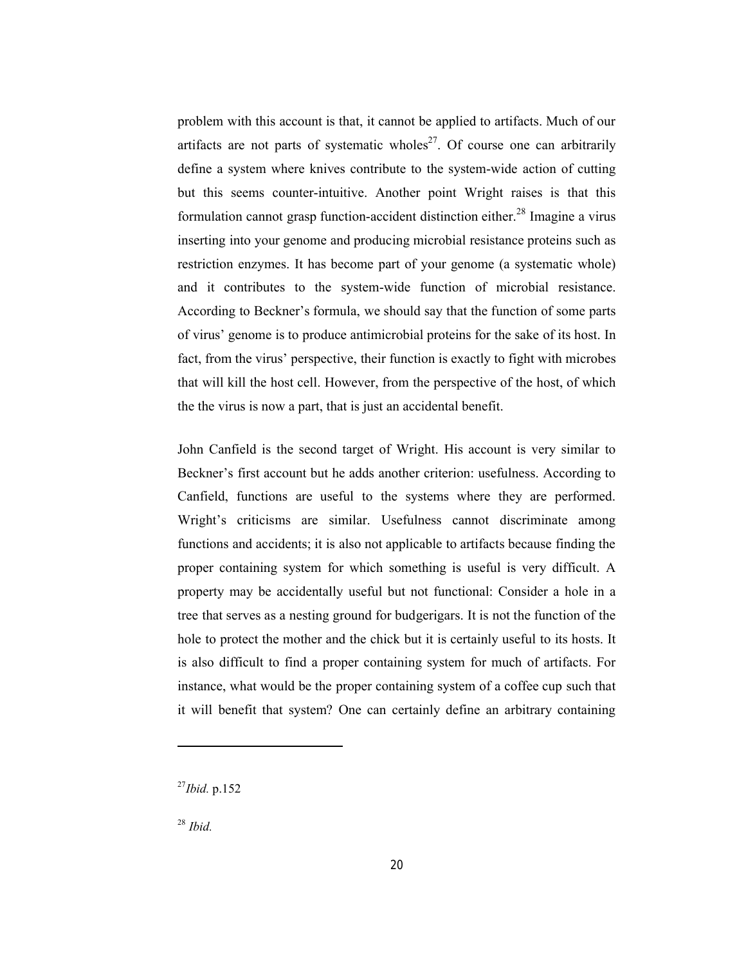problem with this account is that, it cannot be applied to artifacts. Much of our artifacts are not parts of systematic wholes<sup>27</sup>. Of course one can arbitrarily define a system where knives contribute to the system-wide action of cutting but this seems counter-intuitive. Another point Wright raises is that this formulation cannot grasp function-accident distinction either.<sup>28</sup> Imagine a virus inserting into your genome and producing microbial resistance proteins such as restriction enzymes. It has become part of your genome (a systematic whole) and it contributes to the system-wide function of microbial resistance. According to Beckner's formula, we should say that the function of some parts of virus' genome is to produce antimicrobial proteins for the sake of its host. In fact, from the virus' perspective, their function is exactly to fight with microbes that will kill the host cell. However, from the perspective of the host, of which the the virus is now a part, that is just an accidental benefit.

John Canfield is the second target of Wright. His account is very similar to Beckner's first account but he adds another criterion: usefulness. According to Canfield, functions are useful to the systems where they are performed. Wright's criticisms are similar. Usefulness cannot discriminate among functions and accidents; it is also not applicable to artifacts because finding the proper containing system for which something is useful is very difficult. A property may be accidentally useful but not functional: Consider a hole in a tree that serves as a nesting ground for budgerigars. It is not the function of the hole to protect the mother and the chick but it is certainly useful to its hosts. It is also difficult to find a proper containing system for much of artifacts. For instance, what would be the proper containing system of a coffee cup such that it will benefit that system? One can certainly define an arbitrary containing

<sup>27</sup>*Ibid.* p.152

<sup>28</sup> *Ibid.*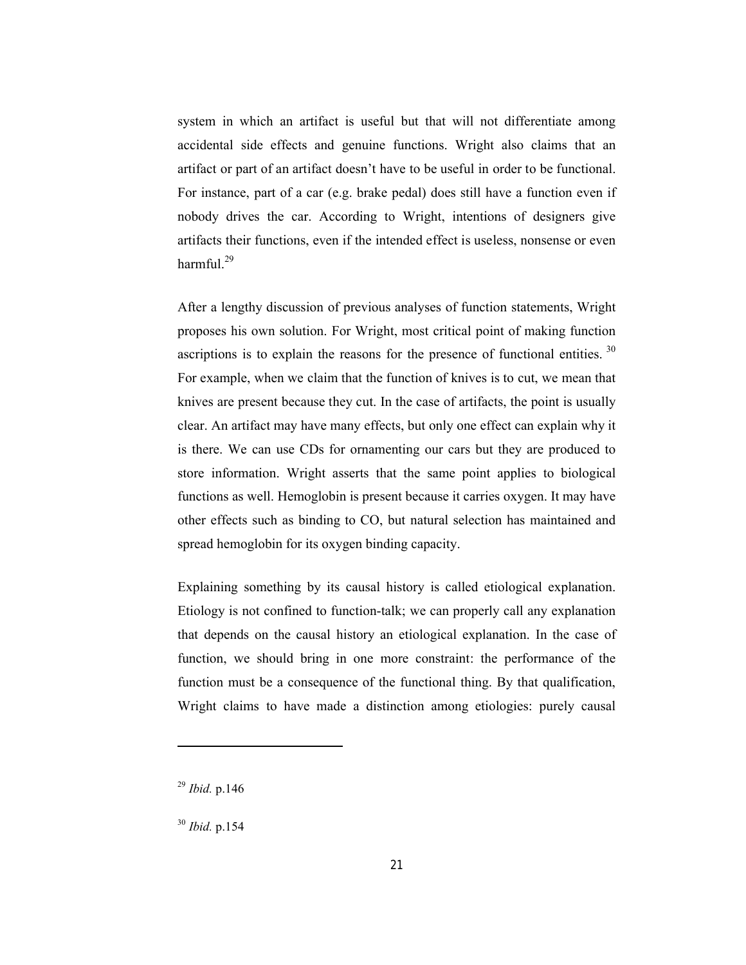system in which an artifact is useful but that will not differentiate among accidental side effects and genuine functions. Wright also claims that an artifact or part of an artifact doesn't have to be useful in order to be functional. For instance, part of a car (e.g. brake pedal) does still have a function even if nobody drives the car. According to Wright, intentions of designers give artifacts their functions, even if the intended effect is useless, nonsense or even harmful. $^{29}$ 

After a lengthy discussion of previous analyses of function statements, Wright proposes his own solution. For Wright, most critical point of making function ascriptions is to explain the reasons for the presence of functional entities.  $30$ For example, when we claim that the function of knives is to cut, we mean that knives are present because they cut. In the case of artifacts, the point is usually clear. An artifact may have many effects, but only one effect can explain why it is there. We can use CDs for ornamenting our cars but they are produced to store information. Wright asserts that the same point applies to biological functions as well. Hemoglobin is present because it carries oxygen. It may have other effects such as binding to CO, but natural selection has maintained and spread hemoglobin for its oxygen binding capacity.

Explaining something by its causal history is called etiological explanation. Etiology is not confined to function-talk; we can properly call any explanation that depends on the causal history an etiological explanation. In the case of function, we should bring in one more constraint: the performance of the function must be a consequence of the functional thing. By that qualification, Wright claims to have made a distinction among etiologies: purely causal

<sup>29</sup> *Ibid.* p.146

<sup>30</sup> *Ibid.* p.154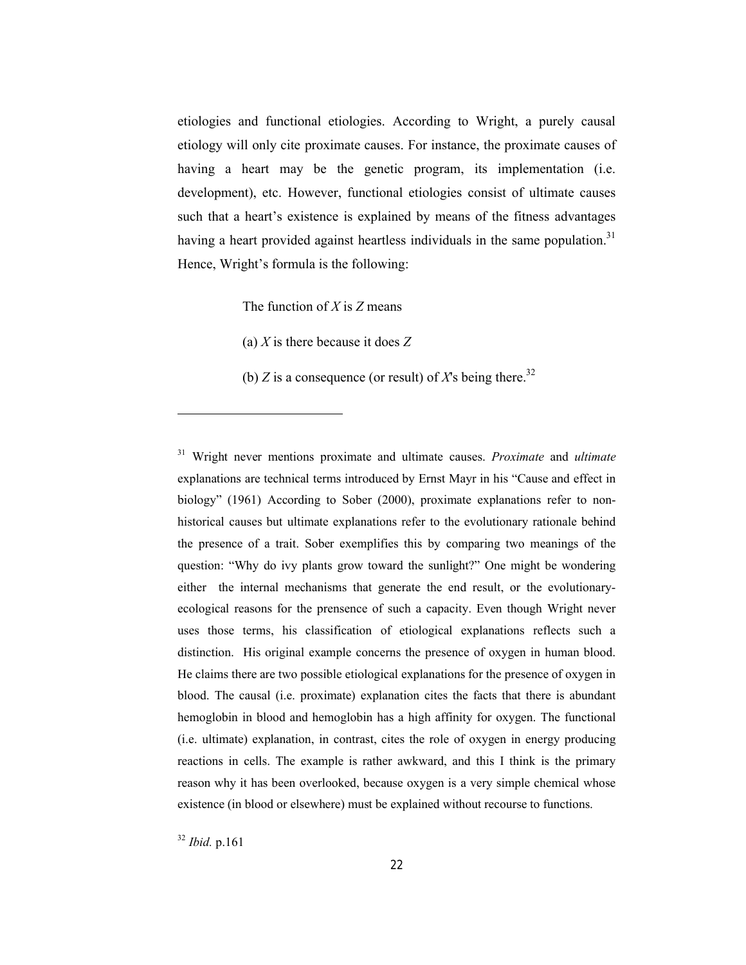etiologies and functional etiologies. According to Wright, a purely causal etiology will only cite proximate causes. For instance, the proximate causes of having a heart may be the genetic program, its implementation (i.e. development), etc. However, functional etiologies consist of ultimate causes such that a heart's existence is explained by means of the fitness advantages having a heart provided against heartless individuals in the same population.<sup>31</sup> Hence, Wright's formula is the following:

The function of *X* is *Z* means

(a) *X* is there because it does *Z*

(b) *Z* is a consequence (or result) of *X*'s being there.<sup>32</sup>

<sup>31</sup> Wright never mentions proximate and ultimate causes. *Proximate* and *ultimate*  explanations are technical terms introduced by Ernst Mayr in his "Cause and effect in biology" (1961) According to Sober (2000), proximate explanations refer to nonhistorical causes but ultimate explanations refer to the evolutionary rationale behind the presence of a trait. Sober exemplifies this by comparing two meanings of the question: "Why do ivy plants grow toward the sunlight?" One might be wondering either the internal mechanisms that generate the end result, or the evolutionaryecological reasons for the prensence of such a capacity. Even though Wright never uses those terms, his classification of etiological explanations reflects such a distinction. His original example concerns the presence of oxygen in human blood. He claims there are two possible etiological explanations for the presence of oxygen in blood. The causal (i.e. proximate) explanation cites the facts that there is abundant hemoglobin in blood and hemoglobin has a high affinity for oxygen. The functional (i.e. ultimate) explanation, in contrast, cites the role of oxygen in energy producing reactions in cells. The example is rather awkward, and this I think is the primary reason why it has been overlooked, because oxygen is a very simple chemical whose existence (in blood or elsewhere) must be explained without recourse to functions.

<sup>32</sup> *Ibid.* p.161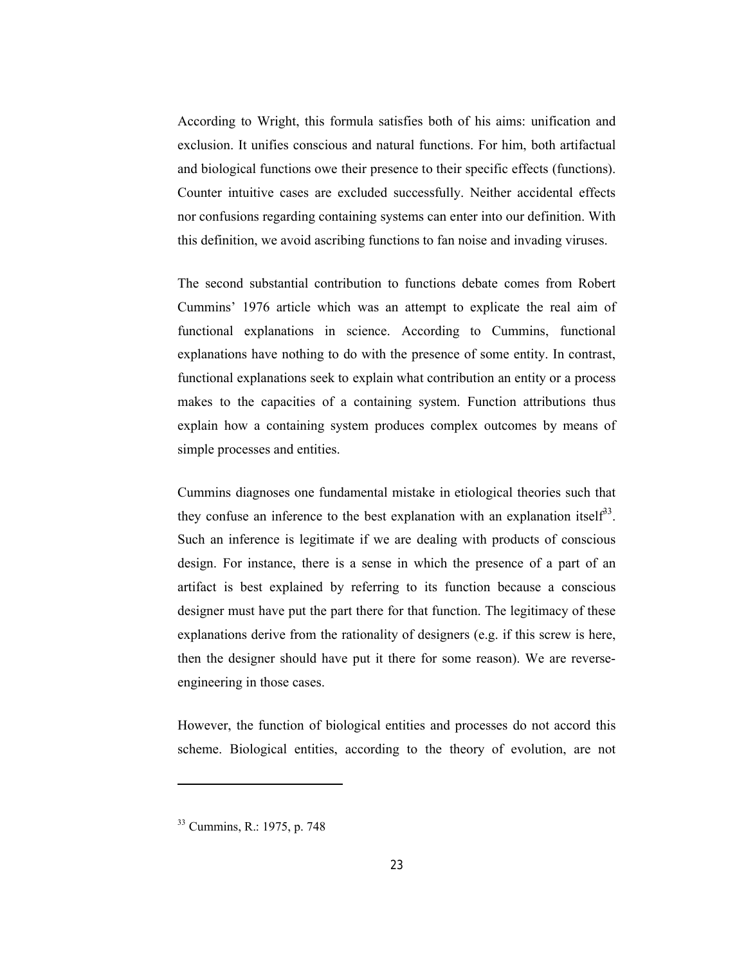According to Wright, this formula satisfies both of his aims: unification and exclusion. It unifies conscious and natural functions. For him, both artifactual and biological functions owe their presence to their specific effects (functions). Counter intuitive cases are excluded successfully. Neither accidental effects nor confusions regarding containing systems can enter into our definition. With this definition, we avoid ascribing functions to fan noise and invading viruses.

The second substantial contribution to functions debate comes from Robert Cummins' 1976 article which was an attempt to explicate the real aim of functional explanations in science. According to Cummins, functional explanations have nothing to do with the presence of some entity. In contrast, functional explanations seek to explain what contribution an entity or a process makes to the capacities of a containing system. Function attributions thus explain how a containing system produces complex outcomes by means of simple processes and entities.

Cummins diagnoses one fundamental mistake in etiological theories such that they confuse an inference to the best explanation with an explanation itself<sup>33</sup>. Such an inference is legitimate if we are dealing with products of conscious design. For instance, there is a sense in which the presence of a part of an artifact is best explained by referring to its function because a conscious designer must have put the part there for that function. The legitimacy of these explanations derive from the rationality of designers (e.g. if this screw is here, then the designer should have put it there for some reason). We are reverseengineering in those cases.

However, the function of biological entities and processes do not accord this scheme. Biological entities, according to the theory of evolution, are not

<sup>33</sup> Cummins, R.: 1975, p. 748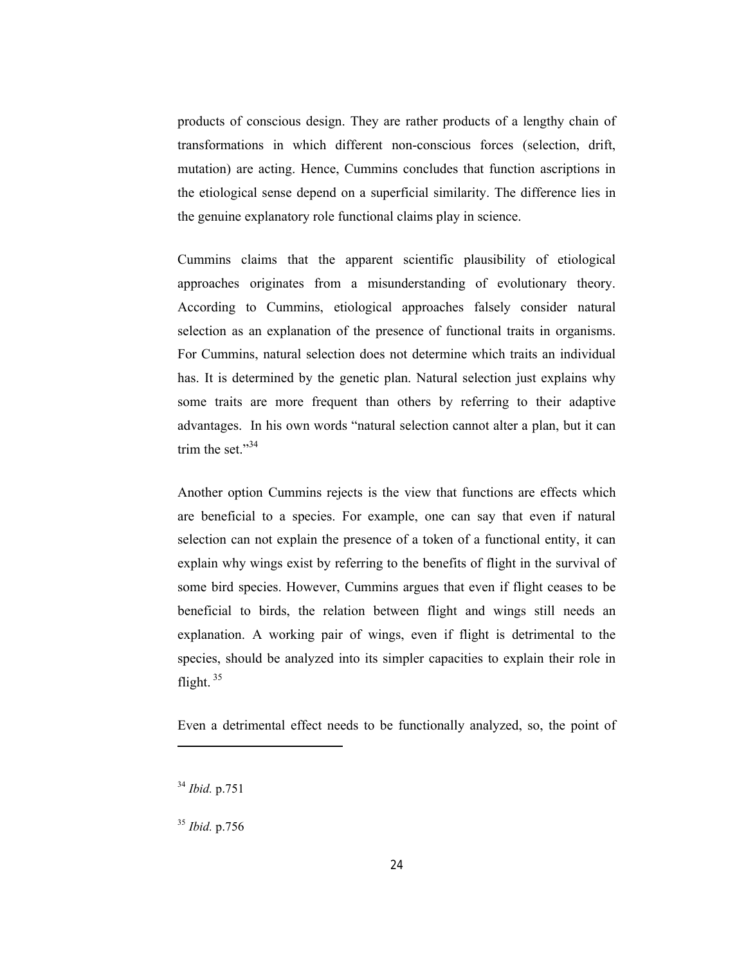products of conscious design. They are rather products of a lengthy chain of transformations in which different non-conscious forces (selection, drift, mutation) are acting. Hence, Cummins concludes that function ascriptions in the etiological sense depend on a superficial similarity. The difference lies in the genuine explanatory role functional claims play in science.

Cummins claims that the apparent scientific plausibility of etiological approaches originates from a misunderstanding of evolutionary theory. According to Cummins, etiological approaches falsely consider natural selection as an explanation of the presence of functional traits in organisms. For Cummins, natural selection does not determine which traits an individual has. It is determined by the genetic plan. Natural selection just explains why some traits are more frequent than others by referring to their adaptive advantages. In his own words "natural selection cannot alter a plan, but it can trim the set." $34$ 

Another option Cummins rejects is the view that functions are effects which are beneficial to a species. For example, one can say that even if natural selection can not explain the presence of a token of a functional entity, it can explain why wings exist by referring to the benefits of flight in the survival of some bird species. However, Cummins argues that even if flight ceases to be beneficial to birds, the relation between flight and wings still needs an explanation. A working pair of wings, even if flight is detrimental to the species, should be analyzed into its simpler capacities to explain their role in flight.<sup>35</sup>

Even a detrimental effect needs to be functionally analyzed, so, the point of

<sup>34</sup> *Ibid.* p.751

<sup>35</sup> *Ibid.* p.756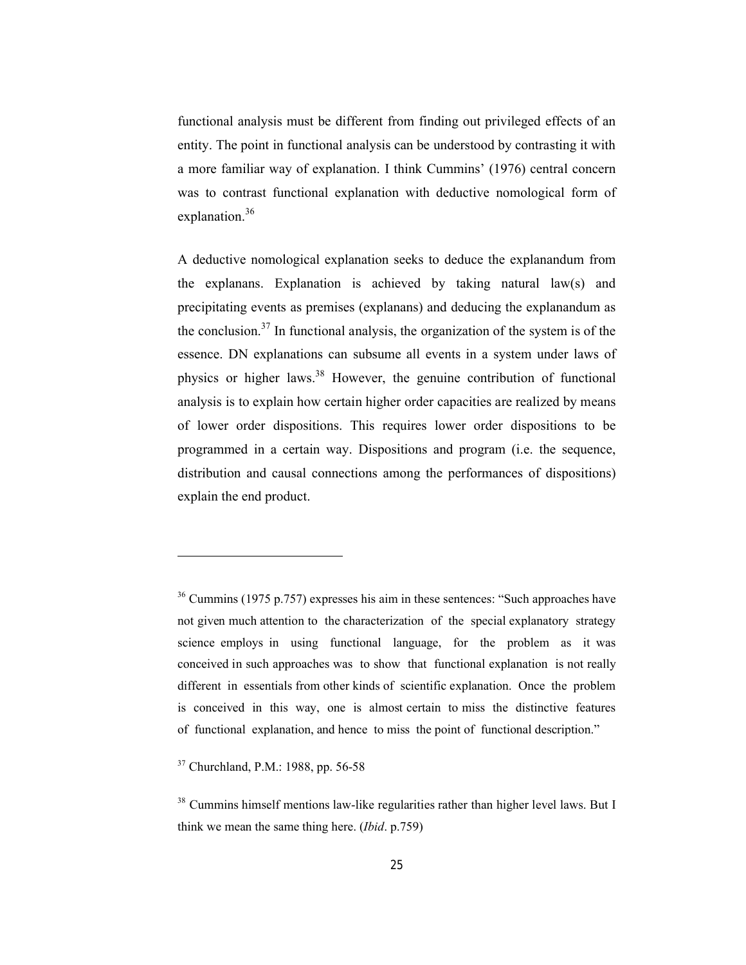functional analysis must be different from finding out privileged effects of an entity. The point in functional analysis can be understood by contrasting it with a more familiar way of explanation. I think Cummins' (1976) central concern was to contrast functional explanation with deductive nomological form of explanation.<sup>36</sup>

A deductive nomological explanation seeks to deduce the explanandum from the explanans. Explanation is achieved by taking natural law(s) and precipitating events as premises (explanans) and deducing the explanandum as the conclusion.<sup>37</sup> In functional analysis, the organization of the system is of the essence. DN explanations can subsume all events in a system under laws of physics or higher laws.<sup>38</sup> However, the genuine contribution of functional analysis is to explain how certain higher order capacities are realized by means of lower order dispositions. This requires lower order dispositions to be programmed in a certain way. Dispositions and program (i.e. the sequence, distribution and causal connections among the performances of dispositions) explain the end product.

<sup>36</sup> Cummins (1975 p.757) expresses his aim in these sentences: "Such approaches have not given much attention to the characterization of the special explanatory strategy science employs in using functional language, for the problem as it was conceived in such approaches was to show that functional explanation is not really different in essentials from other kinds of scientific explanation. Once the problem is conceived in this way, one is almost certain to miss the distinctive features of functional explanation, and hence to miss the point of functional description."

<sup>37</sup> Churchland, P.M.: 1988, pp. 56-58

<sup>&</sup>lt;sup>38</sup> Cummins himself mentions law-like regularities rather than higher level laws. But I think we mean the same thing here. (*Ibid*. p.759)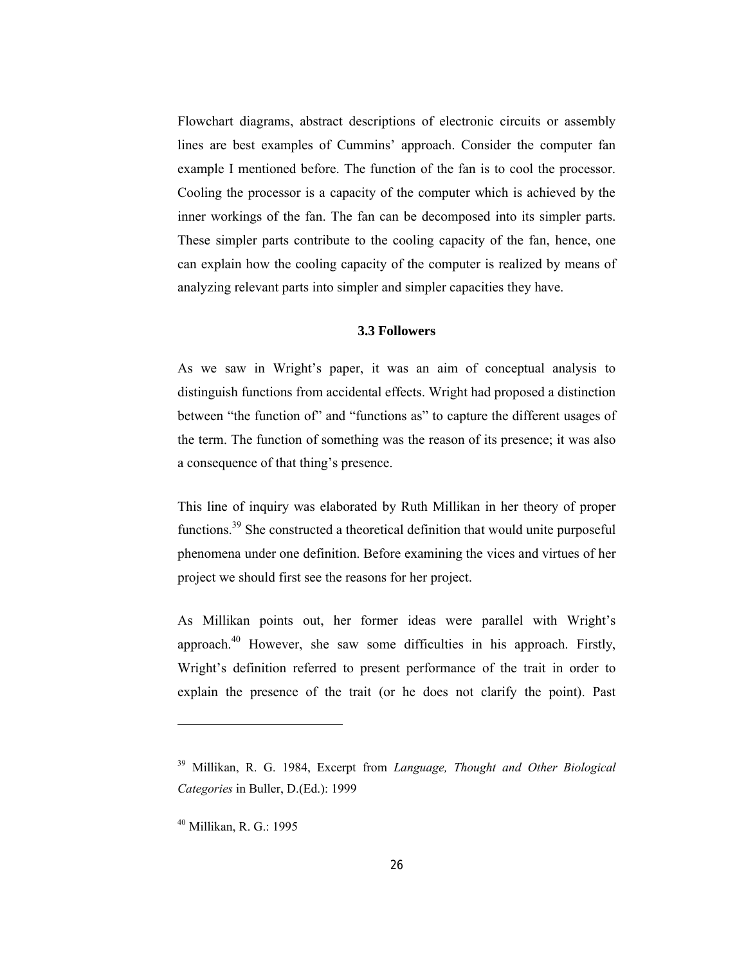Flowchart diagrams, abstract descriptions of electronic circuits or assembly lines are best examples of Cummins' approach. Consider the computer fan example I mentioned before. The function of the fan is to cool the processor. Cooling the processor is a capacity of the computer which is achieved by the inner workings of the fan. The fan can be decomposed into its simpler parts. These simpler parts contribute to the cooling capacity of the fan, hence, one can explain how the cooling capacity of the computer is realized by means of analyzing relevant parts into simpler and simpler capacities they have.

### **3.3 Followers**

As we saw in Wright's paper, it was an aim of conceptual analysis to distinguish functions from accidental effects. Wright had proposed a distinction between "the function of" and "functions as" to capture the different usages of the term. The function of something was the reason of its presence; it was also a consequence of that thing's presence.

This line of inquiry was elaborated by Ruth Millikan in her theory of proper functions.39 She constructed a theoretical definition that would unite purposeful phenomena under one definition. Before examining the vices and virtues of her project we should first see the reasons for her project.

As Millikan points out, her former ideas were parallel with Wright's approach. $40$  However, she saw some difficulties in his approach. Firstly, Wright's definition referred to present performance of the trait in order to explain the presence of the trait (or he does not clarify the point). Past

<sup>39</sup> Millikan, R. G. 1984, Excerpt from *Language, Thought and Other Biological Categories* in Buller, D.(Ed.): 1999

<sup>40</sup> Millikan, R. G.: 1995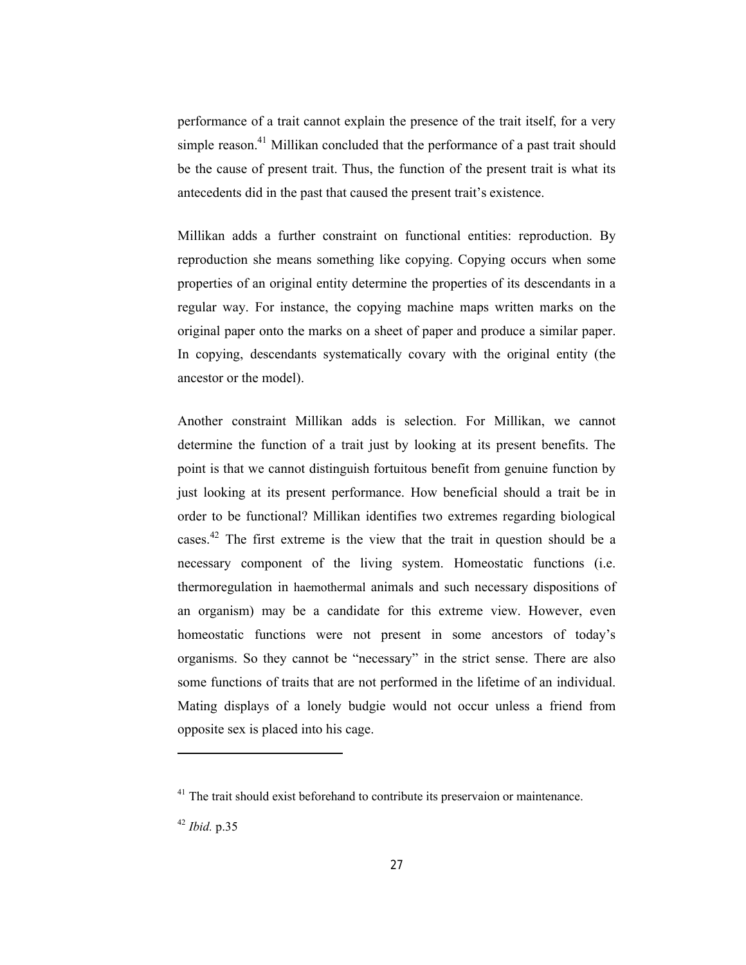performance of a trait cannot explain the presence of the trait itself, for a very simple reason.<sup>41</sup> Millikan concluded that the performance of a past trait should be the cause of present trait. Thus, the function of the present trait is what its antecedents did in the past that caused the present trait's existence.

Millikan adds a further constraint on functional entities: reproduction. By reproduction she means something like copying. Copying occurs when some properties of an original entity determine the properties of its descendants in a regular way. For instance, the copying machine maps written marks on the original paper onto the marks on a sheet of paper and produce a similar paper. In copying, descendants systematically covary with the original entity (the ancestor or the model).

Another constraint Millikan adds is selection. For Millikan, we cannot determine the function of a trait just by looking at its present benefits. The point is that we cannot distinguish fortuitous benefit from genuine function by just looking at its present performance. How beneficial should a trait be in order to be functional? Millikan identifies two extremes regarding biological cases.<sup>42</sup> The first extreme is the view that the trait in question should be a necessary component of the living system. Homeostatic functions (i.e. thermoregulation in haemothermal animals and such necessary dispositions of an organism) may be a candidate for this extreme view. However, even homeostatic functions were not present in some ancestors of today's organisms. So they cannot be "necessary" in the strict sense. There are also some functions of traits that are not performed in the lifetime of an individual. Mating displays of a lonely budgie would not occur unless a friend from opposite sex is placed into his cage.

<sup>&</sup>lt;sup>41</sup> The trait should exist beforehand to contribute its preservaion or maintenance.

<sup>42</sup> *Ibid.* p.35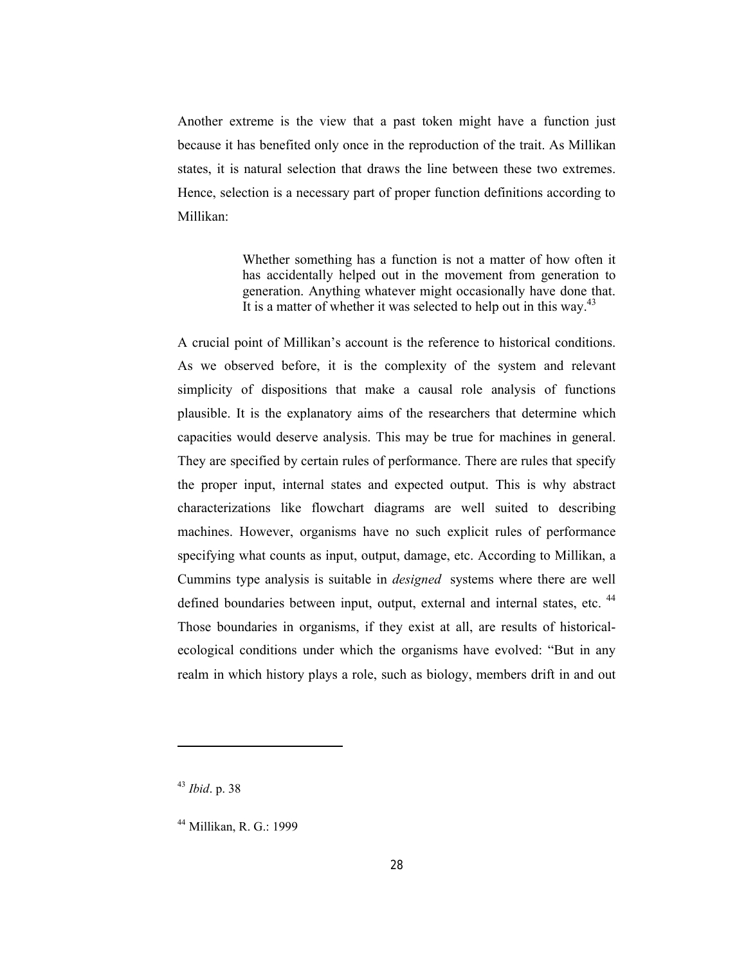Another extreme is the view that a past token might have a function just because it has benefited only once in the reproduction of the trait. As Millikan states, it is natural selection that draws the line between these two extremes. Hence, selection is a necessary part of proper function definitions according to Millikan:

> Whether something has a function is not a matter of how often it has accidentally helped out in the movement from generation to generation. Anything whatever might occasionally have done that. It is a matter of whether it was selected to help out in this way. $43$

A crucial point of Millikan's account is the reference to historical conditions. As we observed before, it is the complexity of the system and relevant simplicity of dispositions that make a causal role analysis of functions plausible. It is the explanatory aims of the researchers that determine which capacities would deserve analysis. This may be true for machines in general. They are specified by certain rules of performance. There are rules that specify the proper input, internal states and expected output. This is why abstract characterizations like flowchart diagrams are well suited to describing machines. However, organisms have no such explicit rules of performance specifying what counts as input, output, damage, etc. According to Millikan, a Cummins type analysis is suitable in *designed* systems where there are well defined boundaries between input, output, external and internal states, etc.<sup>44</sup> Those boundaries in organisms, if they exist at all, are results of historicalecological conditions under which the organisms have evolved: "But in any realm in which history plays a role, such as biology, members drift in and out

<sup>43</sup> *Ibid*. p. 38

<sup>44</sup> Millikan, R. G.: 1999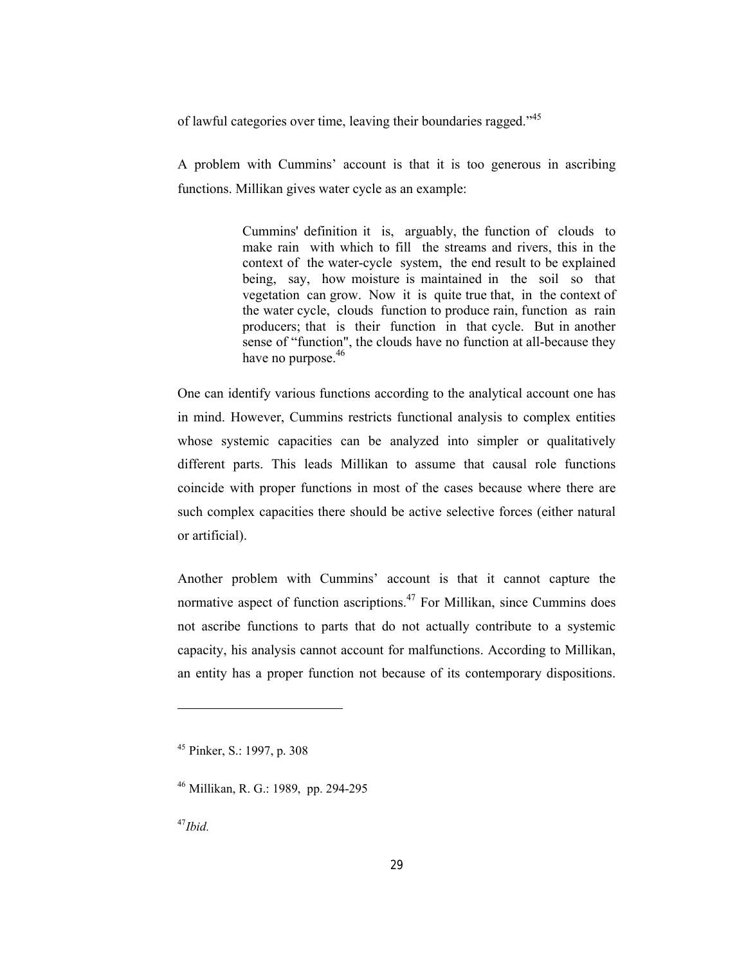of lawful categories over time, leaving their boundaries ragged."<sup>45</sup>

A problem with Cummins' account is that it is too generous in ascribing functions. Millikan gives water cycle as an example:

> Cummins' definition it is, arguably, the function of clouds to make rain with which to fill the streams and rivers, this in the context of the water-cycle system, the end result to be explained being, say, how moisture is maintained in the soil so that vegetation can grow. Now it is quite true that, in the context of the water cycle, clouds function to produce rain, function as rain producers; that is their function in that cycle. But in another sense of "function", the clouds have no function at all-because they have no purpose.<sup>46</sup>

One can identify various functions according to the analytical account one has in mind. However, Cummins restricts functional analysis to complex entities whose systemic capacities can be analyzed into simpler or qualitatively different parts. This leads Millikan to assume that causal role functions coincide with proper functions in most of the cases because where there are such complex capacities there should be active selective forces (either natural or artificial).

Another problem with Cummins' account is that it cannot capture the normative aspect of function ascriptions.<sup>47</sup> For Millikan, since Cummins does not ascribe functions to parts that do not actually contribute to a systemic capacity, his analysis cannot account for malfunctions. According to Millikan, an entity has a proper function not because of its contemporary dispositions.

<sup>47</sup>*Ibid.*

<sup>45</sup> Pinker, S.: 1997, p. 308

<sup>46</sup> Millikan, R. G.: 1989, pp. 294-295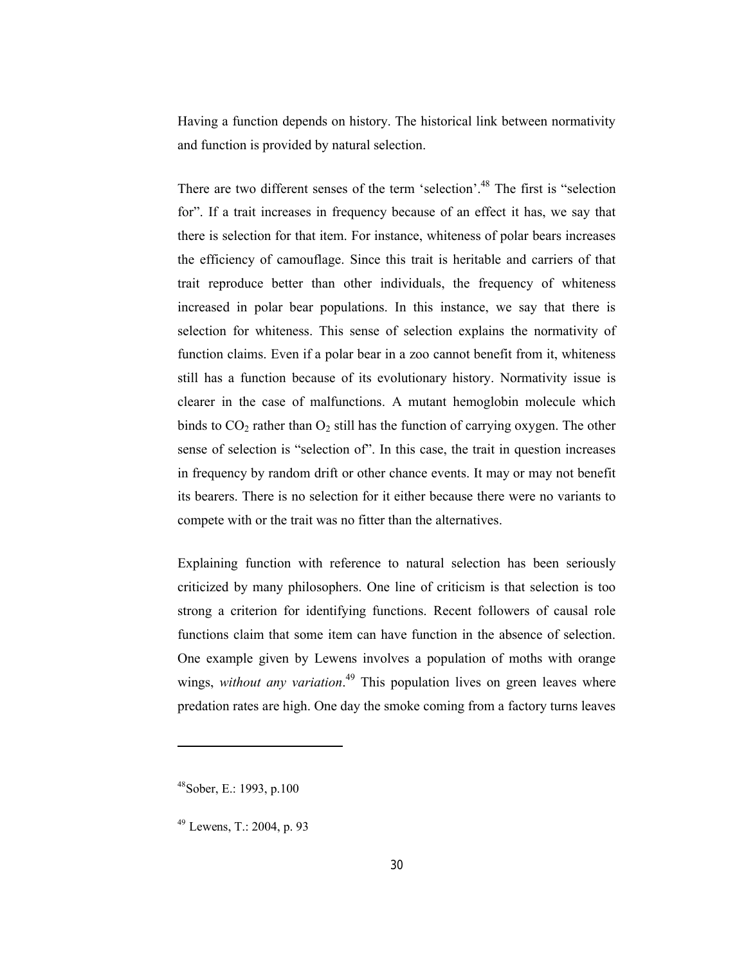Having a function depends on history. The historical link between normativity and function is provided by natural selection.

There are two different senses of the term 'selection'.<sup>48</sup> The first is "selection". for". If a trait increases in frequency because of an effect it has, we say that there is selection for that item. For instance, whiteness of polar bears increases the efficiency of camouflage. Since this trait is heritable and carriers of that trait reproduce better than other individuals, the frequency of whiteness increased in polar bear populations. In this instance, we say that there is selection for whiteness. This sense of selection explains the normativity of function claims. Even if a polar bear in a zoo cannot benefit from it, whiteness still has a function because of its evolutionary history. Normativity issue is clearer in the case of malfunctions. A mutant hemoglobin molecule which binds to  $CO_2$  rather than  $O_2$  still has the function of carrying oxygen. The other sense of selection is "selection of". In this case, the trait in question increases in frequency by random drift or other chance events. It may or may not benefit its bearers. There is no selection for it either because there were no variants to compete with or the trait was no fitter than the alternatives.

Explaining function with reference to natural selection has been seriously criticized by many philosophers. One line of criticism is that selection is too strong a criterion for identifying functions. Recent followers of causal role functions claim that some item can have function in the absence of selection. One example given by Lewens involves a population of moths with orange wings, *without any variation*.<sup>49</sup> This population lives on green leaves where predation rates are high. One day the smoke coming from a factory turns leaves

<sup>48</sup>Sober, E.: 1993, p.100

<sup>49</sup> Lewens, T.: 2004, p. 93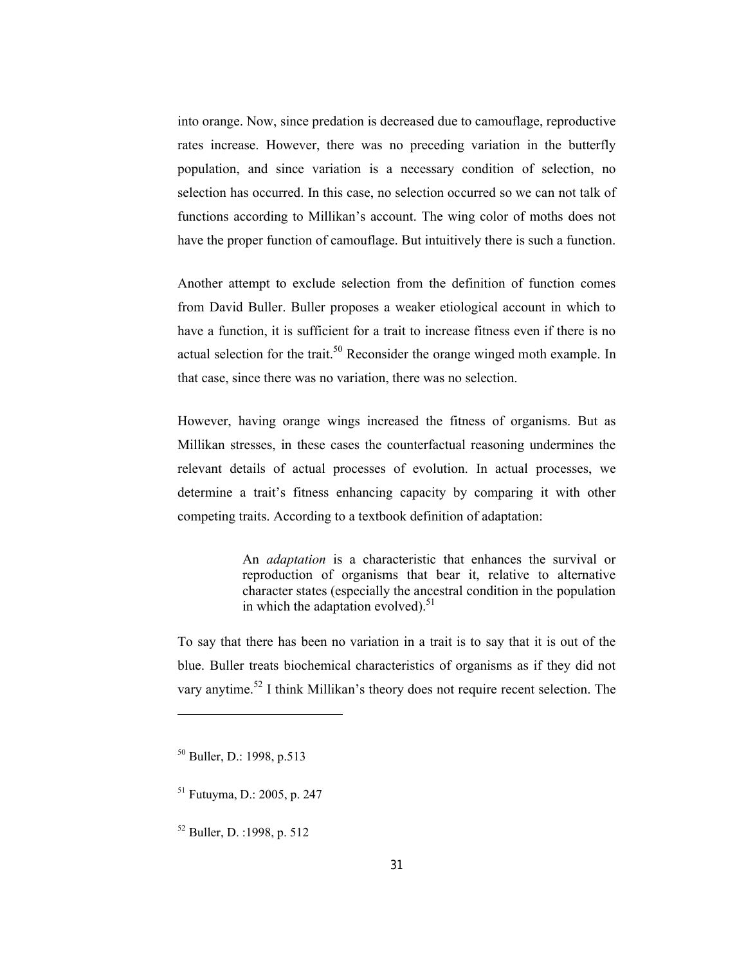into orange. Now, since predation is decreased due to camouflage, reproductive rates increase. However, there was no preceding variation in the butterfly population, and since variation is a necessary condition of selection, no selection has occurred. In this case, no selection occurred so we can not talk of functions according to Millikan's account. The wing color of moths does not have the proper function of camouflage. But intuitively there is such a function.

Another attempt to exclude selection from the definition of function comes from David Buller. Buller proposes a weaker etiological account in which to have a function, it is sufficient for a trait to increase fitness even if there is no actual selection for the trait.<sup>50</sup> Reconsider the orange winged moth example. In that case, since there was no variation, there was no selection.

However, having orange wings increased the fitness of organisms. But as Millikan stresses, in these cases the counterfactual reasoning undermines the relevant details of actual processes of evolution. In actual processes, we determine a trait's fitness enhancing capacity by comparing it with other competing traits. According to a textbook definition of adaptation:

> An *adaptation* is a characteristic that enhances the survival or reproduction of organisms that bear it, relative to alternative character states (especially the ancestral condition in the population in which the adaptation evolved). $51$

To say that there has been no variation in a trait is to say that it is out of the blue. Buller treats biochemical characteristics of organisms as if they did not vary anytime.<sup>52</sup> I think Millikan's theory does not require recent selection. The

-

<sup>52</sup> Buller, D. :1998, p. 512

<sup>50</sup> Buller, D.: 1998, p.513

<sup>51</sup> Futuyma, D.: 2005, p. 247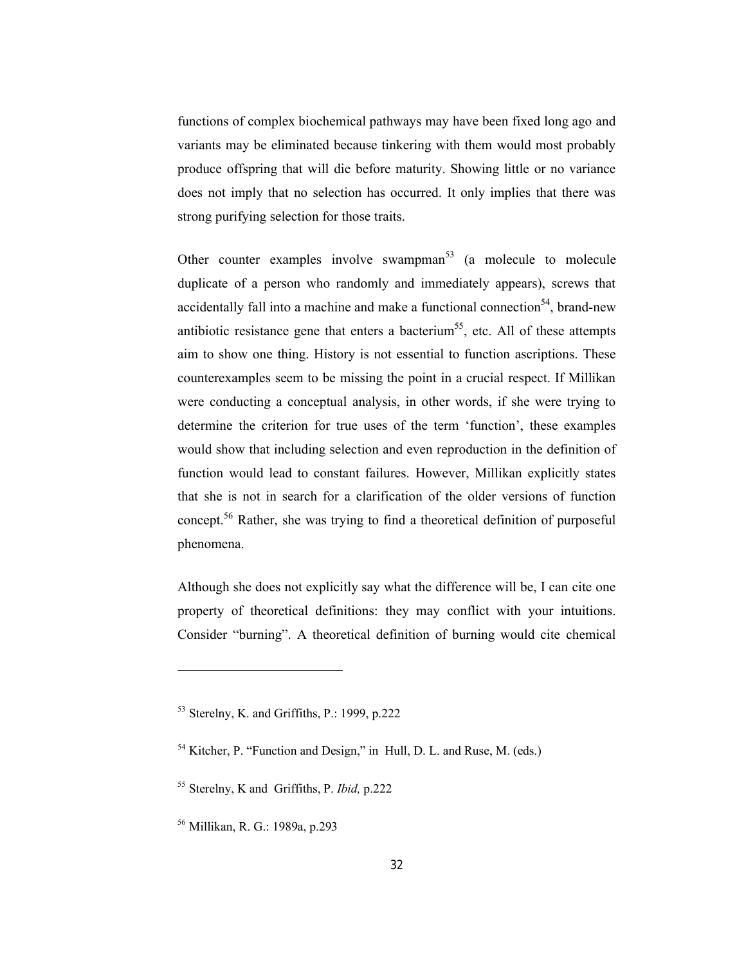functions of complex biochemical pathways may have been fixed long ago and variants may be eliminated because tinkering with them would most probably produce offspring that will die before maturity. Showing little or no variance does not imply that no selection has occurred. It only implies that there was strong purifying selection for those traits.

Other counter examples involve swampman<sup>53</sup> (a molecule to molecule duplicate of a person who randomly and immediately appears), screws that accidentally fall into a machine and make a functional connection<sup>54</sup>, brand-new antibiotic resistance gene that enters a bacterium<sup>55</sup>, etc. All of these attempts aim to show one thing. History is not essential to function ascriptions. These counterexamples seem to be missing the point in a crucial respect. If Millikan were conducting a conceptual analysis, in other words, if she were trying to determine the criterion for true uses of the term 'function', these examples would show that including selection and even reproduction in the definition of function would lead to constant failures. However, Millikan explicitly states that she is not in search for a clarification of the older versions of function concept.<sup>56</sup> Rather, she was trying to find a theoretical definition of purposeful phenomena.

Although she does not explicitly say what the difference will be, I can cite one property of theoretical definitions: they may conflict with your intuitions. Consider "burning". A theoretical definition of burning would cite chemical

<sup>53</sup> Sterelny, K. and Griffiths, P.: 1999, p.222

<sup>54</sup> Kitcher, P. "Function and Design," in Hull, D. L. and Ruse, M. (eds.)

<sup>55</sup> Sterelny, K and Griffiths, P. *Ibid,* p.222

<sup>56</sup> Millikan, R. G.: 1989a, p.293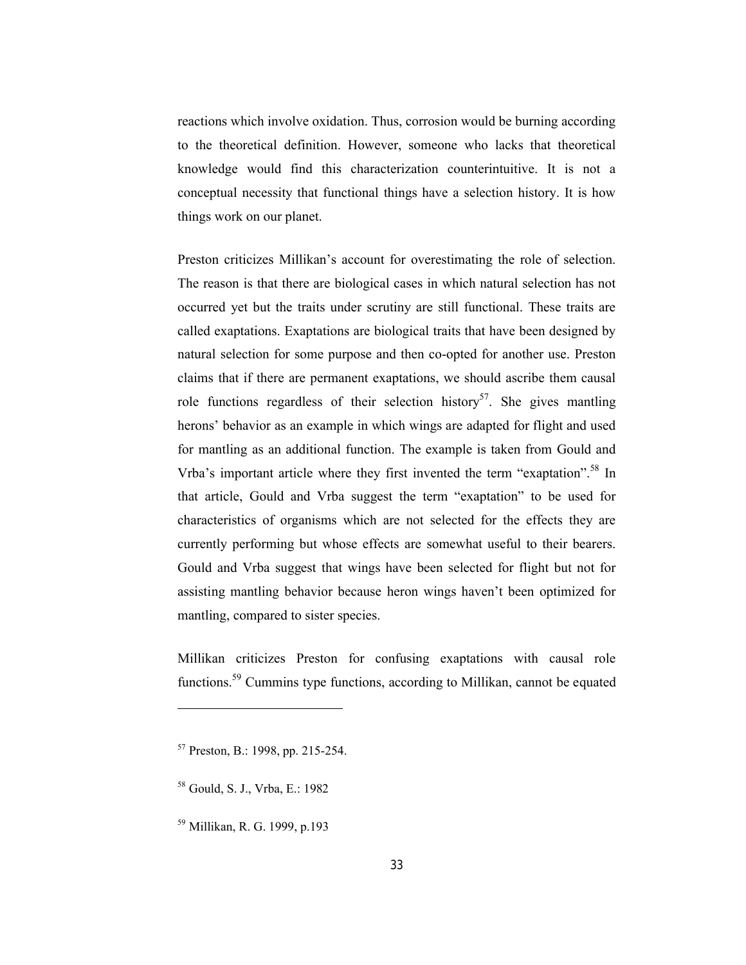reactions which involve oxidation. Thus, corrosion would be burning according to the theoretical definition. However, someone who lacks that theoretical knowledge would find this characterization counterintuitive. It is not a conceptual necessity that functional things have a selection history. It is how things work on our planet.

Preston criticizes Millikan's account for overestimating the role of selection. The reason is that there are biological cases in which natural selection has not occurred yet but the traits under scrutiny are still functional. These traits are called exaptations. Exaptations are biological traits that have been designed by natural selection for some purpose and then co-opted for another use. Preston claims that if there are permanent exaptations, we should ascribe them causal role functions regardless of their selection history<sup>57</sup>. She gives mantling herons' behavior as an example in which wings are adapted for flight and used for mantling as an additional function. The example is taken from Gould and Vrba's important article where they first invented the term "exaptation".<sup>58</sup> In that article, Gould and Vrba suggest the term "exaptation" to be used for characteristics of organisms which are not selected for the effects they are currently performing but whose effects are somewhat useful to their bearers. Gould and Vrba suggest that wings have been selected for flight but not for assisting mantling behavior because heron wings haven't been optimized for mantling, compared to sister species.

Millikan criticizes Preston for confusing exaptations with causal role functions.59 Cummins type functions, according to Millikan, cannot be equated

<sup>57</sup> Preston, B.: 1998, pp. 215-254.

<sup>58</sup> Gould, S. J., Vrba, E.: 1982

<sup>59</sup> Millikan, R. G. 1999, p.193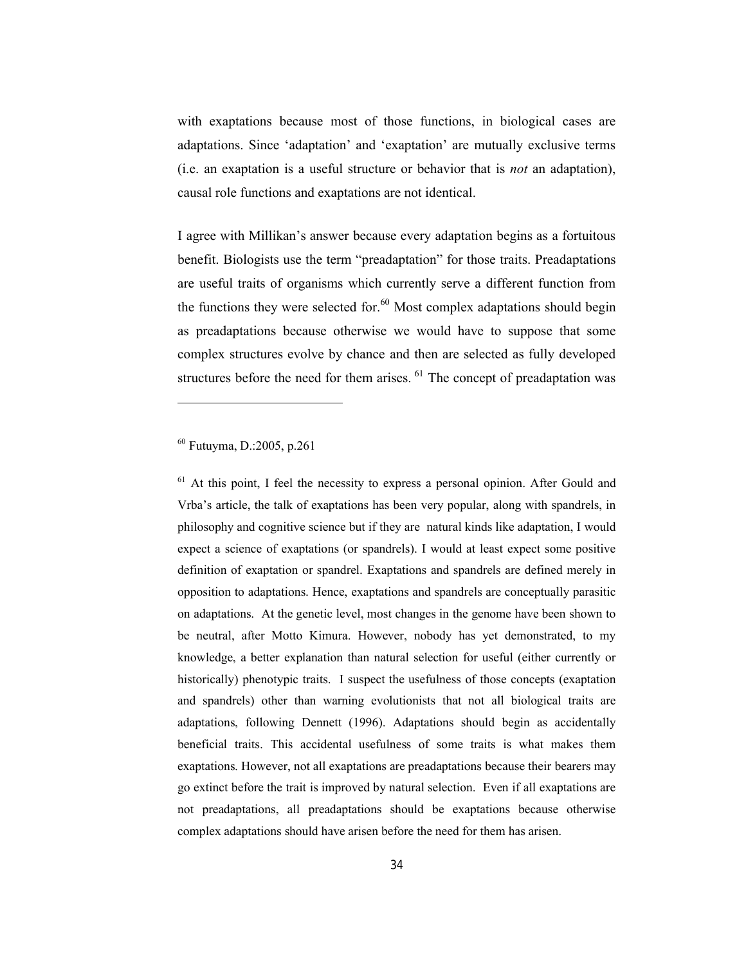with exaptations because most of those functions, in biological cases are adaptations. Since 'adaptation' and 'exaptation' are mutually exclusive terms (i.e. an exaptation is a useful structure or behavior that is *not* an adaptation), causal role functions and exaptations are not identical.

I agree with Millikan's answer because every adaptation begins as a fortuitous benefit. Biologists use the term "preadaptation" for those traits. Preadaptations are useful traits of organisms which currently serve a different function from the functions they were selected for.<sup>60</sup> Most complex adaptations should begin as preadaptations because otherwise we would have to suppose that some complex structures evolve by chance and then are selected as fully developed structures before the need for them arises.  $61$  The concept of preadaptation was

# <sup>60</sup> Futuyma, D.:2005, p.261

-

<sup>61</sup> At this point, I feel the necessity to express a personal opinion. After Gould and Vrba's article, the talk of exaptations has been very popular, along with spandrels, in philosophy and cognitive science but if they are natural kinds like adaptation, I would expect a science of exaptations (or spandrels). I would at least expect some positive definition of exaptation or spandrel. Exaptations and spandrels are defined merely in opposition to adaptations. Hence, exaptations and spandrels are conceptually parasitic on adaptations. At the genetic level, most changes in the genome have been shown to be neutral, after Motto Kimura. However, nobody has yet demonstrated, to my knowledge, a better explanation than natural selection for useful (either currently or historically) phenotypic traits. I suspect the usefulness of those concepts (exaptation and spandrels) other than warning evolutionists that not all biological traits are adaptations, following Dennett (1996). Adaptations should begin as accidentally beneficial traits. This accidental usefulness of some traits is what makes them exaptations. However, not all exaptations are preadaptations because their bearers may go extinct before the trait is improved by natural selection. Even if all exaptations are not preadaptations, all preadaptations should be exaptations because otherwise complex adaptations should have arisen before the need for them has arisen.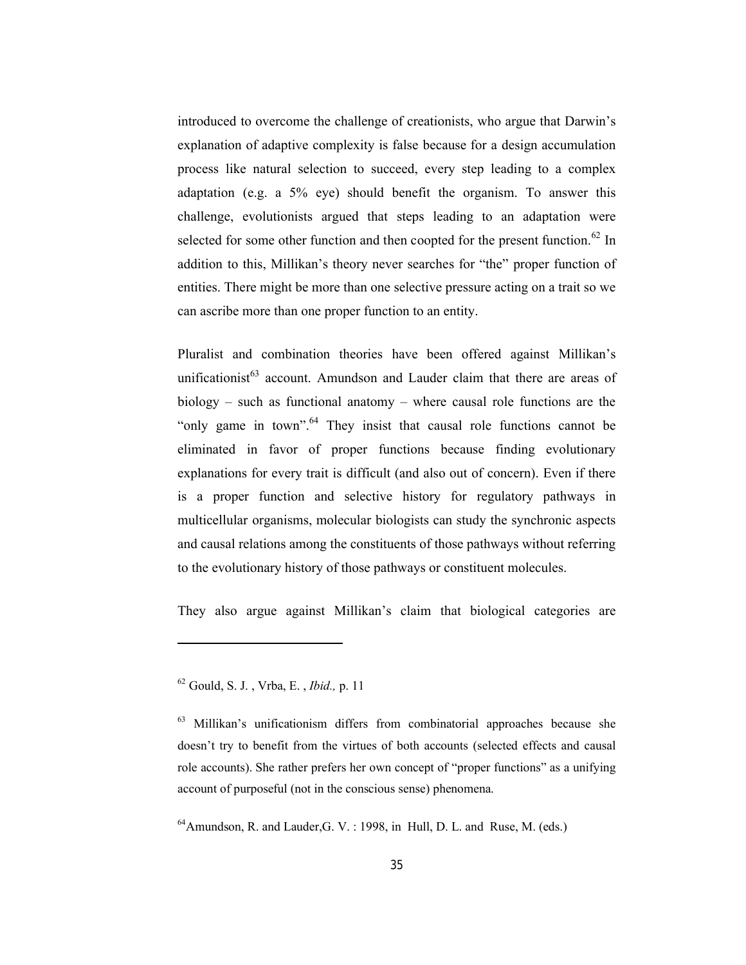introduced to overcome the challenge of creationists, who argue that Darwin's explanation of adaptive complexity is false because for a design accumulation process like natural selection to succeed, every step leading to a complex adaptation (e.g. a 5% eye) should benefit the organism. To answer this challenge, evolutionists argued that steps leading to an adaptation were selected for some other function and then coopted for the present function.<sup>62</sup> In addition to this, Millikan's theory never searches for "the" proper function of entities. There might be more than one selective pressure acting on a trait so we can ascribe more than one proper function to an entity.

Pluralist and combination theories have been offered against Millikan's unificationist<sup>63</sup> account. Amundson and Lauder claim that there are areas of biology – such as functional anatomy – where causal role functions are the "only game in town".<sup>64</sup> They insist that causal role functions cannot be eliminated in favor of proper functions because finding evolutionary explanations for every trait is difficult (and also out of concern). Even if there is a proper function and selective history for regulatory pathways in multicellular organisms, molecular biologists can study the synchronic aspects and causal relations among the constituents of those pathways without referring to the evolutionary history of those pathways or constituent molecules.

They also argue against Millikan's claim that biological categories are

<sup>62</sup> Gould, S. J. , Vrba, E. , *Ibid.,* p. 11

 $63$  Millikan's unificationism differs from combinatorial approaches because she doesn't try to benefit from the virtues of both accounts (selected effects and causal role accounts). She rather prefers her own concept of "proper functions" as a unifying account of purposeful (not in the conscious sense) phenomena.

 $^{64}$ Amundson, R. and Lauder, G. V. : 1998, in Hull, D. L. and Ruse, M. (eds.)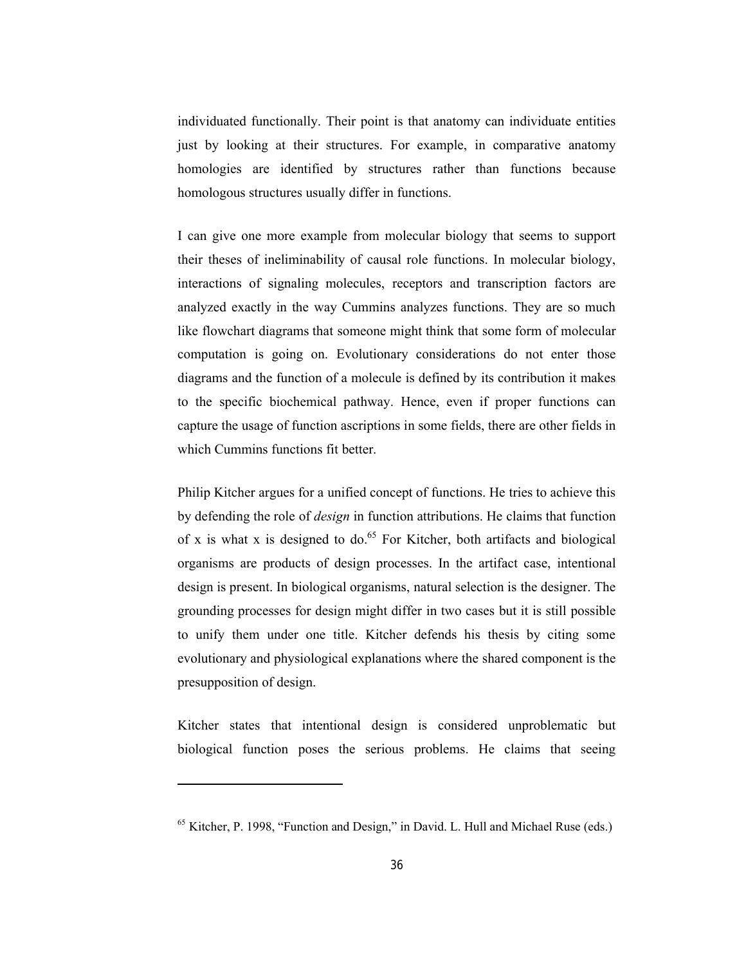individuated functionally. Their point is that anatomy can individuate entities just by looking at their structures. For example, in comparative anatomy homologies are identified by structures rather than functions because homologous structures usually differ in functions.

I can give one more example from molecular biology that seems to support their theses of ineliminability of causal role functions. In molecular biology, interactions of signaling molecules, receptors and transcription factors are analyzed exactly in the way Cummins analyzes functions. They are so much like flowchart diagrams that someone might think that some form of molecular computation is going on. Evolutionary considerations do not enter those diagrams and the function of a molecule is defined by its contribution it makes to the specific biochemical pathway. Hence, even if proper functions can capture the usage of function ascriptions in some fields, there are other fields in which Cummins functions fit better.

Philip Kitcher argues for a unified concept of functions. He tries to achieve this by defending the role of *design* in function attributions. He claims that function of x is what x is designed to do.<sup>65</sup> For Kitcher, both artifacts and biological organisms are products of design processes. In the artifact case, intentional design is present. In biological organisms, natural selection is the designer. The grounding processes for design might differ in two cases but it is still possible to unify them under one title. Kitcher defends his thesis by citing some evolutionary and physiological explanations where the shared component is the presupposition of design.

Kitcher states that intentional design is considered unproblematic but biological function poses the serious problems. He claims that seeing

<sup>&</sup>lt;sup>65</sup> Kitcher, P. 1998, "Function and Design," in David. L. Hull and Michael Ruse (eds.)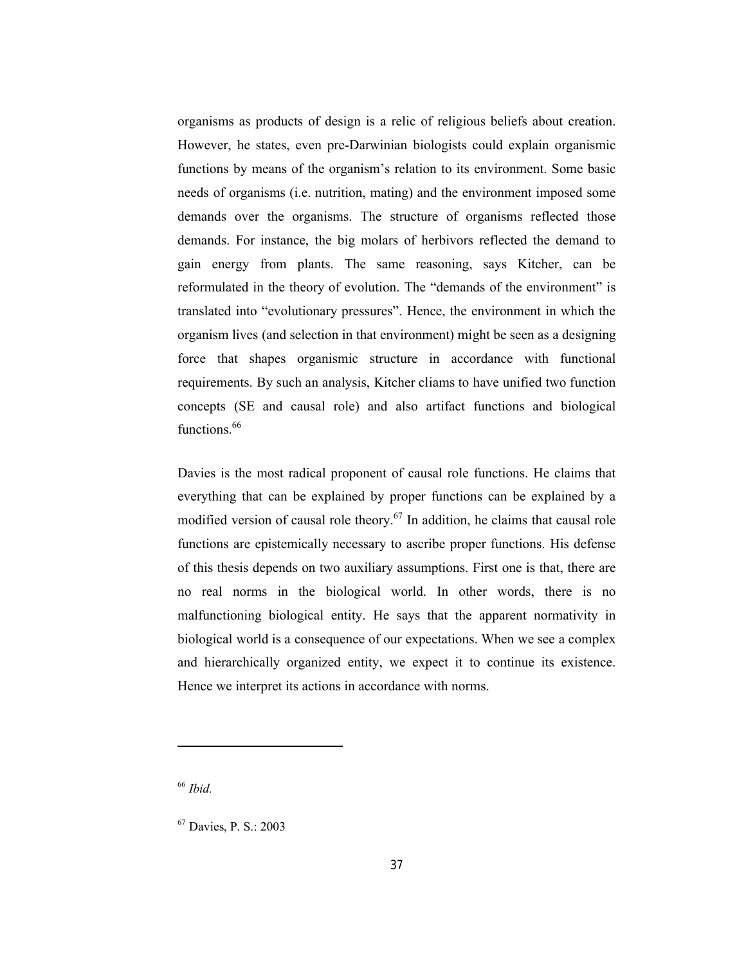organisms as products of design is a relic of religious beliefs about creation. However, he states, even pre-Darwinian biologists could explain organismic functions by means of the organism's relation to its environment. Some basic needs of organisms (i.e. nutrition, mating) and the environment imposed some demands over the organisms. The structure of organisms reflected those demands. For instance, the big molars of herbivors reflected the demand to gain energy from plants. The same reasoning, says Kitcher, can be reformulated in the theory of evolution. The "demands of the environment" is translated into "evolutionary pressures". Hence, the environment in which the organism lives (and selection in that environment) might be seen as a designing force that shapes organismic structure in accordance with functional requirements. By such an analysis, Kitcher cliams to have unified two function concepts (SE and causal role) and also artifact functions and biological functions.<sup>66</sup>

Davies is the most radical proponent of causal role functions. He claims that everything that can be explained by proper functions can be explained by a modified version of causal role theory.<sup>67</sup> In addition, he claims that causal role functions are epistemically necessary to ascribe proper functions. His defense of this thesis depends on two auxiliary assumptions. First one is that, there are no real norms in the biological world. In other words, there is no malfunctioning biological entity. He says that the apparent normativity in biological world is a consequence of our expectations. When we see a complex and hierarchically organized entity, we expect it to continue its existence. Hence we interpret its actions in accordance with norms.

<sup>66</sup> *Ibid.*

-

<sup>67</sup> Davies, P. S.: 2003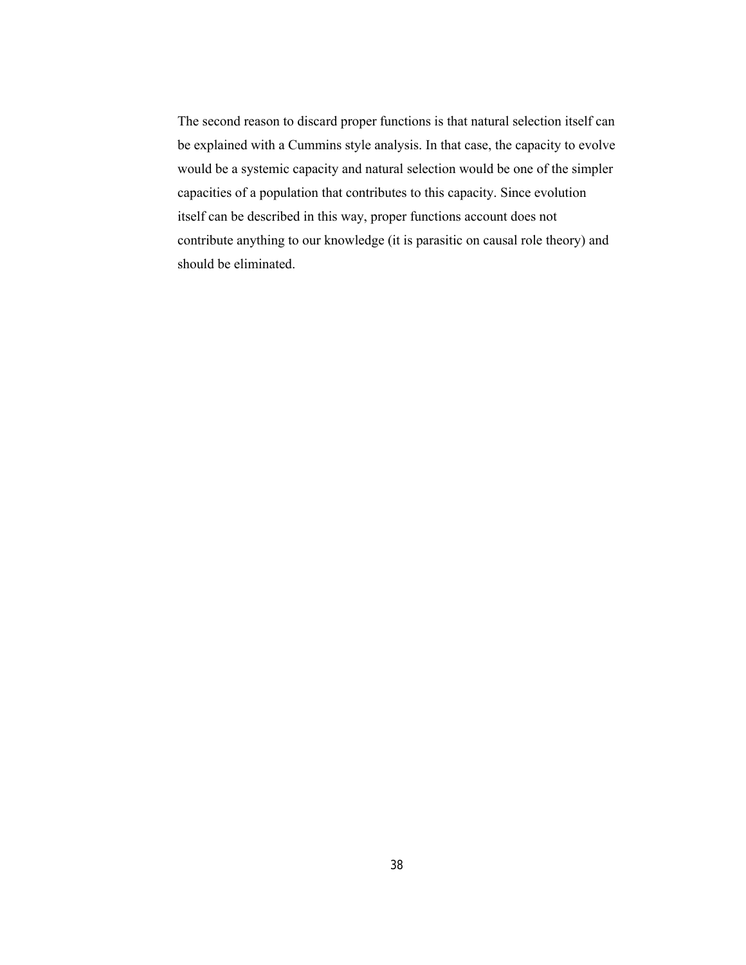The second reason to discard proper functions is that natural selection itself can be explained with a Cummins style analysis. In that case, the capacity to evolve would be a systemic capacity and natural selection would be one of the simpler capacities of a population that contributes to this capacity. Since evolution itself can be described in this way, proper functions account does not contribute anything to our knowledge (it is parasitic on causal role theory) and should be eliminated.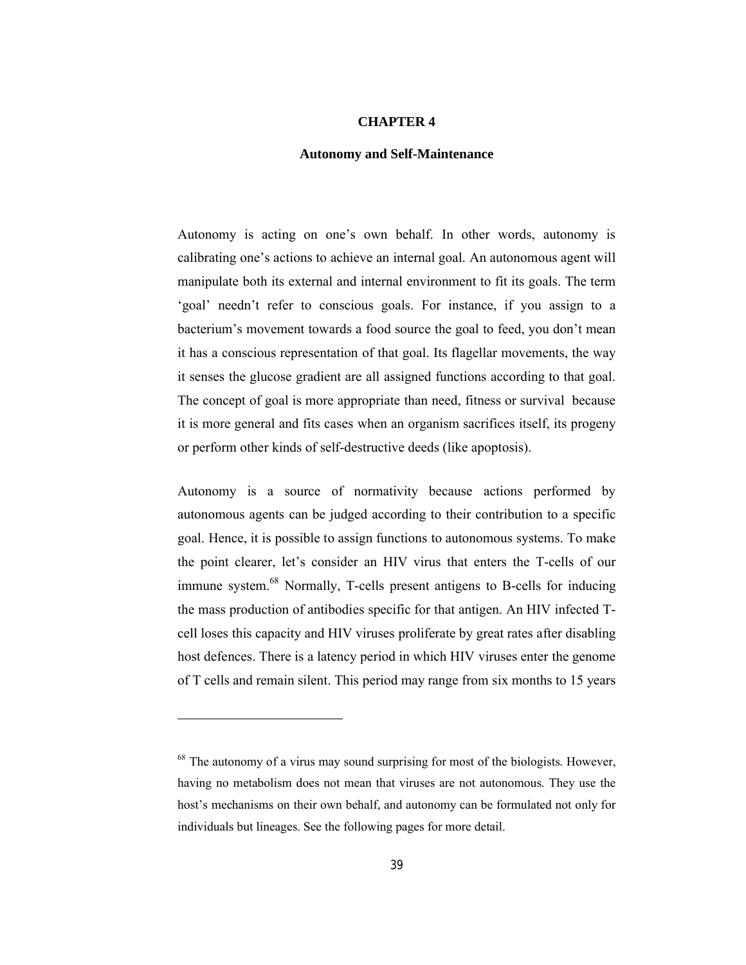## **CHAPTER 4**

### **Autonomy and Self-Maintenance**

Autonomy is acting on one's own behalf. In other words, autonomy is calibrating one's actions to achieve an internal goal. An autonomous agent will manipulate both its external and internal environment to fit its goals. The term 'goal' needn't refer to conscious goals. For instance, if you assign to a bacterium's movement towards a food source the goal to feed, you don't mean it has a conscious representation of that goal. Its flagellar movements, the way it senses the glucose gradient are all assigned functions according to that goal. The concept of goal is more appropriate than need, fitness or survival because it is more general and fits cases when an organism sacrifices itself, its progeny or perform other kinds of self-destructive deeds (like apoptosis).

Autonomy is a source of normativity because actions performed by autonomous agents can be judged according to their contribution to a specific goal. Hence, it is possible to assign functions to autonomous systems. To make the point clearer, let's consider an HIV virus that enters the T-cells of our immune system.<sup>68</sup> Normally, T-cells present antigens to B-cells for inducing the mass production of antibodies specific for that antigen. An HIV infected Tcell loses this capacity and HIV viruses proliferate by great rates after disabling host defences. There is a latency period in which HIV viruses enter the genome of T cells and remain silent. This period may range from six months to 15 years

 $68$  The autonomy of a virus may sound surprising for most of the biologists. However, having no metabolism does not mean that viruses are not autonomous. They use the host's mechanisms on their own behalf, and autonomy can be formulated not only for individuals but lineages. See the following pages for more detail.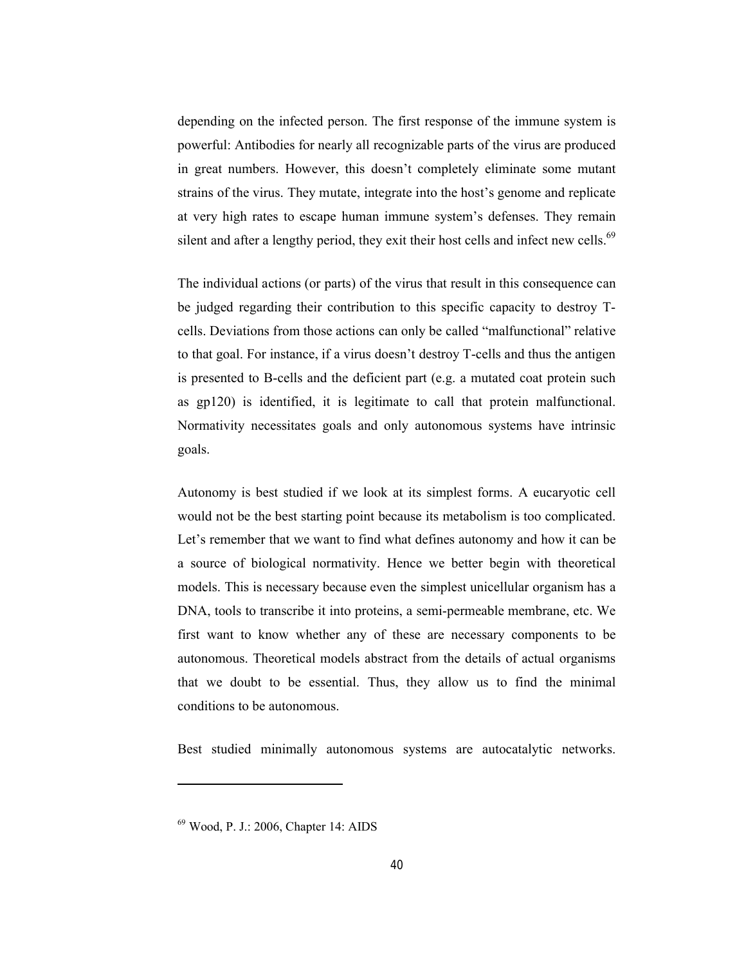depending on the infected person. The first response of the immune system is powerful: Antibodies for nearly all recognizable parts of the virus are produced in great numbers. However, this doesn't completely eliminate some mutant strains of the virus. They mutate, integrate into the host's genome and replicate at very high rates to escape human immune system's defenses. They remain silent and after a lengthy period, they exit their host cells and infect new cells.<sup>69</sup>

The individual actions (or parts) of the virus that result in this consequence can be judged regarding their contribution to this specific capacity to destroy Tcells. Deviations from those actions can only be called "malfunctional" relative to that goal. For instance, if a virus doesn't destroy T-cells and thus the antigen is presented to B-cells and the deficient part (e.g. a mutated coat protein such as gp120) is identified, it is legitimate to call that protein malfunctional. Normativity necessitates goals and only autonomous systems have intrinsic goals.

Autonomy is best studied if we look at its simplest forms. A eucaryotic cell would not be the best starting point because its metabolism is too complicated. Let's remember that we want to find what defines autonomy and how it can be a source of biological normativity. Hence we better begin with theoretical models. This is necessary because even the simplest unicellular organism has a DNA, tools to transcribe it into proteins, a semi-permeable membrane, etc. We first want to know whether any of these are necessary components to be autonomous. Theoretical models abstract from the details of actual organisms that we doubt to be essential. Thus, they allow us to find the minimal conditions to be autonomous.

Best studied minimally autonomous systems are autocatalytic networks.

<sup>69</sup> Wood, P. J.: 2006, Chapter 14: AIDS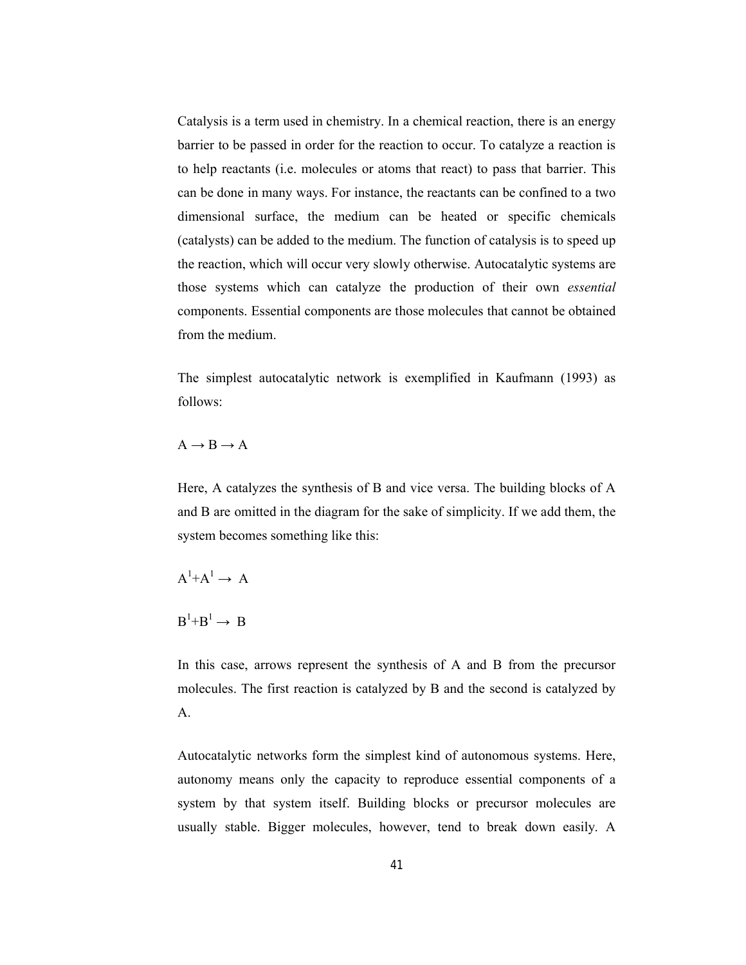Catalysis is a term used in chemistry. In a chemical reaction, there is an energy barrier to be passed in order for the reaction to occur. To catalyze a reaction is to help reactants (i.e. molecules or atoms that react) to pass that barrier. This can be done in many ways. For instance, the reactants can be confined to a two dimensional surface, the medium can be heated or specific chemicals (catalysts) can be added to the medium. The function of catalysis is to speed up the reaction, which will occur very slowly otherwise. Autocatalytic systems are those systems which can catalyze the production of their own *essential* components. Essential components are those molecules that cannot be obtained from the medium.

The simplest autocatalytic network is exemplified in Kaufmann (1993) as follows:

 $A \rightarrow B \rightarrow A$ 

Here, A catalyzes the synthesis of B and vice versa. The building blocks of A and B are omitted in the diagram for the sake of simplicity. If we add them, the system becomes something like this:

 $A^1+A^1 \rightarrow A$ 

 $B^1 + B^1 \rightarrow B$ 

In this case, arrows represent the synthesis of A and B from the precursor molecules. The first reaction is catalyzed by B and the second is catalyzed by A.

Autocatalytic networks form the simplest kind of autonomous systems. Here, autonomy means only the capacity to reproduce essential components of a system by that system itself. Building blocks or precursor molecules are usually stable. Bigger molecules, however, tend to break down easily. A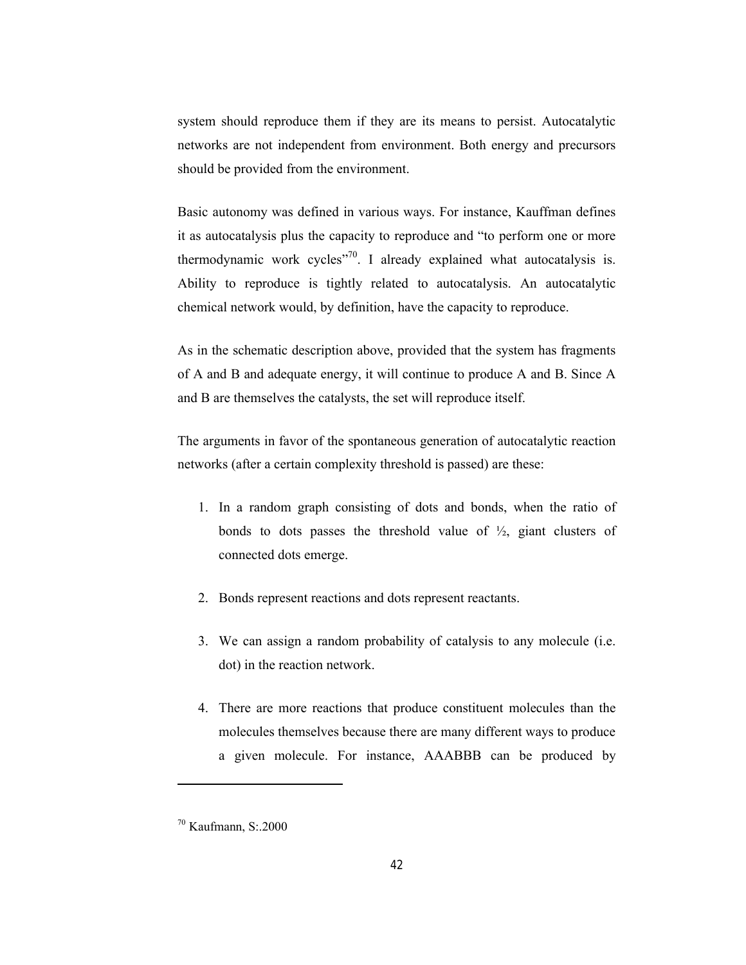system should reproduce them if they are its means to persist. Autocatalytic networks are not independent from environment. Both energy and precursors should be provided from the environment.

Basic autonomy was defined in various ways. For instance, Kauffman defines it as autocatalysis plus the capacity to reproduce and "to perform one or more thermodynamic work cycles $1$ <sup>70</sup>. I already explained what autocatalysis is. Ability to reproduce is tightly related to autocatalysis. An autocatalytic chemical network would, by definition, have the capacity to reproduce.

As in the schematic description above, provided that the system has fragments of A and B and adequate energy, it will continue to produce A and B. Since A and B are themselves the catalysts, the set will reproduce itself.

The arguments in favor of the spontaneous generation of autocatalytic reaction networks (after a certain complexity threshold is passed) are these:

- 1. In a random graph consisting of dots and bonds, when the ratio of bonds to dots passes the threshold value of  $\frac{1}{2}$ , giant clusters of connected dots emerge.
- 2. Bonds represent reactions and dots represent reactants.
- 3. We can assign a random probability of catalysis to any molecule (i.e. dot) in the reaction network.
- 4. There are more reactions that produce constituent molecules than the molecules themselves because there are many different ways to produce a given molecule. For instance, AAABBB can be produced by

 $70$  Kaufmann, S: 2000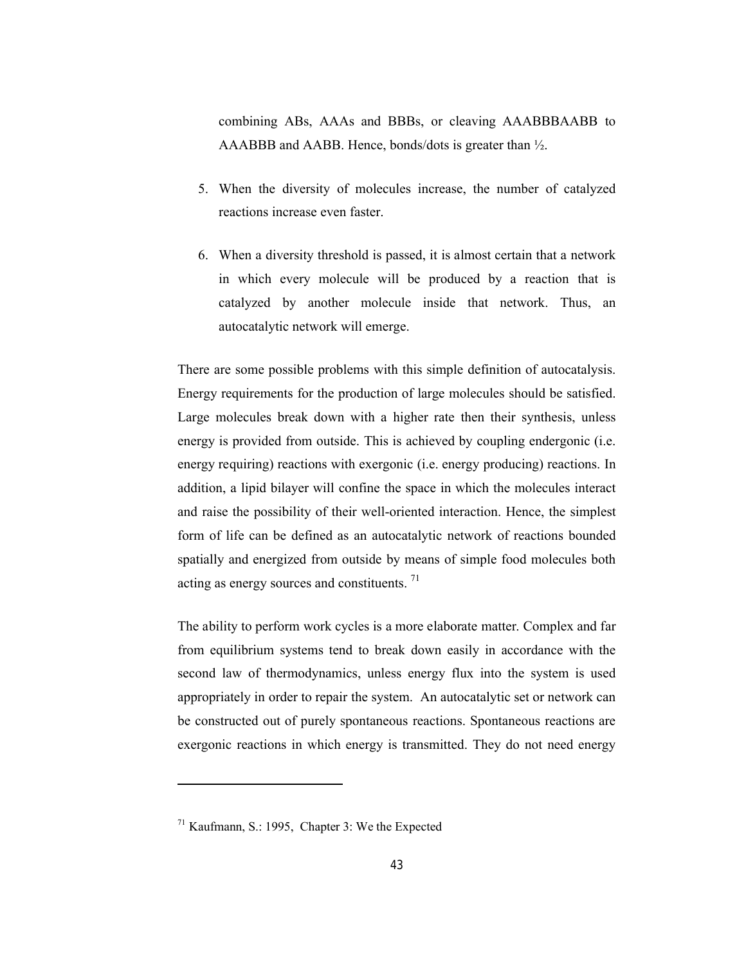combining ABs, AAAs and BBBs, or cleaving AAABBBAABB to AAABBB and AABB. Hence, bonds/dots is greater than ½.

- 5. When the diversity of molecules increase, the number of catalyzed reactions increase even faster.
- 6. When a diversity threshold is passed, it is almost certain that a network in which every molecule will be produced by a reaction that is catalyzed by another molecule inside that network. Thus, an autocatalytic network will emerge.

There are some possible problems with this simple definition of autocatalysis. Energy requirements for the production of large molecules should be satisfied. Large molecules break down with a higher rate then their synthesis, unless energy is provided from outside. This is achieved by coupling endergonic (i.e. energy requiring) reactions with exergonic (i.e. energy producing) reactions. In addition, a lipid bilayer will confine the space in which the molecules interact and raise the possibility of their well-oriented interaction. Hence, the simplest form of life can be defined as an autocatalytic network of reactions bounded spatially and energized from outside by means of simple food molecules both acting as energy sources and constituents. 71

The ability to perform work cycles is a more elaborate matter. Complex and far from equilibrium systems tend to break down easily in accordance with the second law of thermodynamics, unless energy flux into the system is used appropriately in order to repair the system. An autocatalytic set or network can be constructed out of purely spontaneous reactions. Spontaneous reactions are exergonic reactions in which energy is transmitted. They do not need energy

 $71$  Kaufmann, S.: 1995, Chapter 3: We the Expected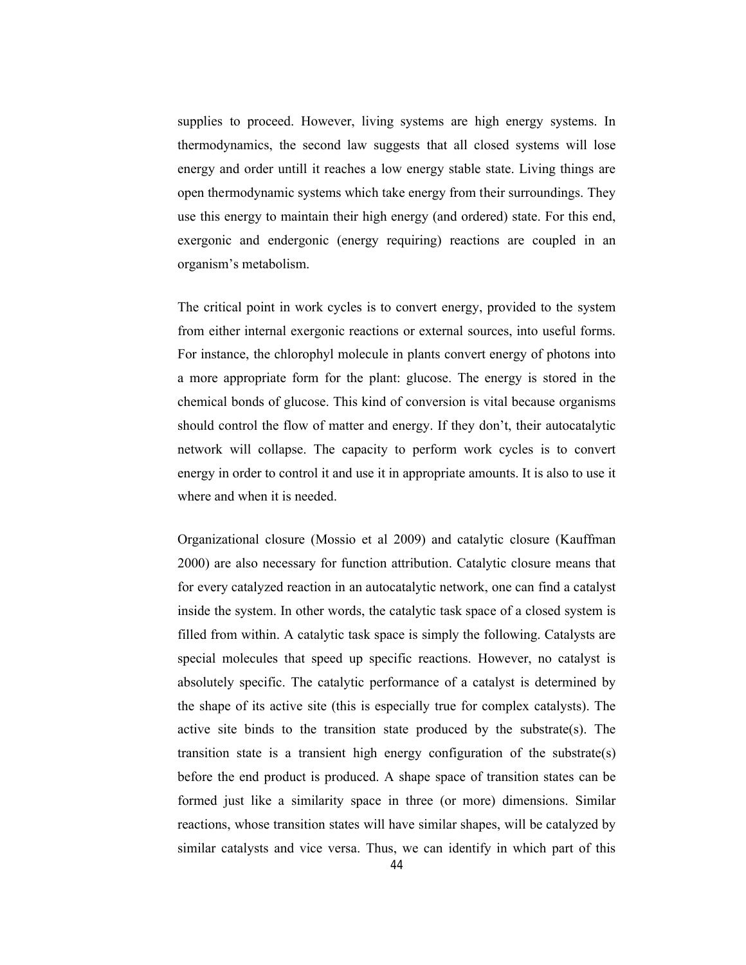supplies to proceed. However, living systems are high energy systems. In thermodynamics, the second law suggests that all closed systems will lose energy and order untill it reaches a low energy stable state. Living things are open thermodynamic systems which take energy from their surroundings. They use this energy to maintain their high energy (and ordered) state. For this end, exergonic and endergonic (energy requiring) reactions are coupled in an organism's metabolism.

The critical point in work cycles is to convert energy, provided to the system from either internal exergonic reactions or external sources, into useful forms. For instance, the chlorophyl molecule in plants convert energy of photons into a more appropriate form for the plant: glucose. The energy is stored in the chemical bonds of glucose. This kind of conversion is vital because organisms should control the flow of matter and energy. If they don't, their autocatalytic network will collapse. The capacity to perform work cycles is to convert energy in order to control it and use it in appropriate amounts. It is also to use it where and when it is needed.

Organizational closure (Mossio et al 2009) and catalytic closure (Kauffman 2000) are also necessary for function attribution. Catalytic closure means that for every catalyzed reaction in an autocatalytic network, one can find a catalyst inside the system. In other words, the catalytic task space of a closed system is filled from within. A catalytic task space is simply the following. Catalysts are special molecules that speed up specific reactions. However, no catalyst is absolutely specific. The catalytic performance of a catalyst is determined by the shape of its active site (this is especially true for complex catalysts). The active site binds to the transition state produced by the substrate(s). The transition state is a transient high energy configuration of the substrate(s) before the end product is produced. A shape space of transition states can be formed just like a similarity space in three (or more) dimensions. Similar reactions, whose transition states will have similar shapes, will be catalyzed by similar catalysts and vice versa. Thus, we can identify in which part of this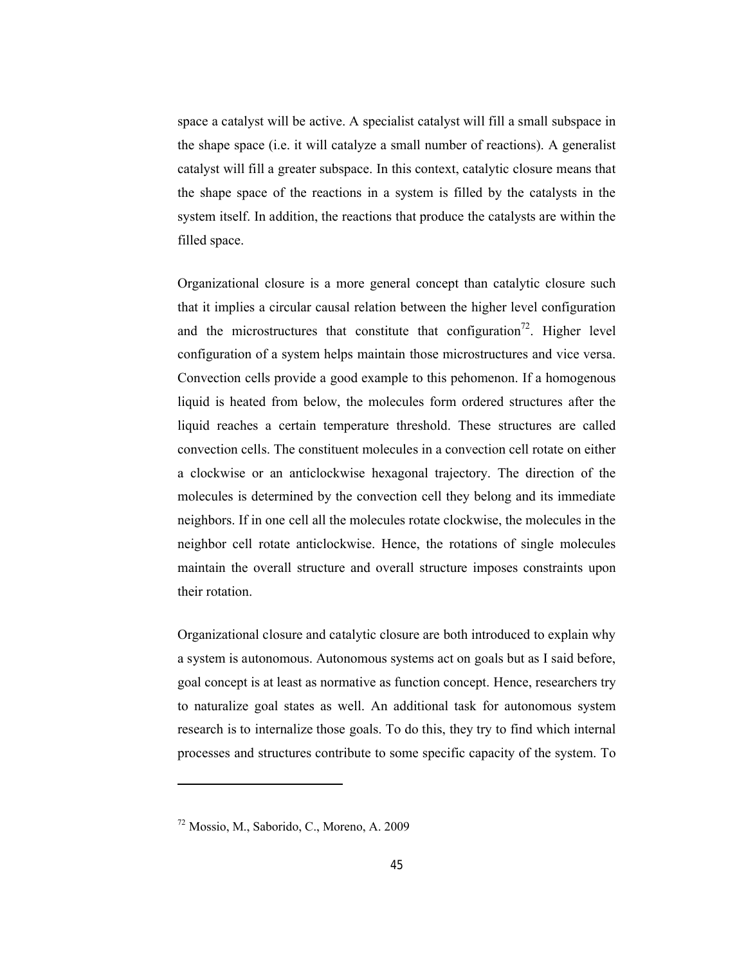space a catalyst will be active. A specialist catalyst will fill a small subspace in the shape space (i.e. it will catalyze a small number of reactions). A generalist catalyst will fill a greater subspace. In this context, catalytic closure means that the shape space of the reactions in a system is filled by the catalysts in the system itself. In addition, the reactions that produce the catalysts are within the filled space.

Organizational closure is a more general concept than catalytic closure such that it implies a circular causal relation between the higher level configuration and the microstructures that constitute that configuration<sup>72</sup>. Higher level configuration of a system helps maintain those microstructures and vice versa. Convection cells provide a good example to this pehomenon. If a homogenous liquid is heated from below, the molecules form ordered structures after the liquid reaches a certain temperature threshold. These structures are called convection cells. The constituent molecules in a convection cell rotate on either a clockwise or an anticlockwise hexagonal trajectory. The direction of the molecules is determined by the convection cell they belong and its immediate neighbors. If in one cell all the molecules rotate clockwise, the molecules in the neighbor cell rotate anticlockwise. Hence, the rotations of single molecules maintain the overall structure and overall structure imposes constraints upon their rotation.

Organizational closure and catalytic closure are both introduced to explain why a system is autonomous. Autonomous systems act on goals but as I said before, goal concept is at least as normative as function concept. Hence, researchers try to naturalize goal states as well. An additional task for autonomous system research is to internalize those goals. To do this, they try to find which internal processes and structures contribute to some specific capacity of the system. To

<sup>72</sup> Mossio, M., Saborido, C., Moreno, A. 2009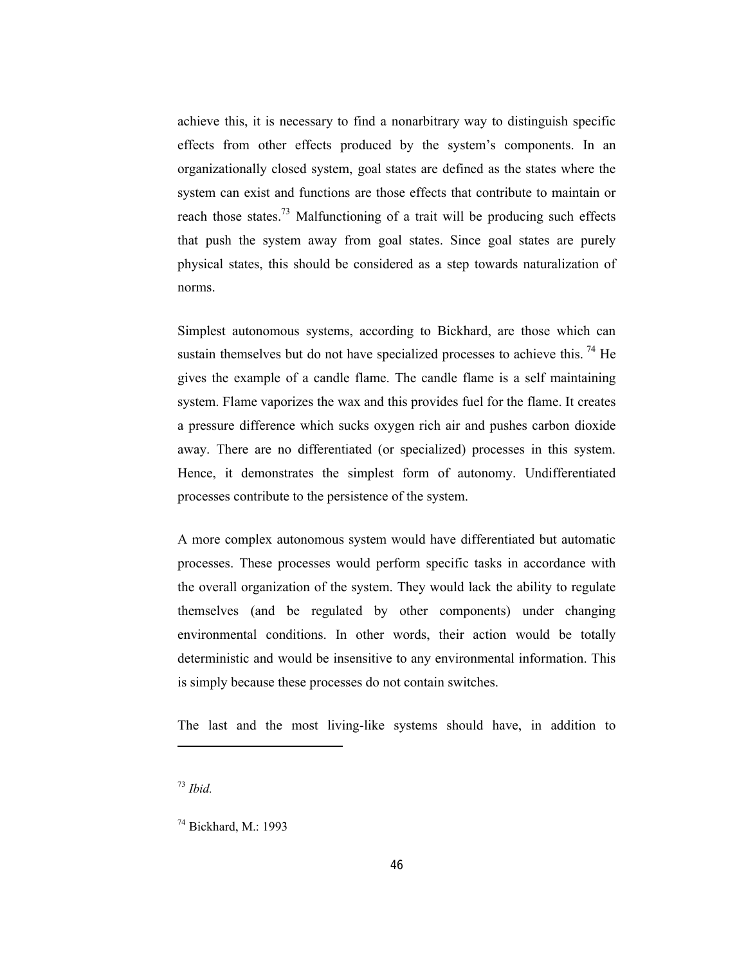achieve this, it is necessary to find a nonarbitrary way to distinguish specific effects from other effects produced by the system's components. In an organizationally closed system, goal states are defined as the states where the system can exist and functions are those effects that contribute to maintain or reach those states.<sup>73</sup> Malfunctioning of a trait will be producing such effects that push the system away from goal states. Since goal states are purely physical states, this should be considered as a step towards naturalization of norms.

Simplest autonomous systems, according to Bickhard, are those which can sustain themselves but do not have specialized processes to achieve this.<sup>74</sup> He gives the example of a candle flame. The candle flame is a self maintaining system. Flame vaporizes the wax and this provides fuel for the flame. It creates a pressure difference which sucks oxygen rich air and pushes carbon dioxide away. There are no differentiated (or specialized) processes in this system. Hence, it demonstrates the simplest form of autonomy. Undifferentiated processes contribute to the persistence of the system.

A more complex autonomous system would have differentiated but automatic processes. These processes would perform specific tasks in accordance with the overall organization of the system. They would lack the ability to regulate themselves (and be regulated by other components) under changing environmental conditions. In other words, their action would be totally deterministic and would be insensitive to any environmental information. This is simply because these processes do not contain switches.

The last and the most living-like systems should have, in addition to

<sup>73</sup> *Ibid.*

<sup>74</sup> Bickhard, M.: 1993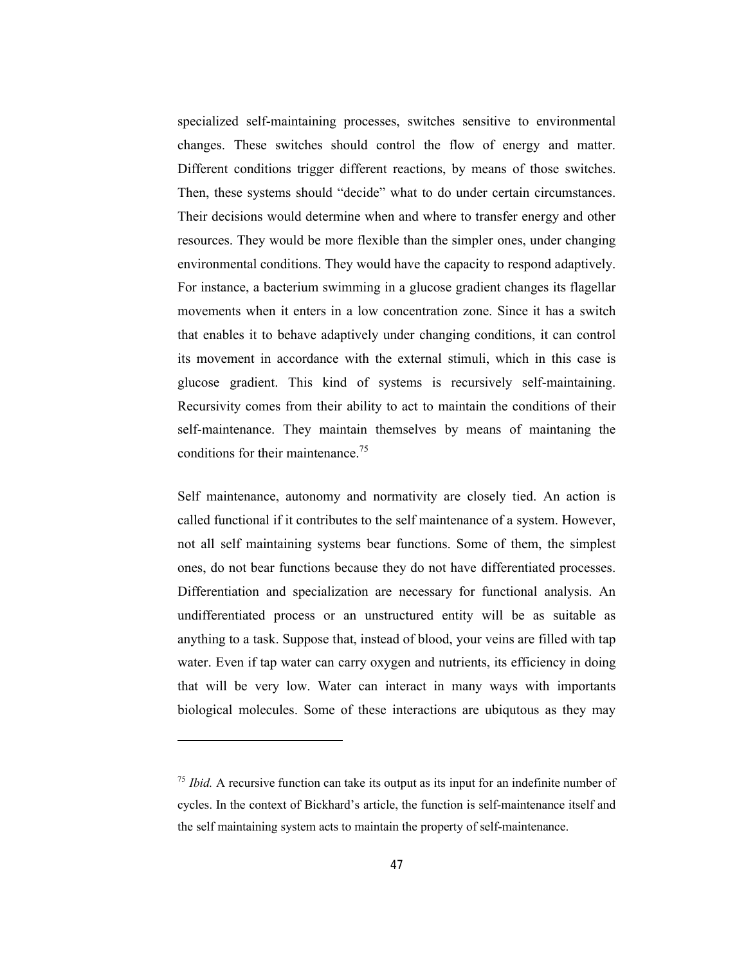specialized self-maintaining processes, switches sensitive to environmental changes. These switches should control the flow of energy and matter. Different conditions trigger different reactions, by means of those switches. Then, these systems should "decide" what to do under certain circumstances. Their decisions would determine when and where to transfer energy and other resources. They would be more flexible than the simpler ones, under changing environmental conditions. They would have the capacity to respond adaptively. For instance, a bacterium swimming in a glucose gradient changes its flagellar movements when it enters in a low concentration zone. Since it has a switch that enables it to behave adaptively under changing conditions, it can control its movement in accordance with the external stimuli, which in this case is glucose gradient. This kind of systems is recursively self-maintaining. Recursivity comes from their ability to act to maintain the conditions of their self-maintenance. They maintain themselves by means of maintaning the conditions for their maintenance.<sup>75</sup>

Self maintenance, autonomy and normativity are closely tied. An action is called functional if it contributes to the self maintenance of a system. However, not all self maintaining systems bear functions. Some of them, the simplest ones, do not bear functions because they do not have differentiated processes. Differentiation and specialization are necessary for functional analysis. An undifferentiated process or an unstructured entity will be as suitable as anything to a task. Suppose that, instead of blood, your veins are filled with tap water. Even if tap water can carry oxygen and nutrients, its efficiency in doing that will be very low. Water can interact in many ways with importants biological molecules. Some of these interactions are ubiqutous as they may

<sup>&</sup>lt;sup>75</sup> *Ibid.* A recursive function can take its output as its input for an indefinite number of cycles. In the context of Bickhard's article, the function is self-maintenance itself and the self maintaining system acts to maintain the property of self-maintenance.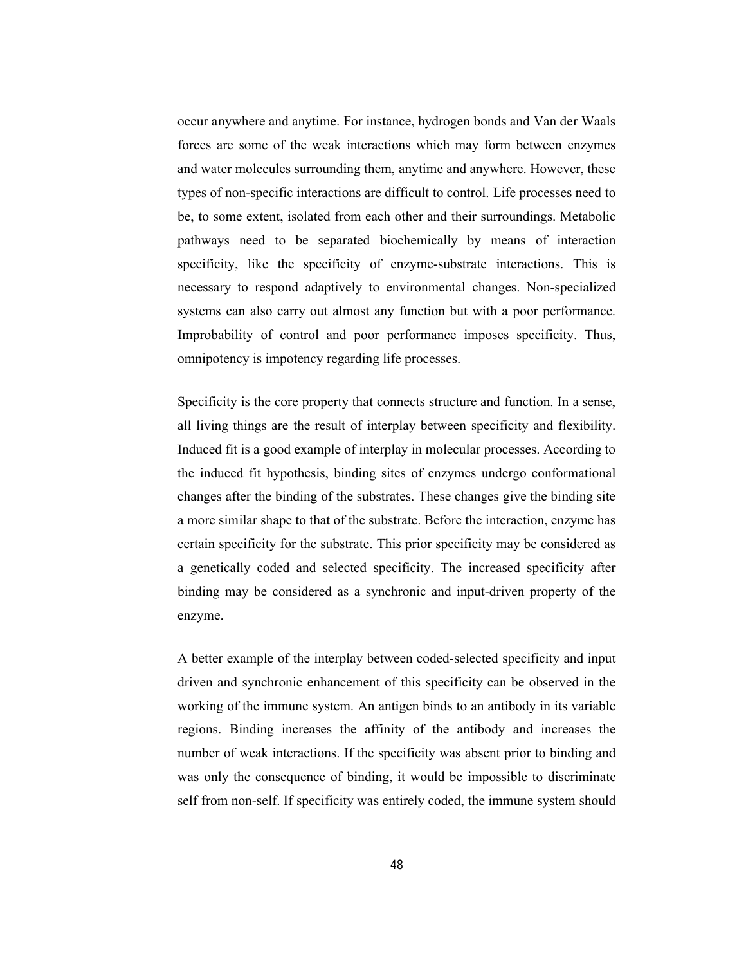occur anywhere and anytime. For instance, hydrogen bonds and Van der Waals forces are some of the weak interactions which may form between enzymes and water molecules surrounding them, anytime and anywhere. However, these types of non-specific interactions are difficult to control. Life processes need to be, to some extent, isolated from each other and their surroundings. Metabolic pathways need to be separated biochemically by means of interaction specificity, like the specificity of enzyme-substrate interactions. This is necessary to respond adaptively to environmental changes. Non-specialized systems can also carry out almost any function but with a poor performance. Improbability of control and poor performance imposes specificity. Thus, omnipotency is impotency regarding life processes.

Specificity is the core property that connects structure and function. In a sense, all living things are the result of interplay between specificity and flexibility. Induced fit is a good example of interplay in molecular processes. According to the induced fit hypothesis, binding sites of enzymes undergo conformational changes after the binding of the substrates. These changes give the binding site a more similar shape to that of the substrate. Before the interaction, enzyme has certain specificity for the substrate. This prior specificity may be considered as a genetically coded and selected specificity. The increased specificity after binding may be considered as a synchronic and input-driven property of the enzyme.

A better example of the interplay between coded-selected specificity and input driven and synchronic enhancement of this specificity can be observed in the working of the immune system. An antigen binds to an antibody in its variable regions. Binding increases the affinity of the antibody and increases the number of weak interactions. If the specificity was absent prior to binding and was only the consequence of binding, it would be impossible to discriminate self from non-self. If specificity was entirely coded, the immune system should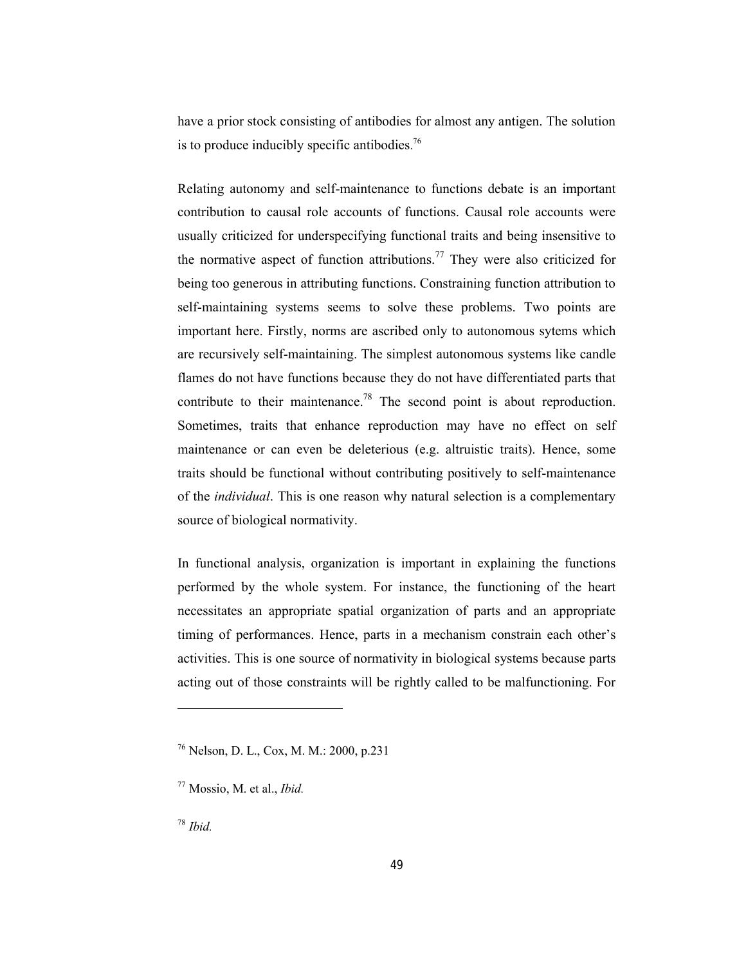have a prior stock consisting of antibodies for almost any antigen. The solution is to produce inducibly specific antibodies.<sup>76</sup>

Relating autonomy and self-maintenance to functions debate is an important contribution to causal role accounts of functions. Causal role accounts were usually criticized for underspecifying functional traits and being insensitive to the normative aspect of function attributions.<sup>77</sup> They were also criticized for being too generous in attributing functions. Constraining function attribution to self-maintaining systems seems to solve these problems. Two points are important here. Firstly, norms are ascribed only to autonomous sytems which are recursively self-maintaining. The simplest autonomous systems like candle flames do not have functions because they do not have differentiated parts that contribute to their maintenance.<sup>78</sup> The second point is about reproduction. Sometimes, traits that enhance reproduction may have no effect on self maintenance or can even be deleterious (e.g. altruistic traits). Hence, some traits should be functional without contributing positively to self-maintenance of the *individual*. This is one reason why natural selection is a complementary source of biological normativity.

In functional analysis, organization is important in explaining the functions performed by the whole system. For instance, the functioning of the heart necessitates an appropriate spatial organization of parts and an appropriate timing of performances. Hence, parts in a mechanism constrain each other's activities. This is one source of normativity in biological systems because parts acting out of those constraints will be rightly called to be malfunctioning. For

<sup>76</sup> Nelson, D. L., Cox, M. M.: 2000, p.231

<sup>77</sup> Mossio, M. et al., *Ibid.*

<sup>78</sup> *Ibid.*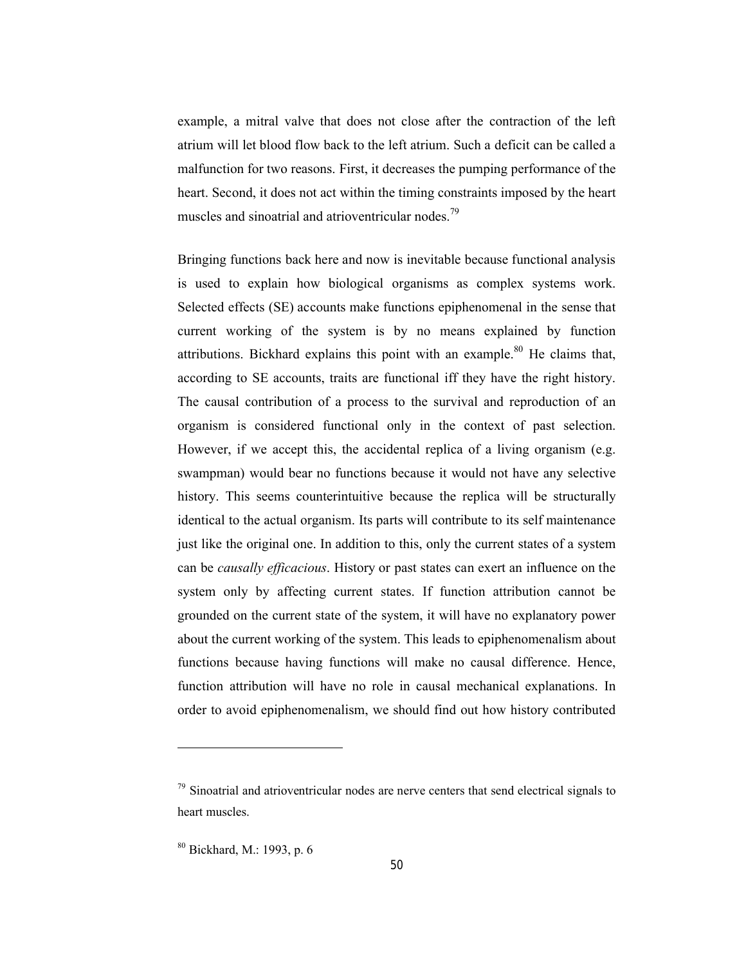example, a mitral valve that does not close after the contraction of the left atrium will let blood flow back to the left atrium. Such a deficit can be called a malfunction for two reasons. First, it decreases the pumping performance of the heart. Second, it does not act within the timing constraints imposed by the heart muscles and sinoatrial and atrioventricular nodes.<sup>79</sup>

Bringing functions back here and now is inevitable because functional analysis is used to explain how biological organisms as complex systems work. Selected effects (SE) accounts make functions epiphenomenal in the sense that current working of the system is by no means explained by function attributions. Bickhard explains this point with an example.<sup>80</sup> He claims that, according to SE accounts, traits are functional iff they have the right history. The causal contribution of a process to the survival and reproduction of an organism is considered functional only in the context of past selection. However, if we accept this, the accidental replica of a living organism (e.g. swampman) would bear no functions because it would not have any selective history. This seems counterintuitive because the replica will be structurally identical to the actual organism. Its parts will contribute to its self maintenance just like the original one. In addition to this, only the current states of a system can be *causally efficacious*. History or past states can exert an influence on the system only by affecting current states. If function attribution cannot be grounded on the current state of the system, it will have no explanatory power about the current working of the system. This leads to epiphenomenalism about functions because having functions will make no causal difference. Hence, function attribution will have no role in causal mechanical explanations. In order to avoid epiphenomenalism, we should find out how history contributed

<u>.</u>

 $79$  Sinoatrial and atrioventricular nodes are nerve centers that send electrical signals to heart muscles.

<sup>80</sup> Bickhard, M.: 1993, p. 6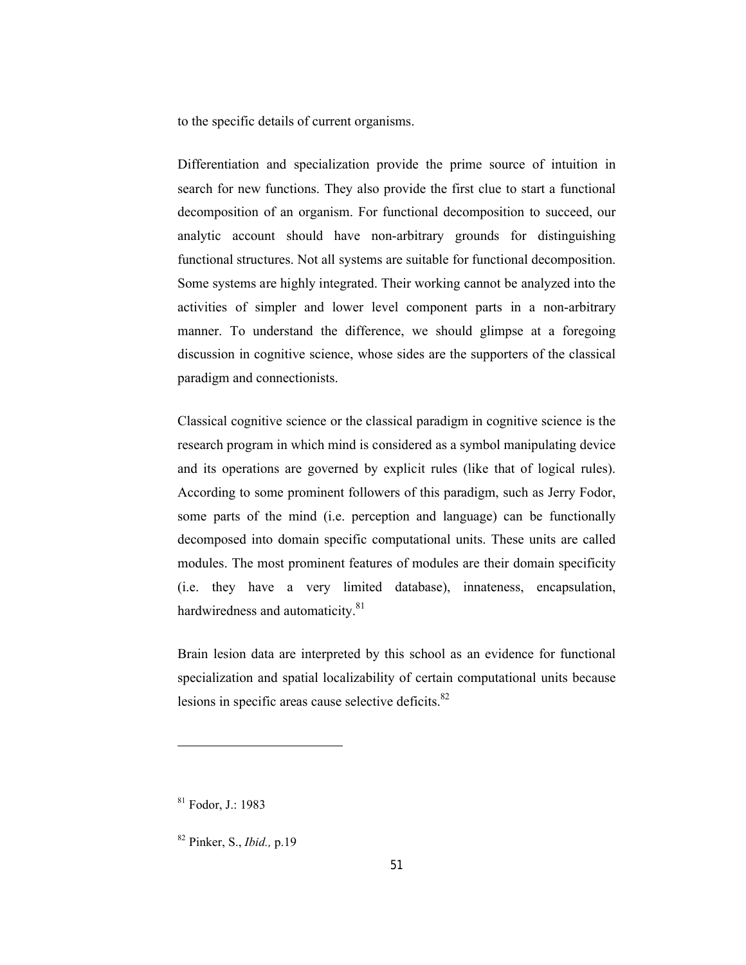to the specific details of current organisms.

Differentiation and specialization provide the prime source of intuition in search for new functions. They also provide the first clue to start a functional decomposition of an organism. For functional decomposition to succeed, our analytic account should have non-arbitrary grounds for distinguishing functional structures. Not all systems are suitable for functional decomposition. Some systems are highly integrated. Their working cannot be analyzed into the activities of simpler and lower level component parts in a non-arbitrary manner. To understand the difference, we should glimpse at a foregoing discussion in cognitive science, whose sides are the supporters of the classical paradigm and connectionists.

Classical cognitive science or the classical paradigm in cognitive science is the research program in which mind is considered as a symbol manipulating device and its operations are governed by explicit rules (like that of logical rules). According to some prominent followers of this paradigm, such as Jerry Fodor, some parts of the mind (i.e. perception and language) can be functionally decomposed into domain specific computational units. These units are called modules. The most prominent features of modules are their domain specificity (i.e. they have a very limited database), innateness, encapsulation, hardwiredness and automaticity.<sup>81</sup>

Brain lesion data are interpreted by this school as an evidence for functional specialization and spatial localizability of certain computational units because lesions in specific areas cause selective deficits.<sup>82</sup>

<sup>81</sup> Fodor, J.: 1983

<sup>82</sup> Pinker, S., *Ibid.,* p.19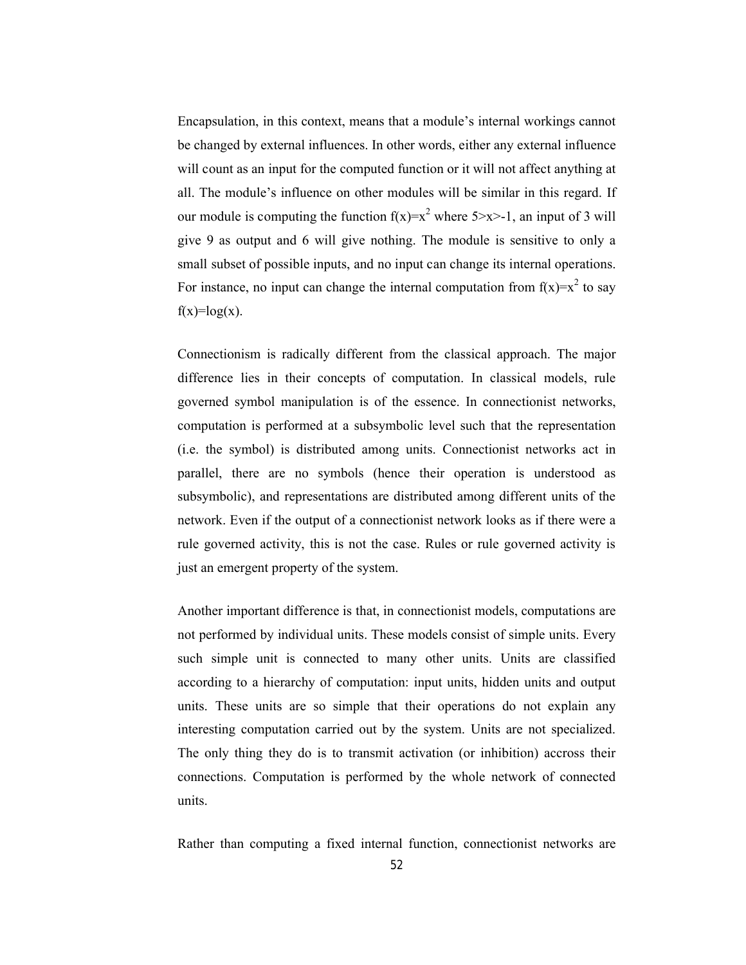Encapsulation, in this context, means that a module's internal workings cannot be changed by external influences. In other words, either any external influence will count as an input for the computed function or it will not affect anything at all. The module's influence on other modules will be similar in this regard. If our module is computing the function  $f(x)=x^2$  where  $5\ge x\ge -1$ , an input of 3 will give 9 as output and 6 will give nothing. The module is sensitive to only a small subset of possible inputs, and no input can change its internal operations. For instance, no input can change the internal computation from  $f(x)=x^2$  to say  $f(x)=log(x)$ .

Connectionism is radically different from the classical approach. The major difference lies in their concepts of computation. In classical models, rule governed symbol manipulation is of the essence. In connectionist networks, computation is performed at a subsymbolic level such that the representation (i.e. the symbol) is distributed among units. Connectionist networks act in parallel, there are no symbols (hence their operation is understood as subsymbolic), and representations are distributed among different units of the network. Even if the output of a connectionist network looks as if there were a rule governed activity, this is not the case. Rules or rule governed activity is just an emergent property of the system.

Another important difference is that, in connectionist models, computations are not performed by individual units. These models consist of simple units. Every such simple unit is connected to many other units. Units are classified according to a hierarchy of computation: input units, hidden units and output units. These units are so simple that their operations do not explain any interesting computation carried out by the system. Units are not specialized. The only thing they do is to transmit activation (or inhibition) accross their connections. Computation is performed by the whole network of connected units.

Rather than computing a fixed internal function, connectionist networks are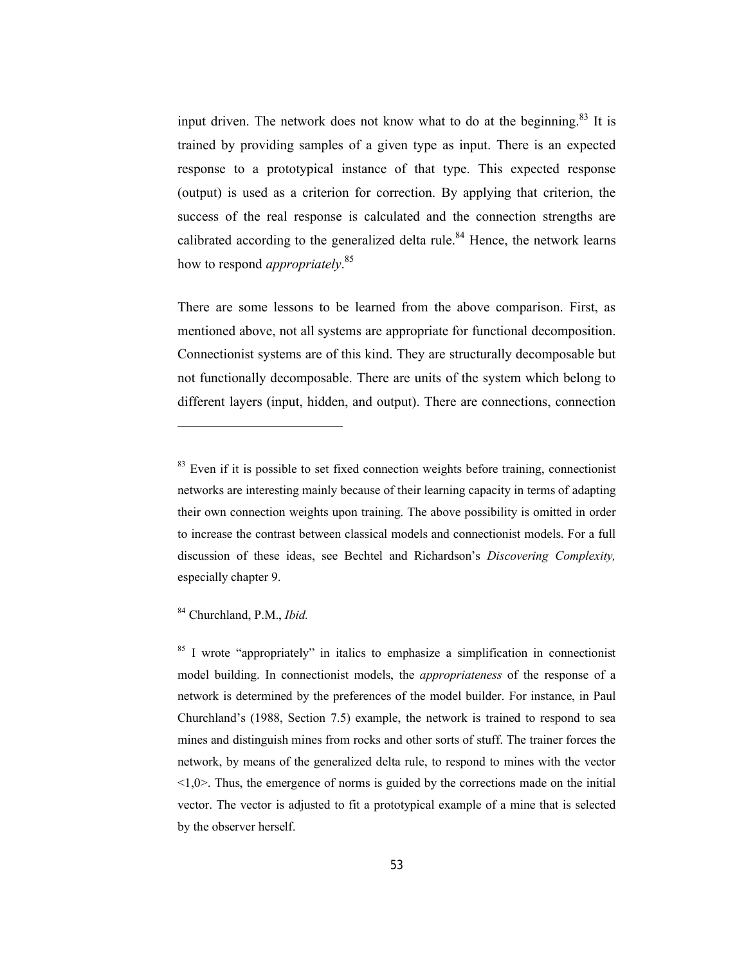input driven. The network does not know what to do at the beginning.<sup>83</sup> It is trained by providing samples of a given type as input. There is an expected response to a prototypical instance of that type. This expected response (output) is used as a criterion for correction. By applying that criterion, the success of the real response is calculated and the connection strengths are calibrated according to the generalized delta rule.<sup>84</sup> Hence, the network learns how to respond *appropriately*. 85

There are some lessons to be learned from the above comparison. First, as mentioned above, not all systems are appropriate for functional decomposition. Connectionist systems are of this kind. They are structurally decomposable but not functionally decomposable. There are units of the system which belong to different layers (input, hidden, and output). There are connections, connection

<sup>84</sup> Churchland, P.M., *Ibid.*

-

<sup>85</sup> I wrote "appropriately" in italics to emphasize a simplification in connectionist model building. In connectionist models, the *appropriateness* of the response of a network is determined by the preferences of the model builder. For instance, in Paul Churchland's (1988, Section 7.5) example, the network is trained to respond to sea mines and distinguish mines from rocks and other sorts of stuff. The trainer forces the network, by means of the generalized delta rule, to respond to mines with the vector <1,0>. Thus, the emergence of norms is guided by the corrections made on the initial vector. The vector is adjusted to fit a prototypical example of a mine that is selected by the observer herself.

 $83$  Even if it is possible to set fixed connection weights before training, connectionist networks are interesting mainly because of their learning capacity in terms of adapting their own connection weights upon training. The above possibility is omitted in order to increase the contrast between classical models and connectionist models. For a full discussion of these ideas, see Bechtel and Richardson's *Discovering Complexity,*  especially chapter 9.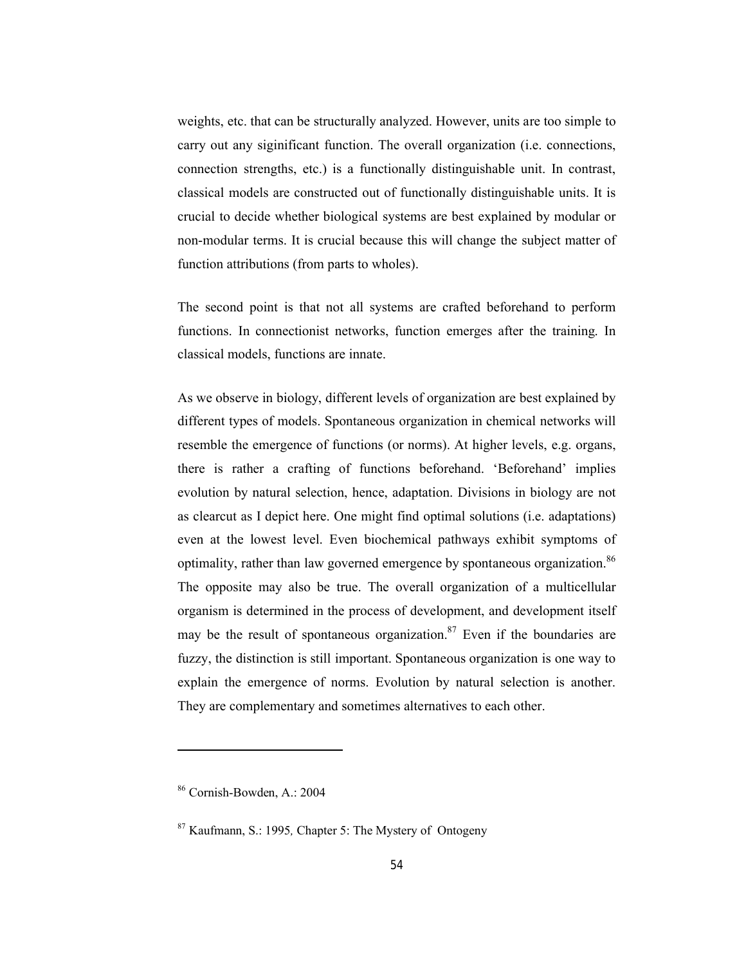weights, etc. that can be structurally analyzed. However, units are too simple to carry out any siginificant function. The overall organization (i.e. connections, connection strengths, etc.) is a functionally distinguishable unit. In contrast, classical models are constructed out of functionally distinguishable units. It is crucial to decide whether biological systems are best explained by modular or non-modular terms. It is crucial because this will change the subject matter of function attributions (from parts to wholes).

The second point is that not all systems are crafted beforehand to perform functions. In connectionist networks, function emerges after the training. In classical models, functions are innate.

As we observe in biology, different levels of organization are best explained by different types of models. Spontaneous organization in chemical networks will resemble the emergence of functions (or norms). At higher levels, e.g. organs, there is rather a crafting of functions beforehand. 'Beforehand' implies evolution by natural selection, hence, adaptation. Divisions in biology are not as clearcut as I depict here. One might find optimal solutions (i.e. adaptations) even at the lowest level. Even biochemical pathways exhibit symptoms of optimality, rather than law governed emergence by spontaneous organization.<sup>86</sup> The opposite may also be true. The overall organization of a multicellular organism is determined in the process of development, and development itself may be the result of spontaneous organization.<sup>87</sup> Even if the boundaries are fuzzy, the distinction is still important. Spontaneous organization is one way to explain the emergence of norms. Evolution by natural selection is another. They are complementary and sometimes alternatives to each other.

<sup>86</sup> Cornish-Bowden, A.: 2004

<sup>87</sup> Kaufmann, S.: 1995*,* Chapter 5: The Mystery of Ontogeny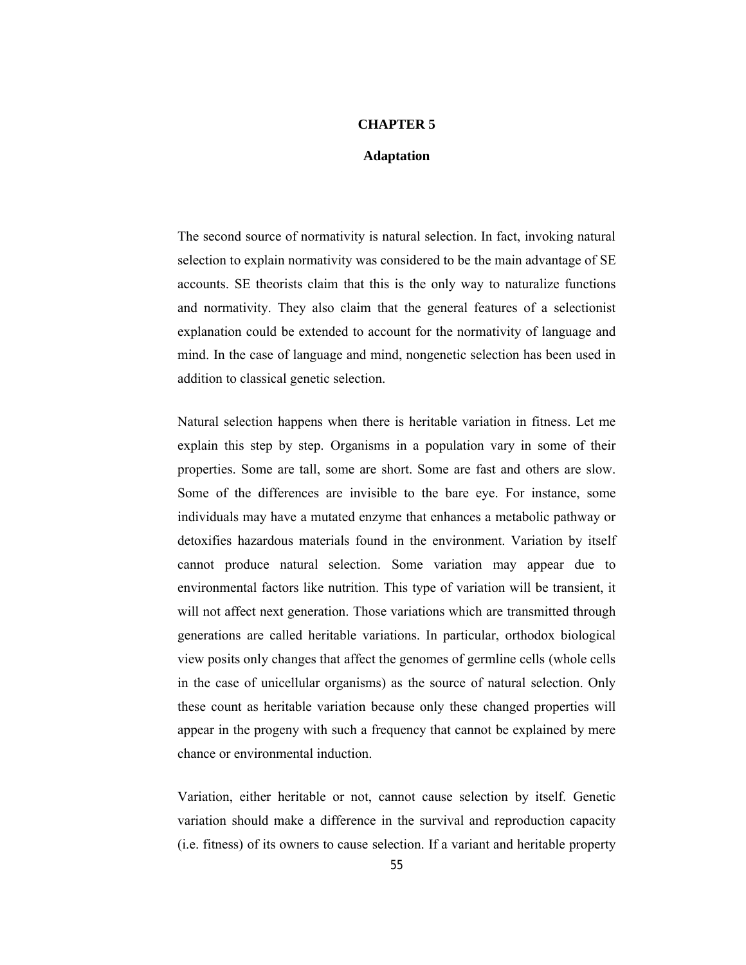#### **CHAPTER 5**

#### **Adaptation**

The second source of normativity is natural selection. In fact, invoking natural selection to explain normativity was considered to be the main advantage of SE accounts. SE theorists claim that this is the only way to naturalize functions and normativity. They also claim that the general features of a selectionist explanation could be extended to account for the normativity of language and mind. In the case of language and mind, nongenetic selection has been used in addition to classical genetic selection.

Natural selection happens when there is heritable variation in fitness. Let me explain this step by step. Organisms in a population vary in some of their properties. Some are tall, some are short. Some are fast and others are slow. Some of the differences are invisible to the bare eye. For instance, some individuals may have a mutated enzyme that enhances a metabolic pathway or detoxifies hazardous materials found in the environment. Variation by itself cannot produce natural selection. Some variation may appear due to environmental factors like nutrition. This type of variation will be transient, it will not affect next generation. Those variations which are transmitted through generations are called heritable variations. In particular, orthodox biological view posits only changes that affect the genomes of germline cells (whole cells in the case of unicellular organisms) as the source of natural selection. Only these count as heritable variation because only these changed properties will appear in the progeny with such a frequency that cannot be explained by mere chance or environmental induction.

Variation, either heritable or not, cannot cause selection by itself. Genetic variation should make a difference in the survival and reproduction capacity (i.e. fitness) of its owners to cause selection. If a variant and heritable property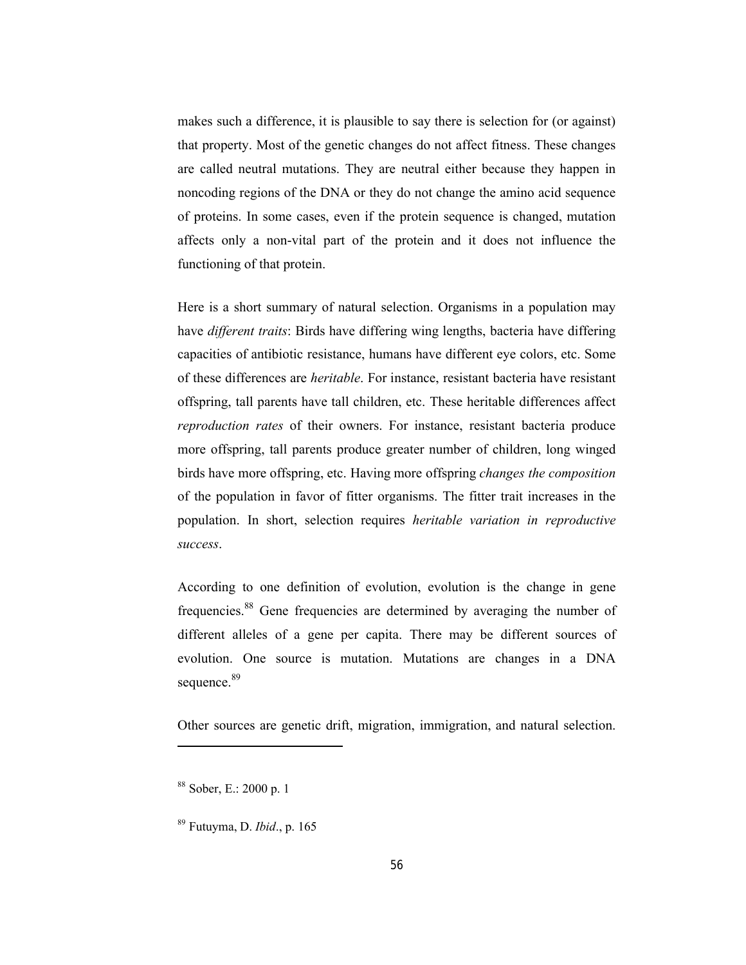makes such a difference, it is plausible to say there is selection for (or against) that property. Most of the genetic changes do not affect fitness. These changes are called neutral mutations. They are neutral either because they happen in noncoding regions of the DNA or they do not change the amino acid sequence of proteins. In some cases, even if the protein sequence is changed, mutation affects only a non-vital part of the protein and it does not influence the functioning of that protein.

Here is a short summary of natural selection. Organisms in a population may have *different traits*: Birds have differing wing lengths, bacteria have differing capacities of antibiotic resistance, humans have different eye colors, etc. Some of these differences are *heritable*. For instance, resistant bacteria have resistant offspring, tall parents have tall children, etc. These heritable differences affect *reproduction rates* of their owners. For instance, resistant bacteria produce more offspring, tall parents produce greater number of children, long winged birds have more offspring, etc. Having more offspring *changes the composition*  of the population in favor of fitter organisms. The fitter trait increases in the population. In short, selection requires *heritable variation in reproductive success*.

According to one definition of evolution, evolution is the change in gene frequencies.<sup>88</sup> Gene frequencies are determined by averaging the number of different alleles of a gene per capita. There may be different sources of evolution. One source is mutation. Mutations are changes in a DNA sequence.<sup>89</sup>

Other sources are genetic drift, migration, immigration, and natural selection.

<sup>88</sup> Sober, E.: 2000 p. 1

<sup>89</sup> Futuyma, D. *Ibid*., p. 165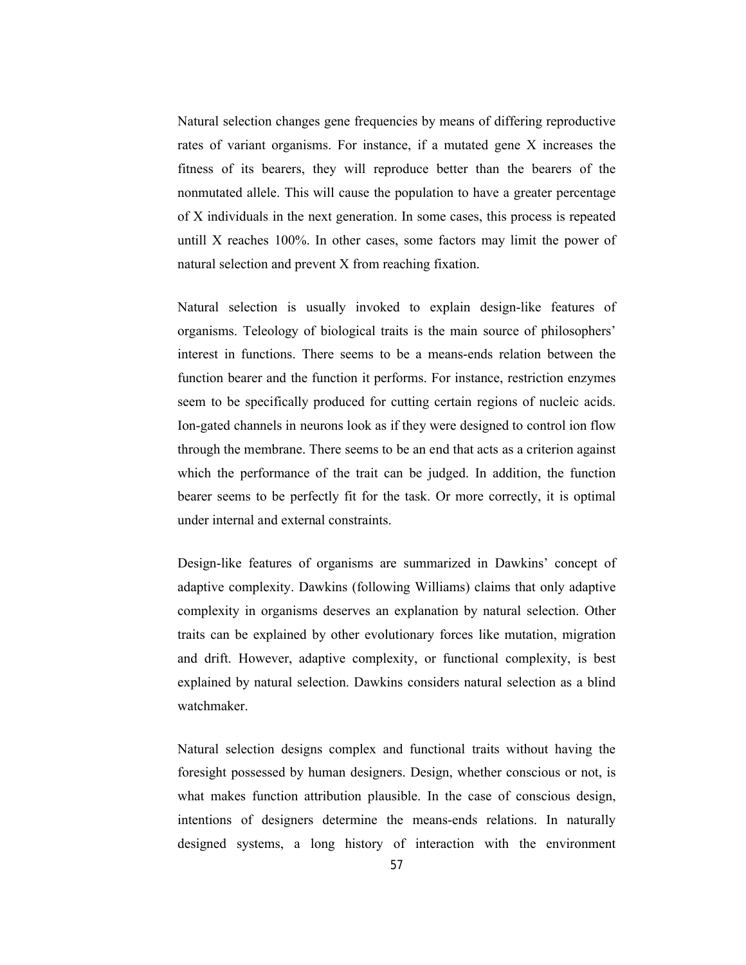Natural selection changes gene frequencies by means of differing reproductive rates of variant organisms. For instance, if a mutated gene X increases the fitness of its bearers, they will reproduce better than the bearers of the nonmutated allele. This will cause the population to have a greater percentage of X individuals in the next generation. In some cases, this process is repeated untill X reaches 100%. In other cases, some factors may limit the power of natural selection and prevent X from reaching fixation.

Natural selection is usually invoked to explain design-like features of organisms. Teleology of biological traits is the main source of philosophers' interest in functions. There seems to be a means-ends relation between the function bearer and the function it performs. For instance, restriction enzymes seem to be specifically produced for cutting certain regions of nucleic acids. Ion-gated channels in neurons look as if they were designed to control ion flow through the membrane. There seems to be an end that acts as a criterion against which the performance of the trait can be judged. In addition, the function bearer seems to be perfectly fit for the task. Or more correctly, it is optimal under internal and external constraints.

Design-like features of organisms are summarized in Dawkins' concept of adaptive complexity. Dawkins (following Williams) claims that only adaptive complexity in organisms deserves an explanation by natural selection. Other traits can be explained by other evolutionary forces like mutation, migration and drift. However, adaptive complexity, or functional complexity, is best explained by natural selection. Dawkins considers natural selection as a blind watchmaker.

Natural selection designs complex and functional traits without having the foresight possessed by human designers. Design, whether conscious or not, is what makes function attribution plausible. In the case of conscious design, intentions of designers determine the means-ends relations. In naturally designed systems, a long history of interaction with the environment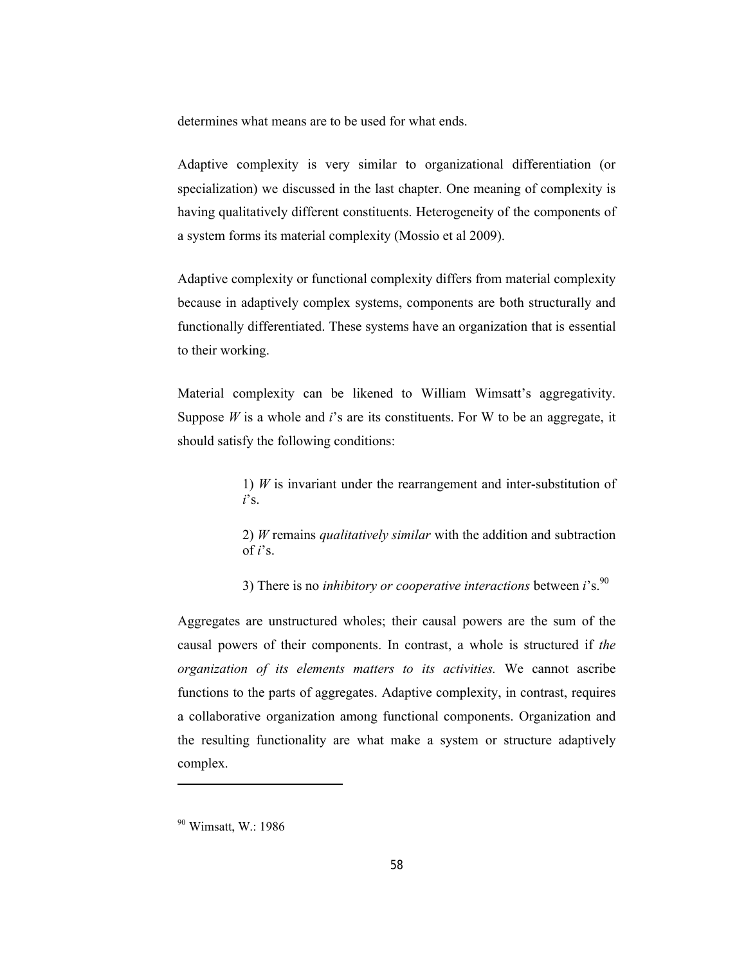determines what means are to be used for what ends.

Adaptive complexity is very similar to organizational differentiation (or specialization) we discussed in the last chapter. One meaning of complexity is having qualitatively different constituents. Heterogeneity of the components of a system forms its material complexity (Mossio et al 2009).

Adaptive complexity or functional complexity differs from material complexity because in adaptively complex systems, components are both structurally and functionally differentiated. These systems have an organization that is essential to their working.

Material complexity can be likened to William Wimsatt's aggregativity. Suppose *W* is a whole and *i*'s are its constituents. For W to be an aggregate, it should satisfy the following conditions:

> 1) *W* is invariant under the rearrangement and inter-substitution of *i*'s.

> 2) *W* remains *qualitatively similar* with the addition and subtraction of  $i$ 's.

3) There is no *inhibitory or cooperative interactions* between *i*'s.90

Aggregates are unstructured wholes; their causal powers are the sum of the causal powers of their components. In contrast, a whole is structured if *the organization of its elements matters to its activities.* We cannot ascribe functions to the parts of aggregates. Adaptive complexity, in contrast, requires a collaborative organization among functional components. Organization and the resulting functionality are what make a system or structure adaptively complex.

<sup>90</sup> Wimsatt, W.: 1986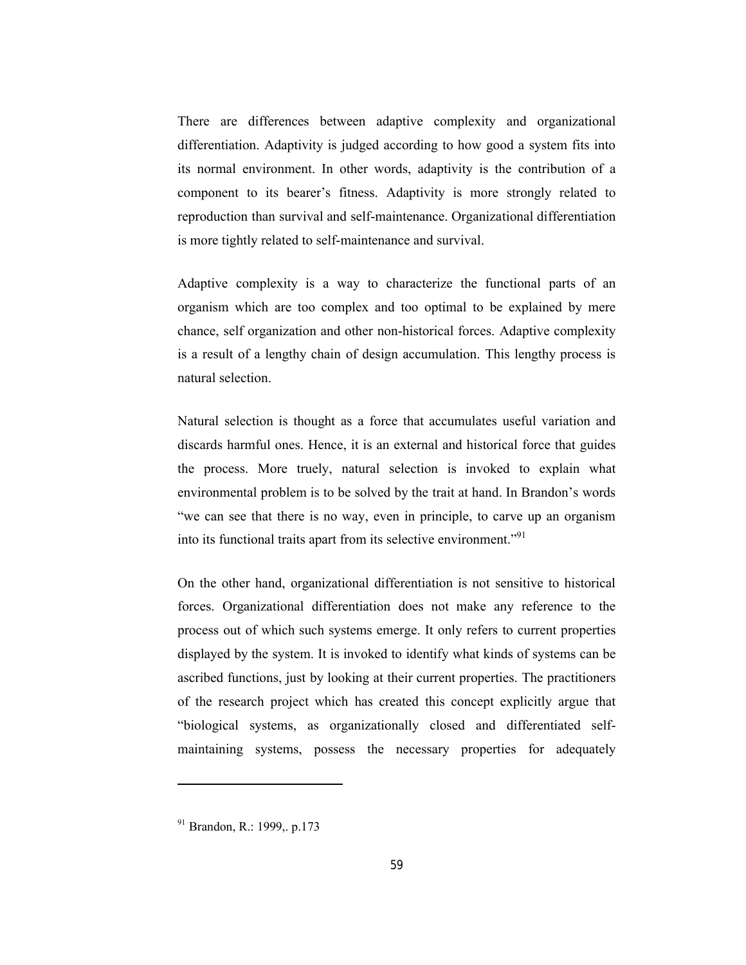There are differences between adaptive complexity and organizational differentiation. Adaptivity is judged according to how good a system fits into its normal environment. In other words, adaptivity is the contribution of a component to its bearer's fitness. Adaptivity is more strongly related to reproduction than survival and self-maintenance. Organizational differentiation is more tightly related to self-maintenance and survival.

Adaptive complexity is a way to characterize the functional parts of an organism which are too complex and too optimal to be explained by mere chance, self organization and other non-historical forces. Adaptive complexity is a result of a lengthy chain of design accumulation. This lengthy process is natural selection.

Natural selection is thought as a force that accumulates useful variation and discards harmful ones. Hence, it is an external and historical force that guides the process. More truely, natural selection is invoked to explain what environmental problem is to be solved by the trait at hand. In Brandon's words "we can see that there is no way, even in principle, to carve up an organism into its functional traits apart from its selective environment."<sup>91</sup>

On the other hand, organizational differentiation is not sensitive to historical forces. Organizational differentiation does not make any reference to the process out of which such systems emerge. It only refers to current properties displayed by the system. It is invoked to identify what kinds of systems can be ascribed functions, just by looking at their current properties. The practitioners of the research project which has created this concept explicitly argue that "biological systems, as organizationally closed and differentiated selfmaintaining systems, possess the necessary properties for adequately

<sup>91</sup> Brandon, R.: 1999,. p.173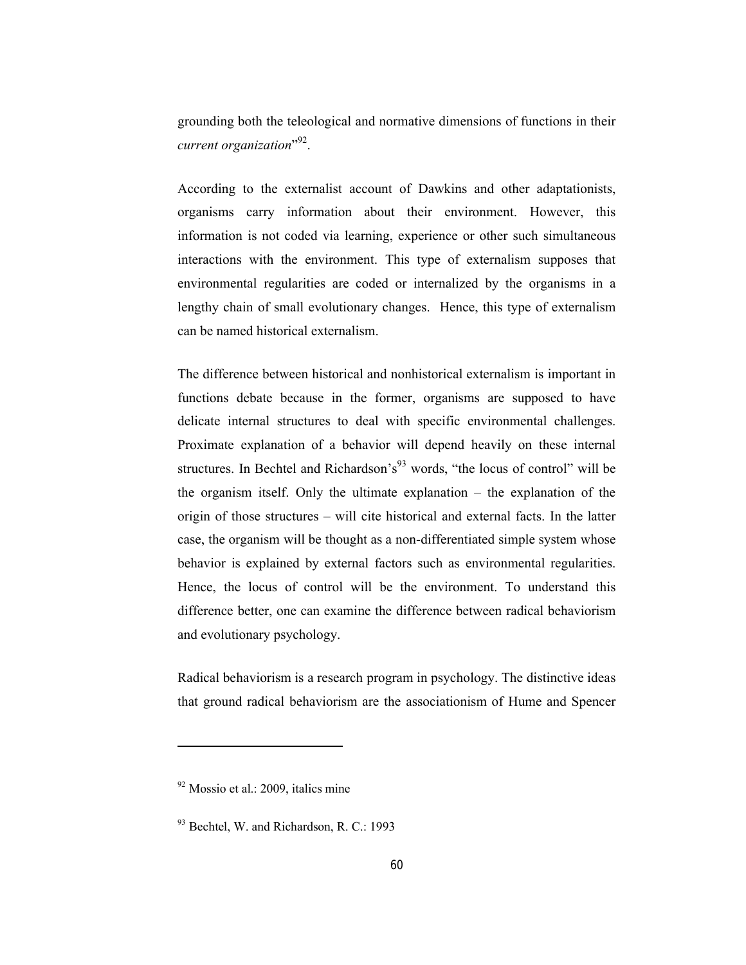grounding both the teleological and normative dimensions of functions in their current organization"<sup>92</sup>.

According to the externalist account of Dawkins and other adaptationists, organisms carry information about their environment. However, this information is not coded via learning, experience or other such simultaneous interactions with the environment. This type of externalism supposes that environmental regularities are coded or internalized by the organisms in a lengthy chain of small evolutionary changes. Hence, this type of externalism can be named historical externalism.

The difference between historical and nonhistorical externalism is important in functions debate because in the former, organisms are supposed to have delicate internal structures to deal with specific environmental challenges. Proximate explanation of a behavior will depend heavily on these internal structures. In Bechtel and Richardson's<sup>93</sup> words, "the locus of control" will be the organism itself. Only the ultimate explanation – the explanation of the origin of those structures – will cite historical and external facts. In the latter case, the organism will be thought as a non-differentiated simple system whose behavior is explained by external factors such as environmental regularities. Hence, the locus of control will be the environment. To understand this difference better, one can examine the difference between radical behaviorism and evolutionary psychology.

Radical behaviorism is a research program in psychology. The distinctive ideas that ground radical behaviorism are the associationism of Hume and Spencer

 $92$  Mossio et al.: 2009, italics mine

 $93$  Bechtel, W. and Richardson, R. C.: 1993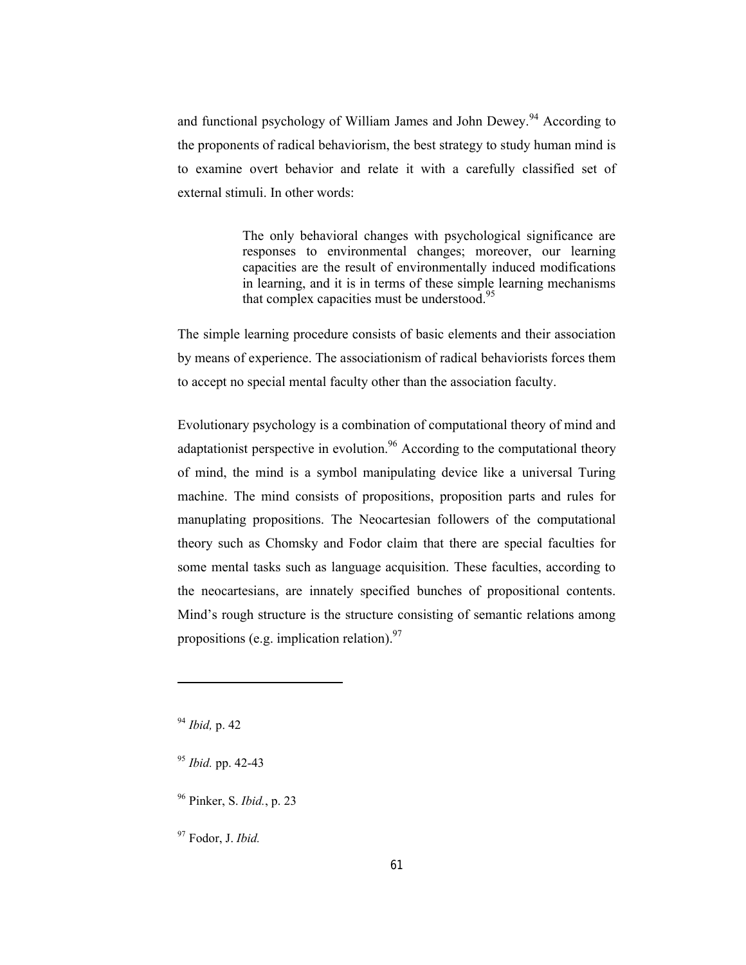and functional psychology of William James and John Dewey.<sup>94</sup> According to the proponents of radical behaviorism, the best strategy to study human mind is to examine overt behavior and relate it with a carefully classified set of external stimuli. In other words:

> The only behavioral changes with psychological significance are responses to environmental changes; moreover, our learning capacities are the result of environmentally induced modifications in learning, and it is in terms of these simple learning mechanisms that complex capacities must be understood. $95$

The simple learning procedure consists of basic elements and their association by means of experience. The associationism of radical behaviorists forces them to accept no special mental faculty other than the association faculty.

Evolutionary psychology is a combination of computational theory of mind and adaptationist perspective in evolution.<sup>96</sup> According to the computational theory of mind, the mind is a symbol manipulating device like a universal Turing machine. The mind consists of propositions, proposition parts and rules for manuplating propositions. The Neocartesian followers of the computational theory such as Chomsky and Fodor claim that there are special faculties for some mental tasks such as language acquisition. These faculties, according to the neocartesians, are innately specified bunches of propositional contents. Mind's rough structure is the structure consisting of semantic relations among propositions (e.g. implication relation).  $97$ 

<sup>94</sup> *Ibid,* p. 42

-

- <sup>95</sup> *Ibid.* pp. 42-43
- <sup>96</sup> Pinker, S. *Ibid.*, p. 23

<sup>97</sup> Fodor, J. *Ibid.*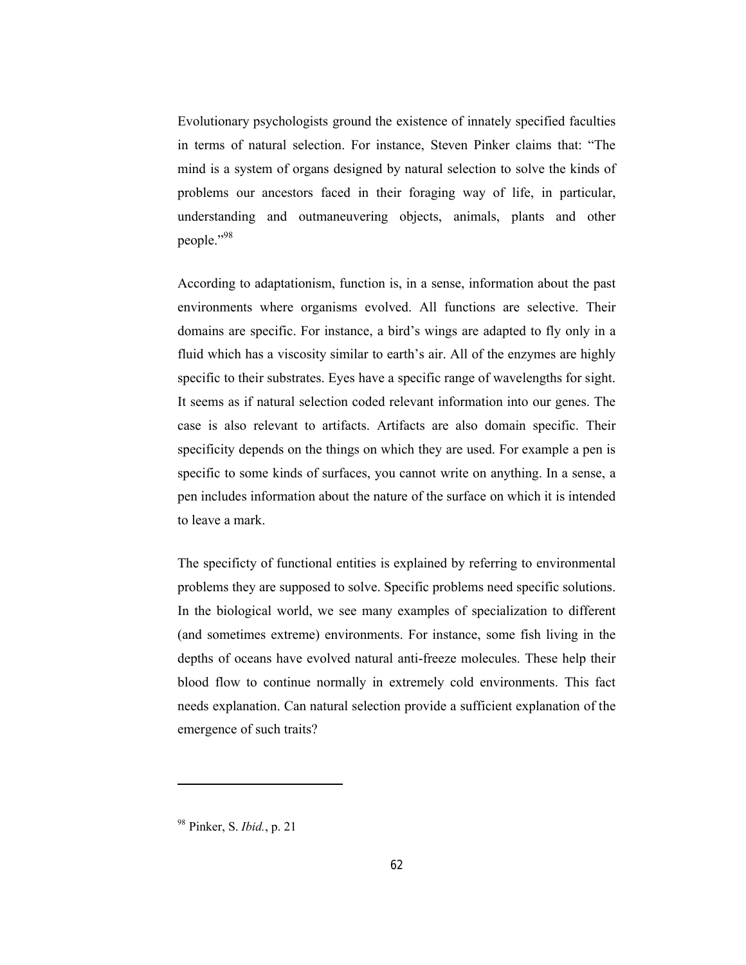Evolutionary psychologists ground the existence of innately specified faculties in terms of natural selection. For instance, Steven Pinker claims that: "The mind is a system of organs designed by natural selection to solve the kinds of problems our ancestors faced in their foraging way of life, in particular, understanding and outmaneuvering objects, animals, plants and other people."98

According to adaptationism, function is, in a sense, information about the past environments where organisms evolved. All functions are selective. Their domains are specific. For instance, a bird's wings are adapted to fly only in a fluid which has a viscosity similar to earth's air. All of the enzymes are highly specific to their substrates. Eyes have a specific range of wavelengths for sight. It seems as if natural selection coded relevant information into our genes. The case is also relevant to artifacts. Artifacts are also domain specific. Their specificity depends on the things on which they are used. For example a pen is specific to some kinds of surfaces, you cannot write on anything. In a sense, a pen includes information about the nature of the surface on which it is intended to leave a mark.

The specificty of functional entities is explained by referring to environmental problems they are supposed to solve. Specific problems need specific solutions. In the biological world, we see many examples of specialization to different (and sometimes extreme) environments. For instance, some fish living in the depths of oceans have evolved natural anti-freeze molecules. These help their blood flow to continue normally in extremely cold environments. This fact needs explanation. Can natural selection provide a sufficient explanation of the emergence of such traits?

<sup>98</sup> Pinker, S. *Ibid.*, p. 21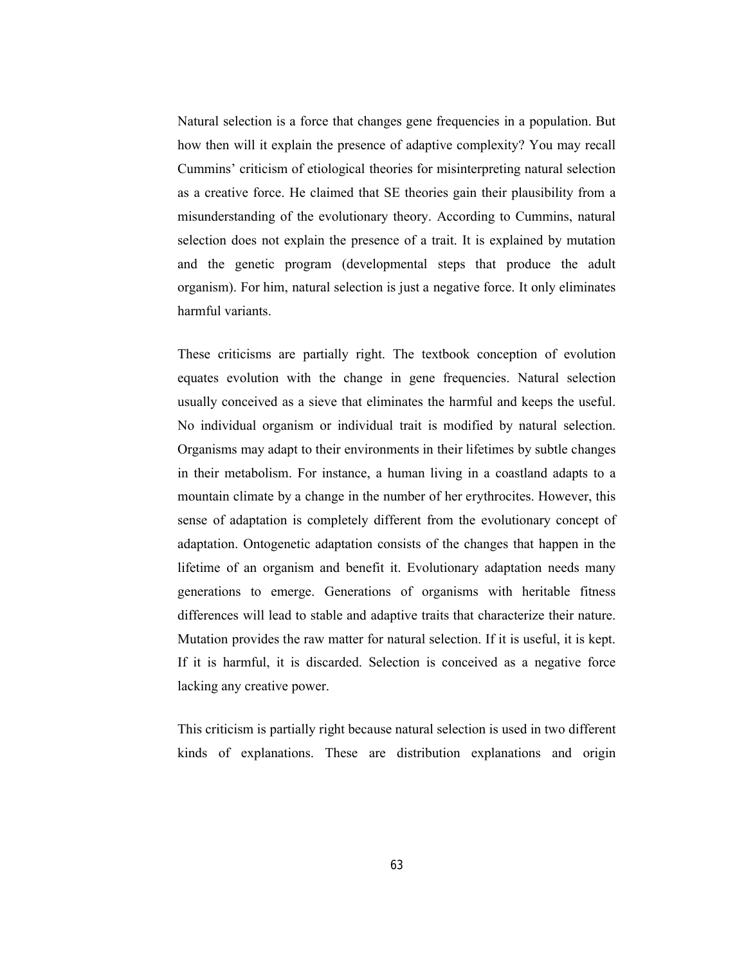Natural selection is a force that changes gene frequencies in a population. But how then will it explain the presence of adaptive complexity? You may recall Cummins' criticism of etiological theories for misinterpreting natural selection as a creative force. He claimed that SE theories gain their plausibility from a misunderstanding of the evolutionary theory. According to Cummins, natural selection does not explain the presence of a trait. It is explained by mutation and the genetic program (developmental steps that produce the adult organism). For him, natural selection is just a negative force. It only eliminates harmful variants.

These criticisms are partially right. The textbook conception of evolution equates evolution with the change in gene frequencies. Natural selection usually conceived as a sieve that eliminates the harmful and keeps the useful. No individual organism or individual trait is modified by natural selection. Organisms may adapt to their environments in their lifetimes by subtle changes in their metabolism. For instance, a human living in a coastland adapts to a mountain climate by a change in the number of her erythrocites. However, this sense of adaptation is completely different from the evolutionary concept of adaptation. Ontogenetic adaptation consists of the changes that happen in the lifetime of an organism and benefit it. Evolutionary adaptation needs many generations to emerge. Generations of organisms with heritable fitness differences will lead to stable and adaptive traits that characterize their nature. Mutation provides the raw matter for natural selection. If it is useful, it is kept. If it is harmful, it is discarded. Selection is conceived as a negative force lacking any creative power.

This criticism is partially right because natural selection is used in two different kinds of explanations. These are distribution explanations and origin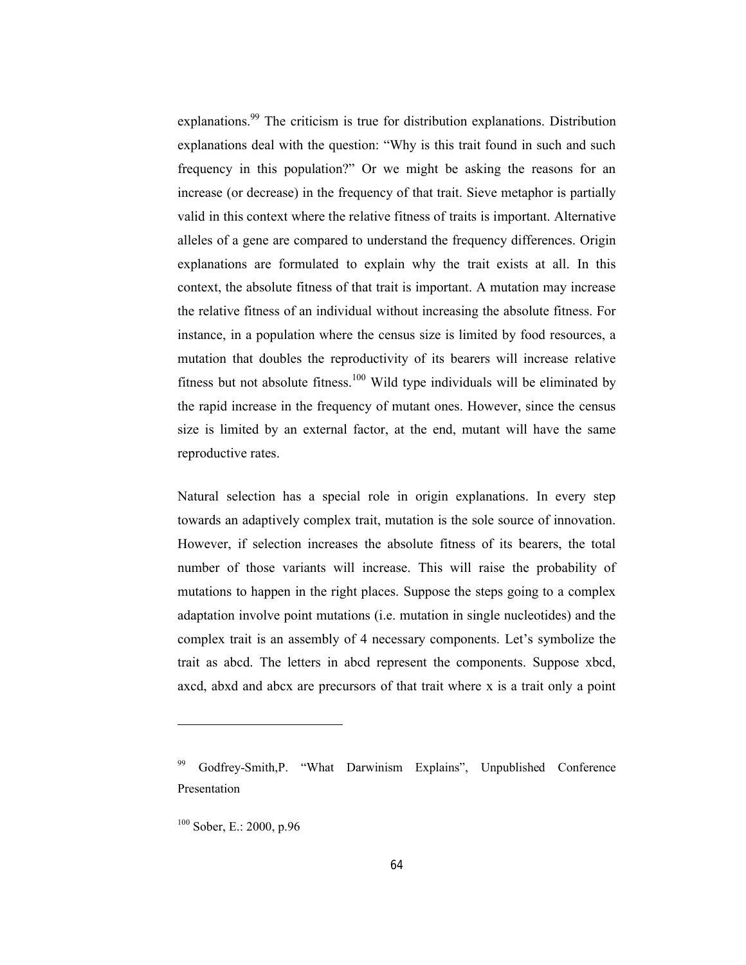explanations.<sup>99</sup> The criticism is true for distribution explanations. Distribution explanations deal with the question: "Why is this trait found in such and such frequency in this population?" Or we might be asking the reasons for an increase (or decrease) in the frequency of that trait. Sieve metaphor is partially valid in this context where the relative fitness of traits is important. Alternative alleles of a gene are compared to understand the frequency differences. Origin explanations are formulated to explain why the trait exists at all. In this context, the absolute fitness of that trait is important. A mutation may increase the relative fitness of an individual without increasing the absolute fitness. For instance, in a population where the census size is limited by food resources, a mutation that doubles the reproductivity of its bearers will increase relative fitness but not absolute fitness.<sup>100</sup> Wild type individuals will be eliminated by the rapid increase in the frequency of mutant ones. However, since the census size is limited by an external factor, at the end, mutant will have the same reproductive rates.

Natural selection has a special role in origin explanations. In every step towards an adaptively complex trait, mutation is the sole source of innovation. However, if selection increases the absolute fitness of its bearers, the total number of those variants will increase. This will raise the probability of mutations to happen in the right places. Suppose the steps going to a complex adaptation involve point mutations (i.e. mutation in single nucleotides) and the complex trait is an assembly of 4 necessary components. Let's symbolize the trait as abcd. The letters in abcd represent the components. Suppose xbcd, axcd, abxd and abcx are precursors of that trait where x is a trait only a point

Godfrey-Smith,P. "What Darwinism Explains", Unpublished Conference Presentation

<sup>100</sup> Sober, E.: 2000, p.96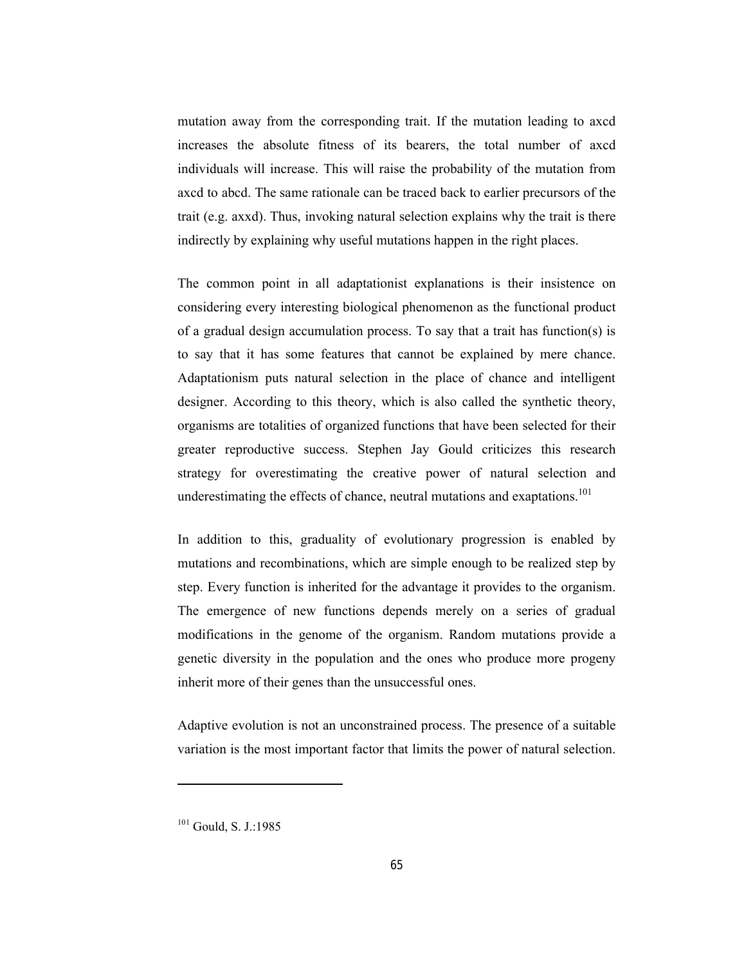mutation away from the corresponding trait. If the mutation leading to axcd increases the absolute fitness of its bearers, the total number of axcd individuals will increase. This will raise the probability of the mutation from axcd to abcd. The same rationale can be traced back to earlier precursors of the trait (e.g. axxd). Thus, invoking natural selection explains why the trait is there indirectly by explaining why useful mutations happen in the right places.

The common point in all adaptationist explanations is their insistence on considering every interesting biological phenomenon as the functional product of a gradual design accumulation process. To say that a trait has function(s) is to say that it has some features that cannot be explained by mere chance. Adaptationism puts natural selection in the place of chance and intelligent designer. According to this theory, which is also called the synthetic theory, organisms are totalities of organized functions that have been selected for their greater reproductive success. Stephen Jay Gould criticizes this research strategy for overestimating the creative power of natural selection and underestimating the effects of chance, neutral mutations and exaptations.<sup>101</sup>

In addition to this, graduality of evolutionary progression is enabled by mutations and recombinations, which are simple enough to be realized step by step. Every function is inherited for the advantage it provides to the organism. The emergence of new functions depends merely on a series of gradual modifications in the genome of the organism. Random mutations provide a genetic diversity in the population and the ones who produce more progeny inherit more of their genes than the unsuccessful ones.

Adaptive evolution is not an unconstrained process. The presence of a suitable variation is the most important factor that limits the power of natural selection.

 $101$  Gould, S. J.:1985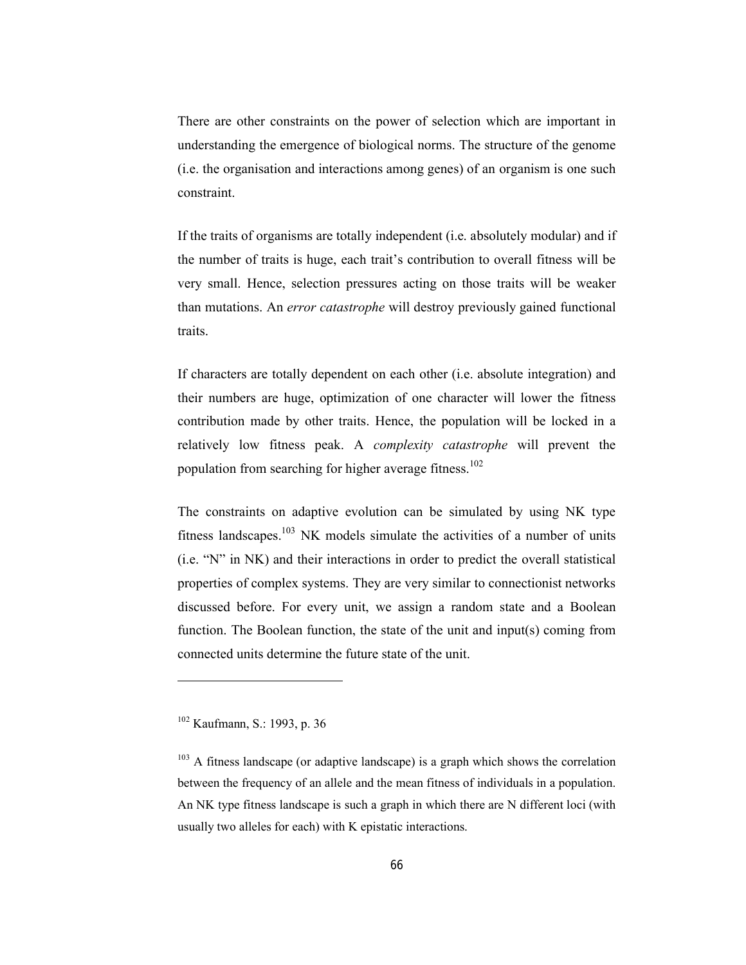There are other constraints on the power of selection which are important in understanding the emergence of biological norms. The structure of the genome (i.e. the organisation and interactions among genes) of an organism is one such constraint.

If the traits of organisms are totally independent (i.e. absolutely modular) and if the number of traits is huge, each trait's contribution to overall fitness will be very small. Hence, selection pressures acting on those traits will be weaker than mutations. An *error catastrophe* will destroy previously gained functional traits.

If characters are totally dependent on each other (i.e. absolute integration) and their numbers are huge, optimization of one character will lower the fitness contribution made by other traits. Hence, the population will be locked in a relatively low fitness peak. A *complexity catastrophe* will prevent the population from searching for higher average fitness.<sup>102</sup>

The constraints on adaptive evolution can be simulated by using NK type fitness landscapes.<sup>103</sup> NK models simulate the activities of a number of units (i.e. "N" in NK) and their interactions in order to predict the overall statistical properties of complex systems. They are very similar to connectionist networks discussed before. For every unit, we assign a random state and a Boolean function. The Boolean function, the state of the unit and input(s) coming from connected units determine the future state of the unit.

<sup>102</sup> Kaufmann, S.: 1993, p. 36

 $103$  A fitness landscape (or adaptive landscape) is a graph which shows the correlation between the frequency of an allele and the mean fitness of individuals in a population. An NK type fitness landscape is such a graph in which there are N different loci (with usually two alleles for each) with K epistatic interactions.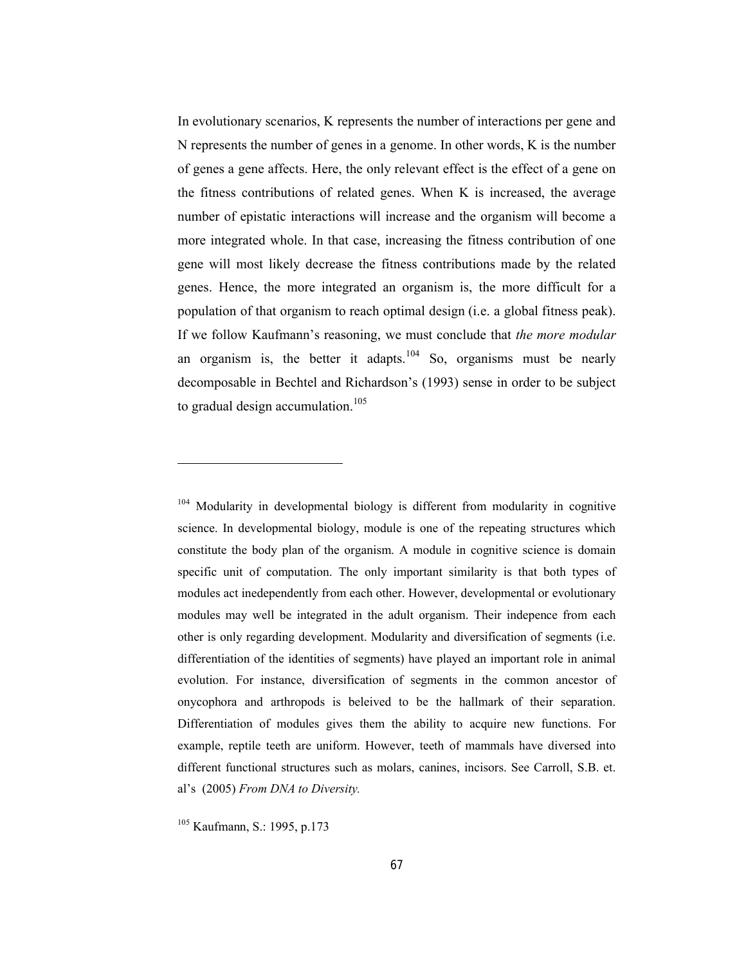In evolutionary scenarios, K represents the number of interactions per gene and N represents the number of genes in a genome. In other words, K is the number of genes a gene affects. Here, the only relevant effect is the effect of a gene on the fitness contributions of related genes. When K is increased, the average number of epistatic interactions will increase and the organism will become a more integrated whole. In that case, increasing the fitness contribution of one gene will most likely decrease the fitness contributions made by the related genes. Hence, the more integrated an organism is, the more difficult for a population of that organism to reach optimal design (i.e. a global fitness peak). If we follow Kaufmann's reasoning, we must conclude that *the more modular* an organism is, the better it adapts.<sup>104</sup> So, organisms must be nearly decomposable in Bechtel and Richardson's (1993) sense in order to be subject to gradual design accumulation.<sup>105</sup>

<sup>&</sup>lt;sup>104</sup> Modularity in developmental biology is different from modularity in cognitive science. In developmental biology, module is one of the repeating structures which constitute the body plan of the organism. A module in cognitive science is domain specific unit of computation. The only important similarity is that both types of modules act inedependently from each other. However, developmental or evolutionary modules may well be integrated in the adult organism. Their indepence from each other is only regarding development. Modularity and diversification of segments (i.e. differentiation of the identities of segments) have played an important role in animal evolution. For instance, diversification of segments in the common ancestor of onycophora and arthropods is beleived to be the hallmark of their separation. Differentiation of modules gives them the ability to acquire new functions. For example, reptile teeth are uniform. However, teeth of mammals have diversed into different functional structures such as molars, canines, incisors. See Carroll, S.B. et. al's (2005) *From DNA to Diversity.*

<sup>105</sup> Kaufmann, S.: 1995, p.173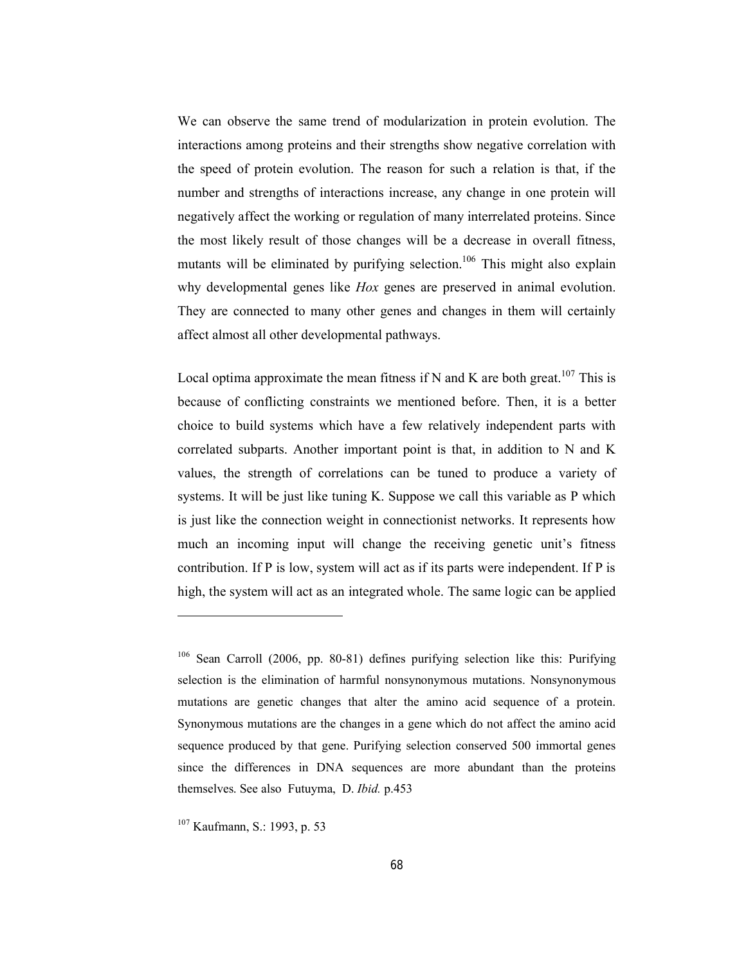We can observe the same trend of modularization in protein evolution. The interactions among proteins and their strengths show negative correlation with the speed of protein evolution. The reason for such a relation is that, if the number and strengths of interactions increase, any change in one protein will negatively affect the working or regulation of many interrelated proteins. Since the most likely result of those changes will be a decrease in overall fitness, mutants will be eliminated by purifying selection.<sup>106</sup> This might also explain why developmental genes like *Hox* genes are preserved in animal evolution. They are connected to many other genes and changes in them will certainly affect almost all other developmental pathways.

Local optima approximate the mean fitness if N and K are both great.<sup>107</sup> This is because of conflicting constraints we mentioned before. Then, it is a better choice to build systems which have a few relatively independent parts with correlated subparts. Another important point is that, in addition to N and K values, the strength of correlations can be tuned to produce a variety of systems. It will be just like tuning K. Suppose we call this variable as P which is just like the connection weight in connectionist networks. It represents how much an incoming input will change the receiving genetic unit's fitness contribution. If P is low, system will act as if its parts were independent. If P is high, the system will act as an integrated whole. The same logic can be applied

<sup>106</sup> Sean Carroll (2006, pp. 80-81) defines purifying selection like this: Purifying selection is the elimination of harmful nonsynonymous mutations. Nonsynonymous mutations are genetic changes that alter the amino acid sequence of a protein. Synonymous mutations are the changes in a gene which do not affect the amino acid sequence produced by that gene. Purifying selection conserved 500 immortal genes since the differences in DNA sequences are more abundant than the proteins themselves. See also Futuyma, D. *Ibid.* p.453

<sup>107</sup> Kaufmann, S.: 1993, p. 53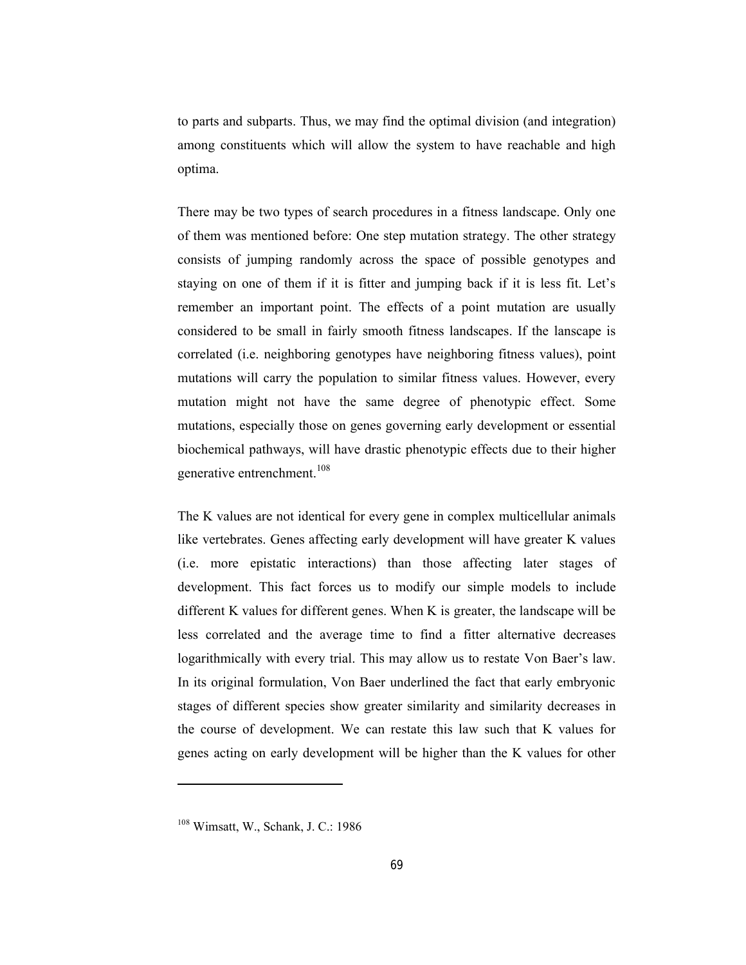to parts and subparts. Thus, we may find the optimal division (and integration) among constituents which will allow the system to have reachable and high optima.

There may be two types of search procedures in a fitness landscape. Only one of them was mentioned before: One step mutation strategy. The other strategy consists of jumping randomly across the space of possible genotypes and staying on one of them if it is fitter and jumping back if it is less fit. Let's remember an important point. The effects of a point mutation are usually considered to be small in fairly smooth fitness landscapes. If the lanscape is correlated (i.e. neighboring genotypes have neighboring fitness values), point mutations will carry the population to similar fitness values. However, every mutation might not have the same degree of phenotypic effect. Some mutations, especially those on genes governing early development or essential biochemical pathways, will have drastic phenotypic effects due to their higher generative entrenchment.<sup>108</sup>

The K values are not identical for every gene in complex multicellular animals like vertebrates. Genes affecting early development will have greater K values (i.e. more epistatic interactions) than those affecting later stages of development. This fact forces us to modify our simple models to include different K values for different genes. When K is greater, the landscape will be less correlated and the average time to find a fitter alternative decreases logarithmically with every trial. This may allow us to restate Von Baer's law. In its original formulation, Von Baer underlined the fact that early embryonic stages of different species show greater similarity and similarity decreases in the course of development. We can restate this law such that K values for genes acting on early development will be higher than the K values for other

<sup>108</sup> Wimsatt, W., Schank, J. C.: 1986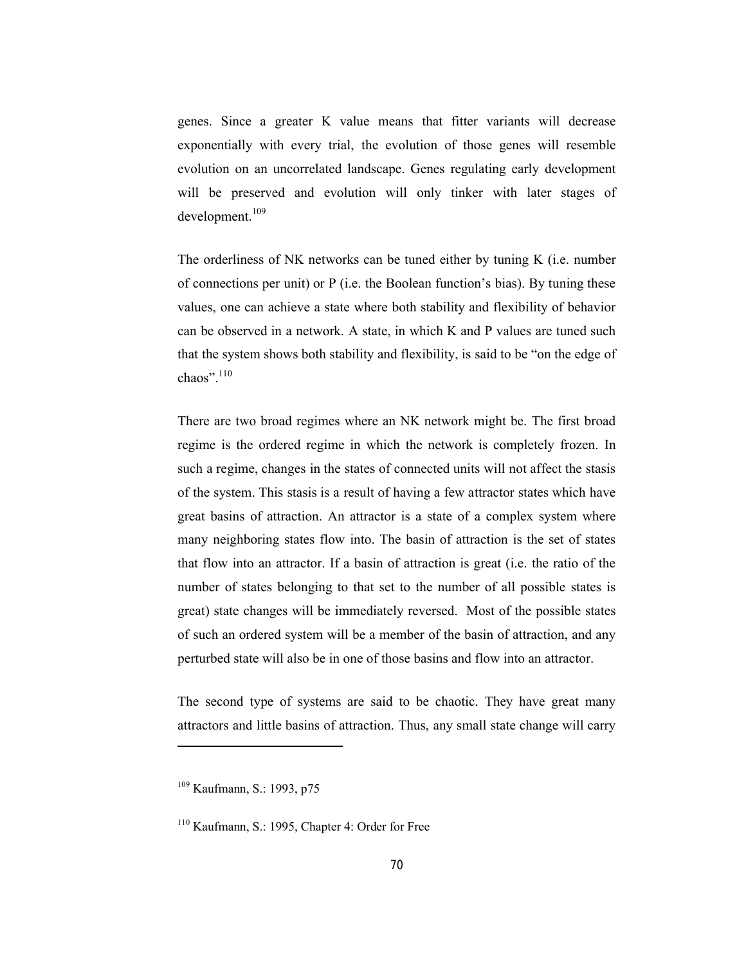genes. Since a greater K value means that fitter variants will decrease exponentially with every trial, the evolution of those genes will resemble evolution on an uncorrelated landscape. Genes regulating early development will be preserved and evolution will only tinker with later stages of development.<sup>109</sup>

The orderliness of NK networks can be tuned either by tuning K (i.e. number of connections per unit) or P (i.e. the Boolean function's bias). By tuning these values, one can achieve a state where both stability and flexibility of behavior can be observed in a network. A state, in which K and P values are tuned such that the system shows both stability and flexibility, is said to be "on the edge of chaos".<sup>110</sup>

There are two broad regimes where an NK network might be. The first broad regime is the ordered regime in which the network is completely frozen. In such a regime, changes in the states of connected units will not affect the stasis of the system. This stasis is a result of having a few attractor states which have great basins of attraction. An attractor is a state of a complex system where many neighboring states flow into. The basin of attraction is the set of states that flow into an attractor. If a basin of attraction is great (i.e. the ratio of the number of states belonging to that set to the number of all possible states is great) state changes will be immediately reversed. Most of the possible states of such an ordered system will be a member of the basin of attraction, and any perturbed state will also be in one of those basins and flow into an attractor.

The second type of systems are said to be chaotic. They have great many attractors and little basins of attraction. Thus, any small state change will carry

<sup>109</sup> Kaufmann, S.: 1993, p75

<sup>110</sup> Kaufmann, S.: 1995, Chapter 4: Order for Free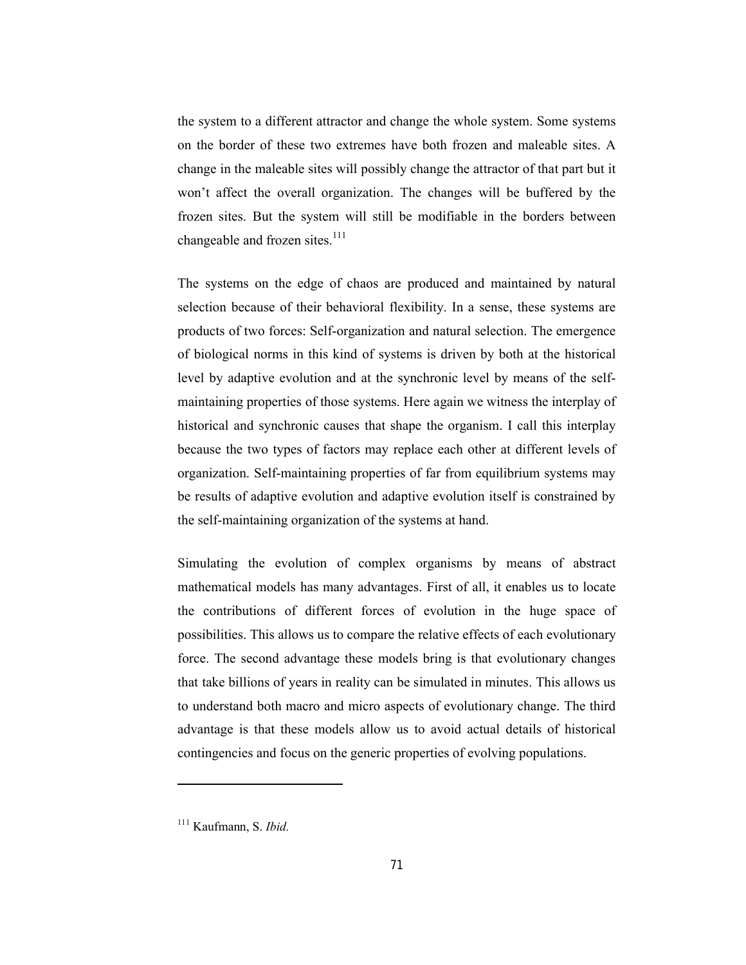the system to a different attractor and change the whole system. Some systems on the border of these two extremes have both frozen and maleable sites. A change in the maleable sites will possibly change the attractor of that part but it won't affect the overall organization. The changes will be buffered by the frozen sites. But the system will still be modifiable in the borders between changeable and frozen sites. $^{111}$ 

The systems on the edge of chaos are produced and maintained by natural selection because of their behavioral flexibility. In a sense, these systems are products of two forces: Self-organization and natural selection. The emergence of biological norms in this kind of systems is driven by both at the historical level by adaptive evolution and at the synchronic level by means of the selfmaintaining properties of those systems. Here again we witness the interplay of historical and synchronic causes that shape the organism. I call this interplay because the two types of factors may replace each other at different levels of organization. Self-maintaining properties of far from equilibrium systems may be results of adaptive evolution and adaptive evolution itself is constrained by the self-maintaining organization of the systems at hand.

Simulating the evolution of complex organisms by means of abstract mathematical models has many advantages. First of all, it enables us to locate the contributions of different forces of evolution in the huge space of possibilities. This allows us to compare the relative effects of each evolutionary force. The second advantage these models bring is that evolutionary changes that take billions of years in reality can be simulated in minutes. This allows us to understand both macro and micro aspects of evolutionary change. The third advantage is that these models allow us to avoid actual details of historical contingencies and focus on the generic properties of evolving populations.

<sup>111</sup> Kaufmann, S. *Ibid.*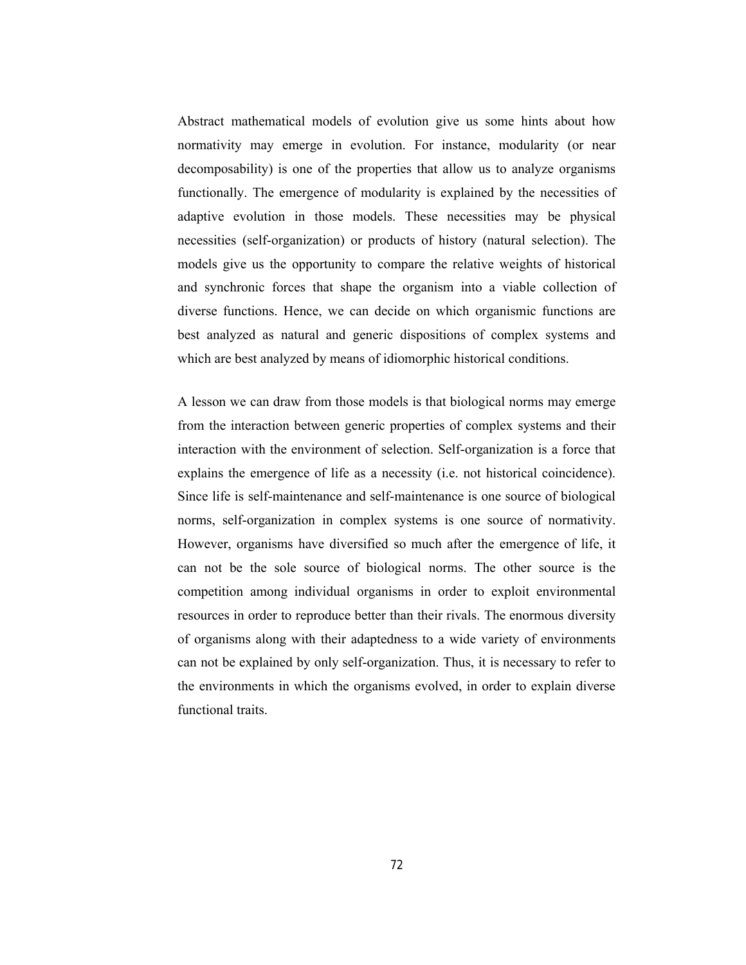Abstract mathematical models of evolution give us some hints about how normativity may emerge in evolution. For instance, modularity (or near decomposability) is one of the properties that allow us to analyze organisms functionally. The emergence of modularity is explained by the necessities of adaptive evolution in those models. These necessities may be physical necessities (self-organization) or products of history (natural selection). The models give us the opportunity to compare the relative weights of historical and synchronic forces that shape the organism into a viable collection of diverse functions. Hence, we can decide on which organismic functions are best analyzed as natural and generic dispositions of complex systems and which are best analyzed by means of idiomorphic historical conditions.

A lesson we can draw from those models is that biological norms may emerge from the interaction between generic properties of complex systems and their interaction with the environment of selection. Self-organization is a force that explains the emergence of life as a necessity (i.e. not historical coincidence). Since life is self-maintenance and self-maintenance is one source of biological norms, self-organization in complex systems is one source of normativity. However, organisms have diversified so much after the emergence of life, it can not be the sole source of biological norms. The other source is the competition among individual organisms in order to exploit environmental resources in order to reproduce better than their rivals. The enormous diversity of organisms along with their adaptedness to a wide variety of environments can not be explained by only self-organization. Thus, it is necessary to refer to the environments in which the organisms evolved, in order to explain diverse functional traits.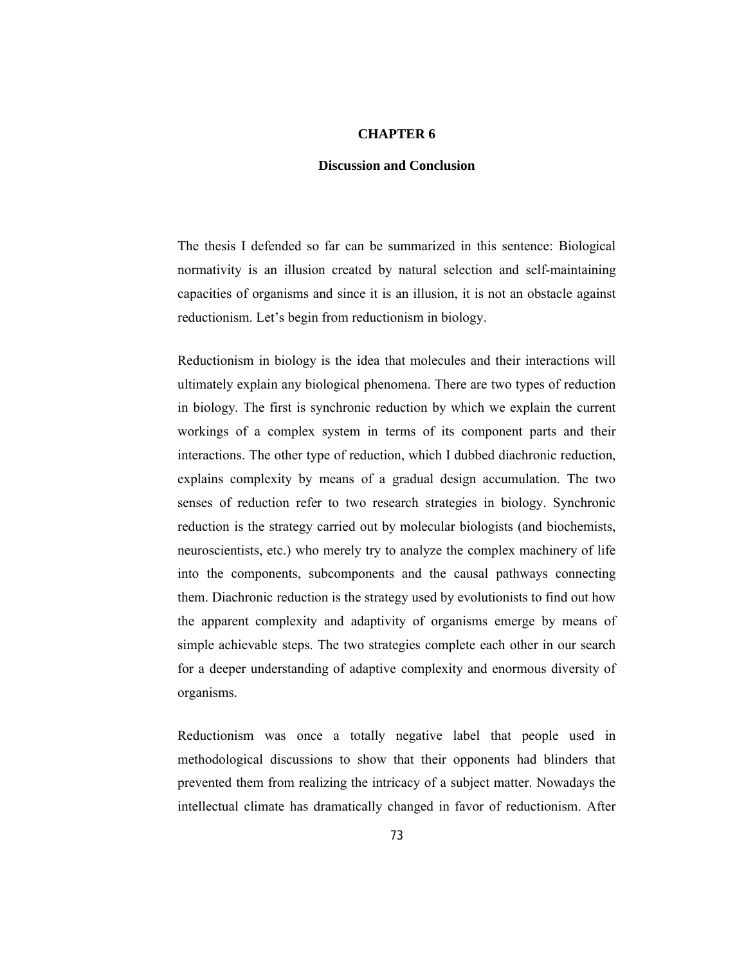## **CHAPTER 6**

## **Discussion and Conclusion**

The thesis I defended so far can be summarized in this sentence: Biological normativity is an illusion created by natural selection and self-maintaining capacities of organisms and since it is an illusion, it is not an obstacle against reductionism. Let's begin from reductionism in biology.

Reductionism in biology is the idea that molecules and their interactions will ultimately explain any biological phenomena. There are two types of reduction in biology. The first is synchronic reduction by which we explain the current workings of a complex system in terms of its component parts and their interactions. The other type of reduction, which I dubbed diachronic reduction, explains complexity by means of a gradual design accumulation. The two senses of reduction refer to two research strategies in biology. Synchronic reduction is the strategy carried out by molecular biologists (and biochemists, neuroscientists, etc.) who merely try to analyze the complex machinery of life into the components, subcomponents and the causal pathways connecting them. Diachronic reduction is the strategy used by evolutionists to find out how the apparent complexity and adaptivity of organisms emerge by means of simple achievable steps. The two strategies complete each other in our search for a deeper understanding of adaptive complexity and enormous diversity of organisms.

Reductionism was once a totally negative label that people used in methodological discussions to show that their opponents had blinders that prevented them from realizing the intricacy of a subject matter. Nowadays the intellectual climate has dramatically changed in favor of reductionism. After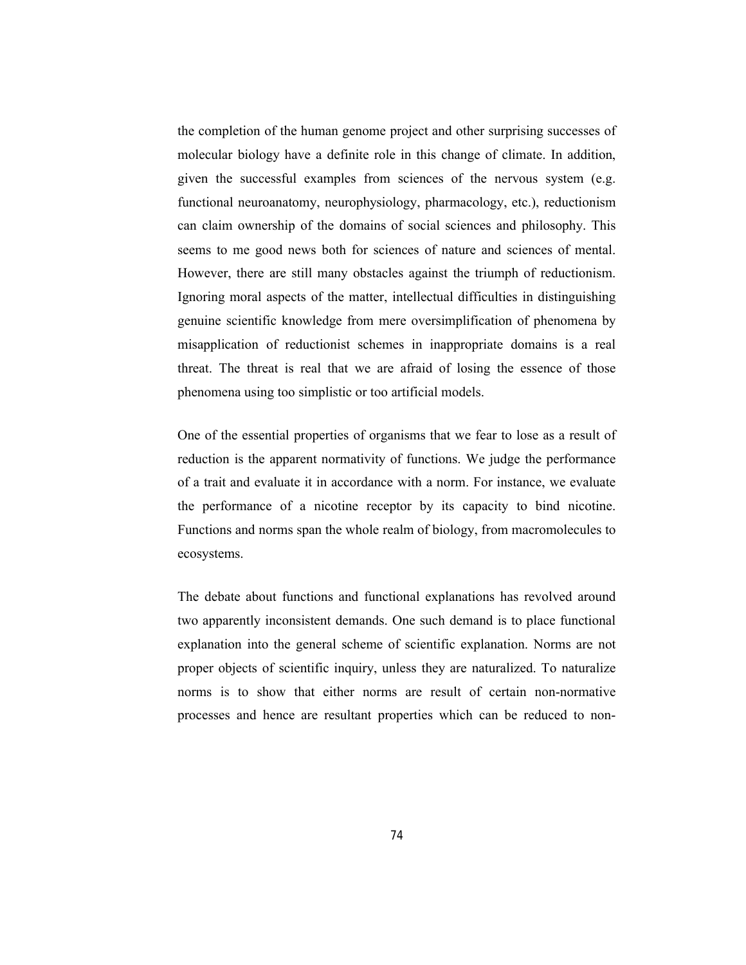the completion of the human genome project and other surprising successes of molecular biology have a definite role in this change of climate. In addition, given the successful examples from sciences of the nervous system (e.g. functional neuroanatomy, neurophysiology, pharmacology, etc.), reductionism can claim ownership of the domains of social sciences and philosophy. This seems to me good news both for sciences of nature and sciences of mental. However, there are still many obstacles against the triumph of reductionism. Ignoring moral aspects of the matter, intellectual difficulties in distinguishing genuine scientific knowledge from mere oversimplification of phenomena by misapplication of reductionist schemes in inappropriate domains is a real threat. The threat is real that we are afraid of losing the essence of those phenomena using too simplistic or too artificial models.

One of the essential properties of organisms that we fear to lose as a result of reduction is the apparent normativity of functions. We judge the performance of a trait and evaluate it in accordance with a norm. For instance, we evaluate the performance of a nicotine receptor by its capacity to bind nicotine. Functions and norms span the whole realm of biology, from macromolecules to ecosystems.

The debate about functions and functional explanations has revolved around two apparently inconsistent demands. One such demand is to place functional explanation into the general scheme of scientific explanation. Norms are not proper objects of scientific inquiry, unless they are naturalized. To naturalize norms is to show that either norms are result of certain non-normative processes and hence are resultant properties which can be reduced to non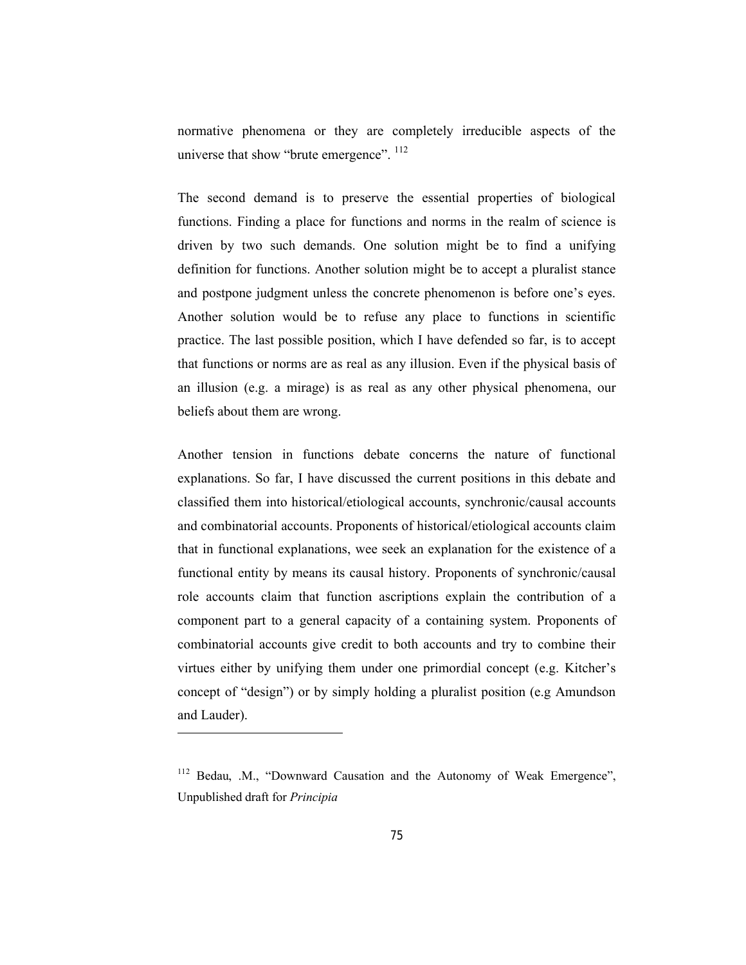normative phenomena or they are completely irreducible aspects of the universe that show "brute emergence". <sup>112</sup>

The second demand is to preserve the essential properties of biological functions. Finding a place for functions and norms in the realm of science is driven by two such demands. One solution might be to find a unifying definition for functions. Another solution might be to accept a pluralist stance and postpone judgment unless the concrete phenomenon is before one's eyes. Another solution would be to refuse any place to functions in scientific practice. The last possible position, which I have defended so far, is to accept that functions or norms are as real as any illusion. Even if the physical basis of an illusion (e.g. a mirage) is as real as any other physical phenomena, our beliefs about them are wrong.

Another tension in functions debate concerns the nature of functional explanations. So far, I have discussed the current positions in this debate and classified them into historical/etiological accounts, synchronic/causal accounts and combinatorial accounts. Proponents of historical/etiological accounts claim that in functional explanations, wee seek an explanation for the existence of a functional entity by means its causal history. Proponents of synchronic/causal role accounts claim that function ascriptions explain the contribution of a component part to a general capacity of a containing system. Proponents of combinatorial accounts give credit to both accounts and try to combine their virtues either by unifying them under one primordial concept (e.g. Kitcher's concept of "design") or by simply holding a pluralist position (e.g Amundson and Lauder).

<sup>&</sup>lt;sup>112</sup> Bedau, .M., "Downward Causation and the Autonomy of Weak Emergence", Unpublished draft for *Principia*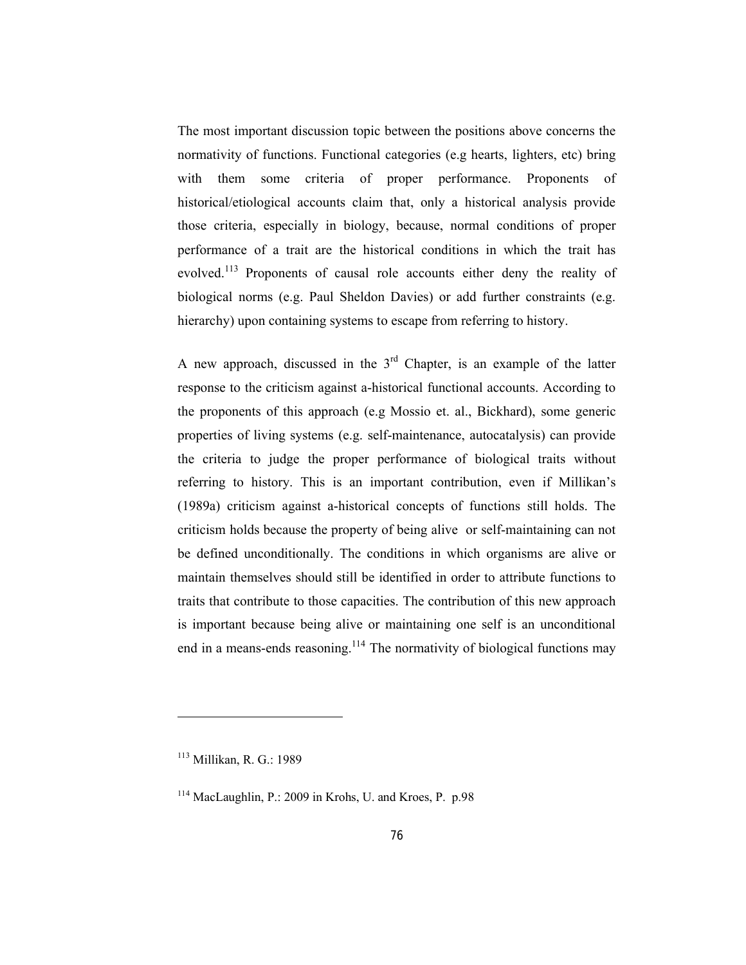The most important discussion topic between the positions above concerns the normativity of functions. Functional categories (e.g hearts, lighters, etc) bring with them some criteria of proper performance. Proponents of historical/etiological accounts claim that, only a historical analysis provide those criteria, especially in biology, because, normal conditions of proper performance of a trait are the historical conditions in which the trait has evolved.<sup>113</sup> Proponents of causal role accounts either deny the reality of biological norms (e.g. Paul Sheldon Davies) or add further constraints (e.g. hierarchy) upon containing systems to escape from referring to history.

A new approach, discussed in the  $3<sup>rd</sup>$  Chapter, is an example of the latter response to the criticism against a-historical functional accounts. According to the proponents of this approach (e.g Mossio et. al., Bickhard), some generic properties of living systems (e.g. self-maintenance, autocatalysis) can provide the criteria to judge the proper performance of biological traits without referring to history. This is an important contribution, even if Millikan's (1989a) criticism against a-historical concepts of functions still holds. The criticism holds because the property of being alive or self-maintaining can not be defined unconditionally. The conditions in which organisms are alive or maintain themselves should still be identified in order to attribute functions to traits that contribute to those capacities. The contribution of this new approach is important because being alive or maintaining one self is an unconditional end in a means-ends reasoning.<sup>114</sup> The normativity of biological functions may

<sup>113</sup> Millikan, R. G.: 1989

<sup>114</sup> MacLaughlin, P.: 2009 in Krohs, U. and Kroes, P. p.98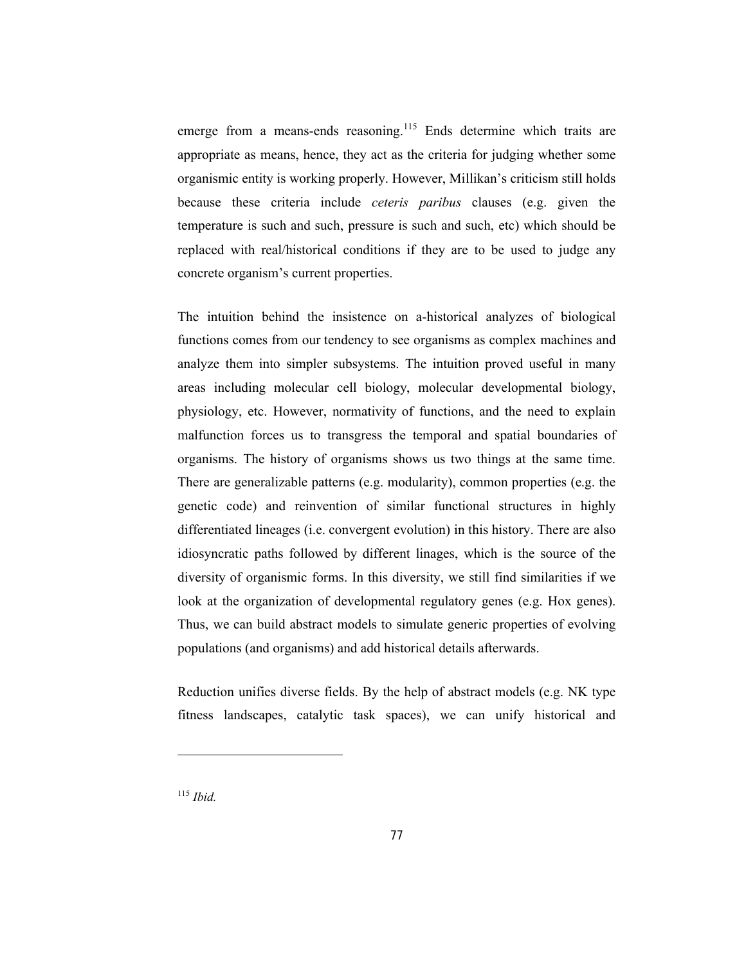emerge from a means-ends reasoning.<sup>115</sup> Ends determine which traits are appropriate as means, hence, they act as the criteria for judging whether some organismic entity is working properly. However, Millikan's criticism still holds because these criteria include *ceteris paribus* clauses (e.g. given the temperature is such and such, pressure is such and such, etc) which should be replaced with real/historical conditions if they are to be used to judge any concrete organism's current properties.

The intuition behind the insistence on a-historical analyzes of biological functions comes from our tendency to see organisms as complex machines and analyze them into simpler subsystems. The intuition proved useful in many areas including molecular cell biology, molecular developmental biology, physiology, etc. However, normativity of functions, and the need to explain malfunction forces us to transgress the temporal and spatial boundaries of organisms. The history of organisms shows us two things at the same time. There are generalizable patterns (e.g. modularity), common properties (e.g. the genetic code) and reinvention of similar functional structures in highly differentiated lineages (i.e. convergent evolution) in this history. There are also idiosyncratic paths followed by different linages, which is the source of the diversity of organismic forms. In this diversity, we still find similarities if we look at the organization of developmental regulatory genes (e.g. Hox genes). Thus, we can build abstract models to simulate generic properties of evolving populations (and organisms) and add historical details afterwards.

Reduction unifies diverse fields. By the help of abstract models (e.g. NK type fitness landscapes, catalytic task spaces), we can unify historical and

<sup>115</sup> *Ibid.*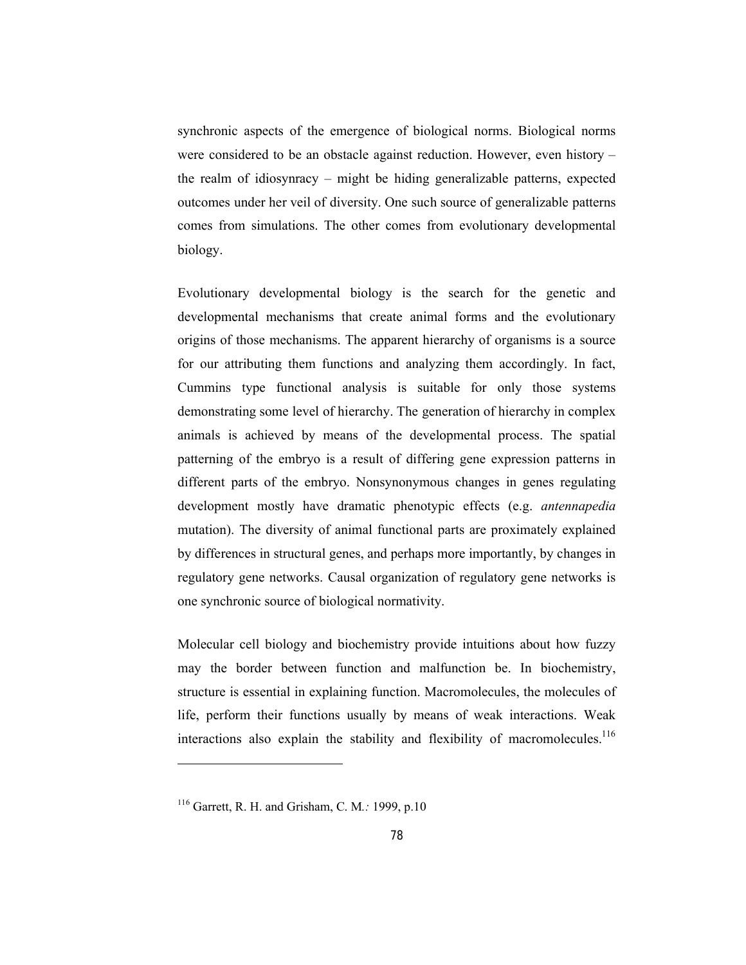synchronic aspects of the emergence of biological norms. Biological norms were considered to be an obstacle against reduction. However, even history – the realm of idiosynracy – might be hiding generalizable patterns, expected outcomes under her veil of diversity. One such source of generalizable patterns comes from simulations. The other comes from evolutionary developmental biology.

Evolutionary developmental biology is the search for the genetic and developmental mechanisms that create animal forms and the evolutionary origins of those mechanisms. The apparent hierarchy of organisms is a source for our attributing them functions and analyzing them accordingly. In fact, Cummins type functional analysis is suitable for only those systems demonstrating some level of hierarchy. The generation of hierarchy in complex animals is achieved by means of the developmental process. The spatial patterning of the embryo is a result of differing gene expression patterns in different parts of the embryo. Nonsynonymous changes in genes regulating development mostly have dramatic phenotypic effects (e.g. *antennapedia*  mutation). The diversity of animal functional parts are proximately explained by differences in structural genes, and perhaps more importantly, by changes in regulatory gene networks. Causal organization of regulatory gene networks is one synchronic source of biological normativity.

Molecular cell biology and biochemistry provide intuitions about how fuzzy may the border between function and malfunction be. In biochemistry, structure is essential in explaining function. Macromolecules, the molecules of life, perform their functions usually by means of weak interactions. Weak interactions also explain the stability and flexibility of macromolecules.<sup>116</sup>

<sup>116</sup> Garrett, R. H. and Grisham, C. M*.:* 1999, p.10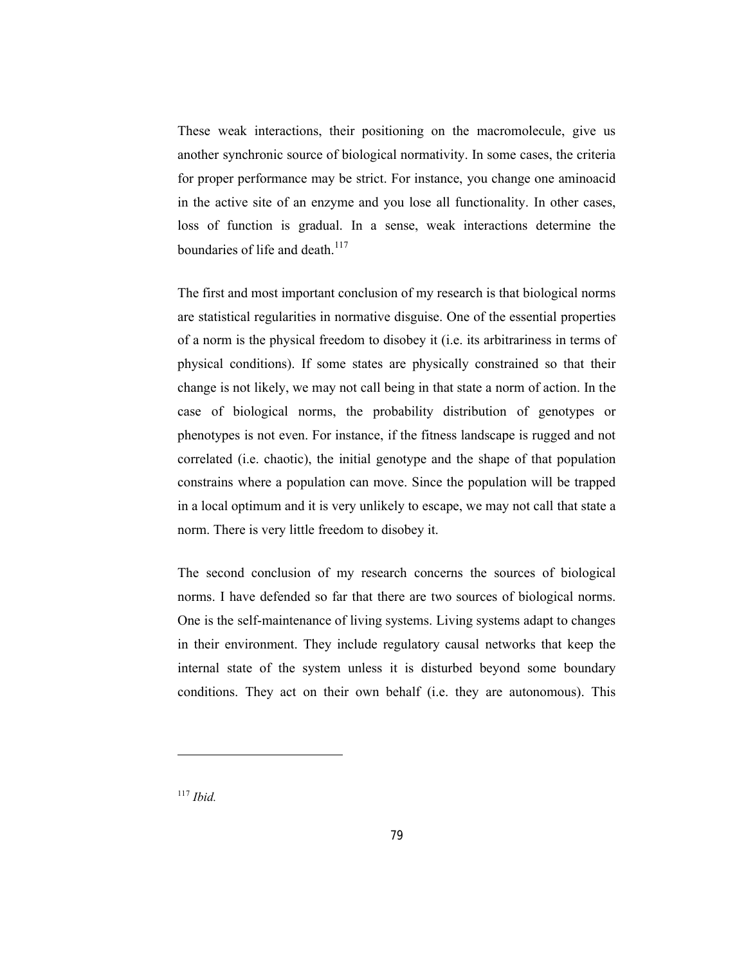These weak interactions, their positioning on the macromolecule, give us another synchronic source of biological normativity. In some cases, the criteria for proper performance may be strict. For instance, you change one aminoacid in the active site of an enzyme and you lose all functionality. In other cases, loss of function is gradual. In a sense, weak interactions determine the boundaries of life and death. $117$ 

The first and most important conclusion of my research is that biological norms are statistical regularities in normative disguise. One of the essential properties of a norm is the physical freedom to disobey it (i.e. its arbitrariness in terms of physical conditions). If some states are physically constrained so that their change is not likely, we may not call being in that state a norm of action. In the case of biological norms, the probability distribution of genotypes or phenotypes is not even. For instance, if the fitness landscape is rugged and not correlated (i.e. chaotic), the initial genotype and the shape of that population constrains where a population can move. Since the population will be trapped in a local optimum and it is very unlikely to escape, we may not call that state a norm. There is very little freedom to disobey it.

The second conclusion of my research concerns the sources of biological norms. I have defended so far that there are two sources of biological norms. One is the self-maintenance of living systems. Living systems adapt to changes in their environment. They include regulatory causal networks that keep the internal state of the system unless it is disturbed beyond some boundary conditions. They act on their own behalf (i.e. they are autonomous). This

<sup>117</sup> *Ibid.*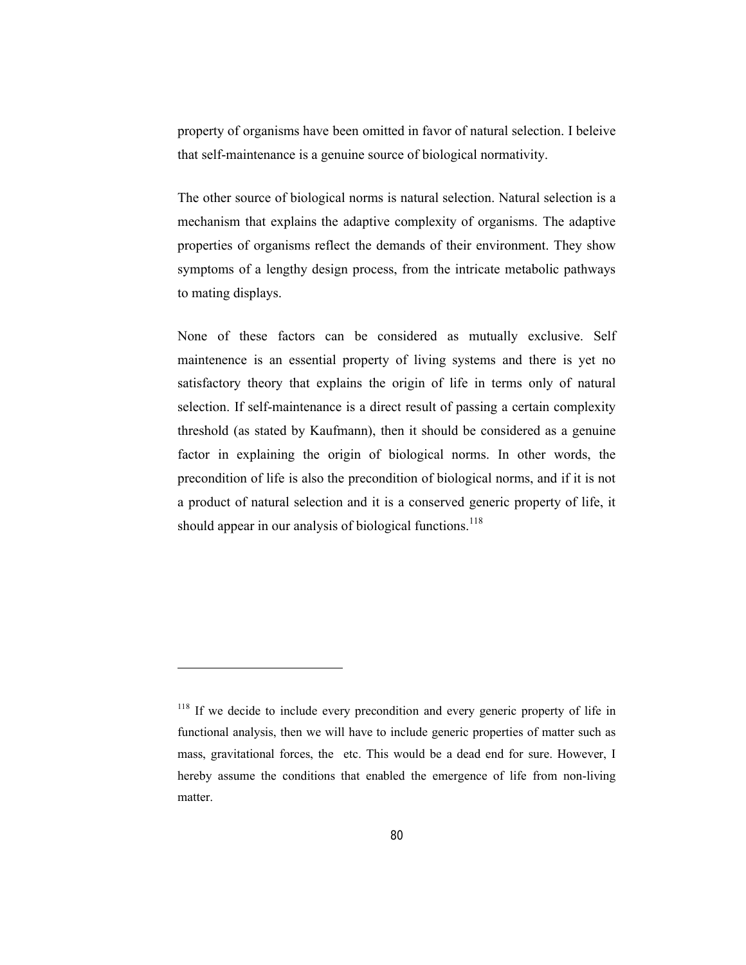property of organisms have been omitted in favor of natural selection. I beleive that self-maintenance is a genuine source of biological normativity.

The other source of biological norms is natural selection. Natural selection is a mechanism that explains the adaptive complexity of organisms. The adaptive properties of organisms reflect the demands of their environment. They show symptoms of a lengthy design process, from the intricate metabolic pathways to mating displays.

None of these factors can be considered as mutually exclusive. Self maintenence is an essential property of living systems and there is yet no satisfactory theory that explains the origin of life in terms only of natural selection. If self-maintenance is a direct result of passing a certain complexity threshold (as stated by Kaufmann), then it should be considered as a genuine factor in explaining the origin of biological norms. In other words, the precondition of life is also the precondition of biological norms, and if it is not a product of natural selection and it is a conserved generic property of life, it should appear in our analysis of biological functions.<sup>118</sup>

<sup>&</sup>lt;sup>118</sup> If we decide to include every precondition and every generic property of life in functional analysis, then we will have to include generic properties of matter such as mass, gravitational forces, the etc. This would be a dead end for sure. However, I hereby assume the conditions that enabled the emergence of life from non-living matter.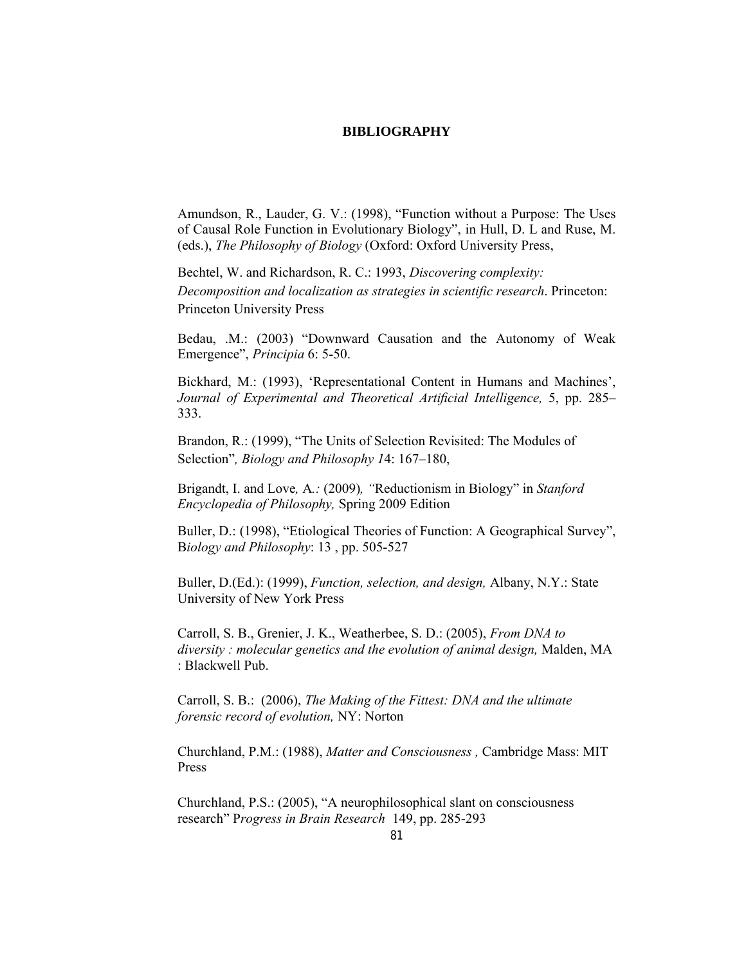## **BIBLIOGRAPHY**

Amundson, R., Lauder, G. V.: (1998), "Function without a Purpose: The Uses of Causal Role Function in Evolutionary Biology", in Hull, D. L and Ruse, M. (eds.), *The Philosophy of Biology* (Oxford: Oxford University Press,

Bechtel, W. and Richardson, R. C.: 1993, *Discovering complexity: Decomposition and localization as strategies in scientific research*. Princeton: Princeton University Press

Bedau, .M.: (2003) "Downward Causation and the Autonomy of Weak Emergence", *Principia* 6: 5-50.

Bickhard, M.: (1993), 'Representational Content in Humans and Machines', *Journal of Experimental and Theoretical Artificial Intelligence,* 5, pp. 285– 333.

Brandon, R.: (1999), "The Units of Selection Revisited: The Modules of Selection"*, Biology and Philosophy 1*4: 167–180,

Brigandt, I. and Love*,* A*.:* (2009)*, "*Reductionism in Biology" in *Stanford Encyclopedia of Philosophy,* Spring 2009 Edition

Buller, D.: (1998), "Etiological Theories of Function: A Geographical Survey", B*iology and Philosophy*: 13 , pp. 505-527

Buller, D.(Ed.): (1999), *Function, selection, and design,* Albany, N.Y.: State University of New York Press

Carroll, S. B., Grenier, J. K., Weatherbee, S. D.: (2005), *From DNA to diversity : molecular genetics and the evolution of animal design,* Malden, MA : Blackwell Pub.

Carroll, S. B.: (2006), *The Making of the Fittest: DNA and the ultimate forensic record of evolution,* NY: Norton

Churchland, P.M.: (1988), *Matter and Consciousness ,* Cambridge Mass: MIT Press

Churchland, P.S.: (2005), "A neurophilosophical slant on consciousness research" P*rogress in Brain Research* 149, pp. 285-293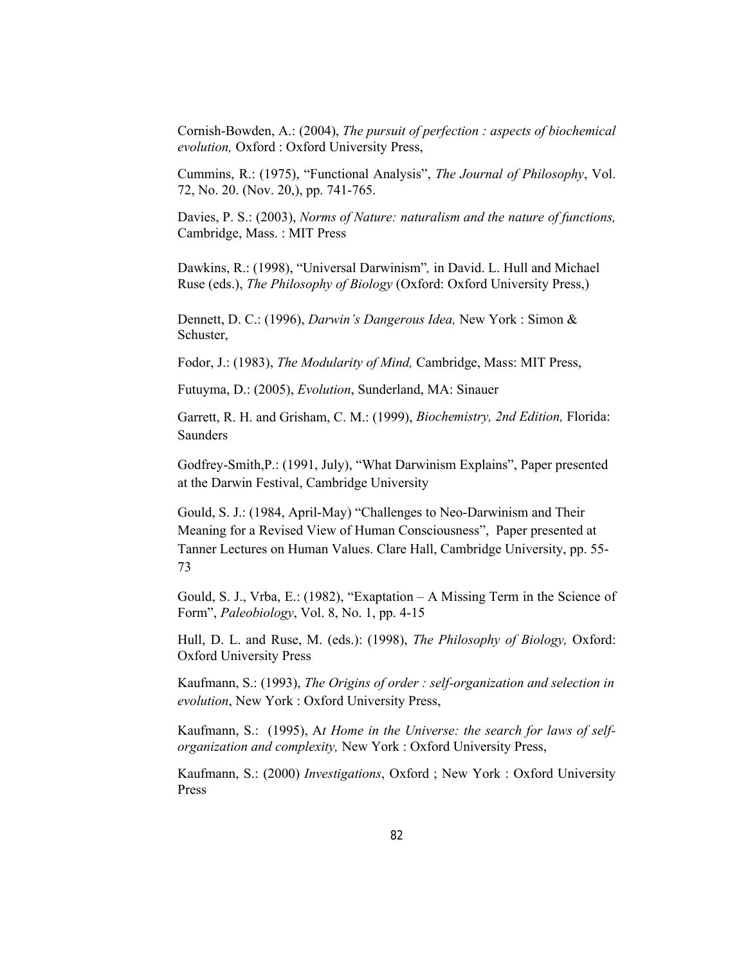Cornish-Bowden, A.: (2004), *The pursuit of perfection : aspects of biochemical evolution,* Oxford : Oxford University Press,

Cummins, R.: (1975), "Functional Analysis", *The Journal of Philosophy*, Vol. 72, No. 20. (Nov. 20,), pp. 741-765.

Davies, P. S.: (2003), *Norms of Nature: naturalism and the nature of functions,*  Cambridge, Mass. : MIT Press

Dawkins, R.: (1998), "Universal Darwinism"*,* in David. L. Hull and Michael Ruse (eds.), *The Philosophy of Biology* (Oxford: Oxford University Press,)

Dennett, D. C.: (1996), *Darwin's Dangerous Idea,* New York : Simon & Schuster,

Fodor, J.: (1983), *The Modularity of Mind,* Cambridge, Mass: MIT Press,

Futuyma, D.: (2005), *Evolution*, Sunderland, MA: Sinauer

Garrett, R. H. and Grisham, C. M.: (1999), *Biochemistry, 2nd Edition,* Florida: Saunders

Godfrey-Smith,P.: (1991, July), "What Darwinism Explains", Paper presented at the Darwin Festival, Cambridge University

Gould, S. J.: (1984, April-May) "Challenges to Neo-Darwinism and Their Meaning for a Revised View of Human Consciousness", Paper presented at Tanner Lectures on Human Values. Clare Hall, Cambridge University, pp. 55- 73

Gould, S. J., Vrba, E.: (1982), "Exaptation – A Missing Term in the Science of Form", *Paleobiology*, Vol. 8, No. 1, pp. 4-15

Hull, D. L. and Ruse, M. (eds.): (1998), *The Philosophy of Biology,* Oxford: Oxford University Press

Kaufmann, S.: (1993), *The Origins of order : self-organization and selection in evolution*, New York : Oxford University Press,

Kaufmann, S.: (1995), A*t Home in the Universe: the search for laws of selforganization and complexity,* New York : Oxford University Press,

Kaufmann, S.: (2000) *Investigations*, Oxford ; New York : Oxford University Press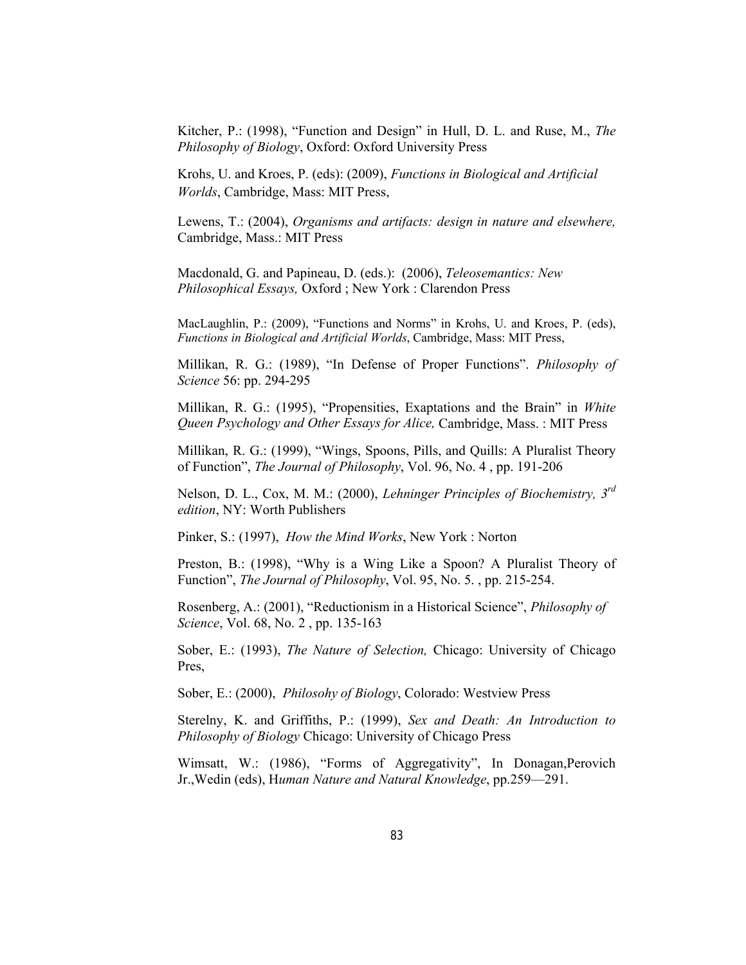Kitcher, P.: (1998), "Function and Design" in Hull, D. L. and Ruse, M., *The Philosophy of Biology*, Oxford: Oxford University Press

Krohs, U. and Kroes, P. (eds): (2009), *Functions in Biological and Artificial Worlds*, Cambridge, Mass: MIT Press,

Lewens, T.: (2004), *Organisms and artifacts: design in nature and elsewhere,*  Cambridge, Mass.: MIT Press

Macdonald, G. and Papineau, D. (eds.): (2006), *Teleosemantics: New Philosophical Essays,* Oxford ; New York : Clarendon Press

MacLaughlin, P.: (2009), "Functions and Norms" in Krohs, U. and Kroes, P. (eds), *Functions in Biological and Artificial Worlds*, Cambridge, Mass: MIT Press,

Millikan, R. G.: (1989), "In Defense of Proper Functions". *Philosophy of Science* 56: pp. 294-295

Millikan, R. G.: (1995), "Propensities, Exaptations and the Brain" in *White Queen Psychology and Other Essays for Alice,* Cambridge, Mass. : MIT Press

Millikan, R. G.: (1999), "Wings, Spoons, Pills, and Quills: A Pluralist Theory of Function", *The Journal of Philosophy*, Vol. 96, No. 4 , pp. 191-206

Nelson, D. L., Cox, M. M.: (2000), *Lehninger Principles of Biochemistry, 3rd edition*, NY: Worth Publishers

Pinker, S.: (1997), *How the Mind Works*, New York : Norton

Preston, B.: (1998), "Why is a Wing Like a Spoon? A Pluralist Theory of Function", *The Journal of Philosophy*, Vol. 95, No. 5. , pp. 215-254.

Rosenberg, A.: (2001), "Reductionism in a Historical Science", *Philosophy of Science*, Vol. 68, No. 2 , pp. 135-163

Sober, E.: (1993), *The Nature of Selection,* Chicago: University of Chicago Pres,

Sober, E.: (2000), *Philosohy of Biology*, Colorado: Westview Press

Sterelny, K. and Griffiths, P.: (1999), *Sex and Death: An Introduction to Philosophy of Biology* Chicago: University of Chicago Press

Wimsatt, W.: (1986), "Forms of Aggregativity", In Donagan,Perovich Jr.,Wedin (eds), H*uman Nature and Natural Knowledge*, pp.259—291.